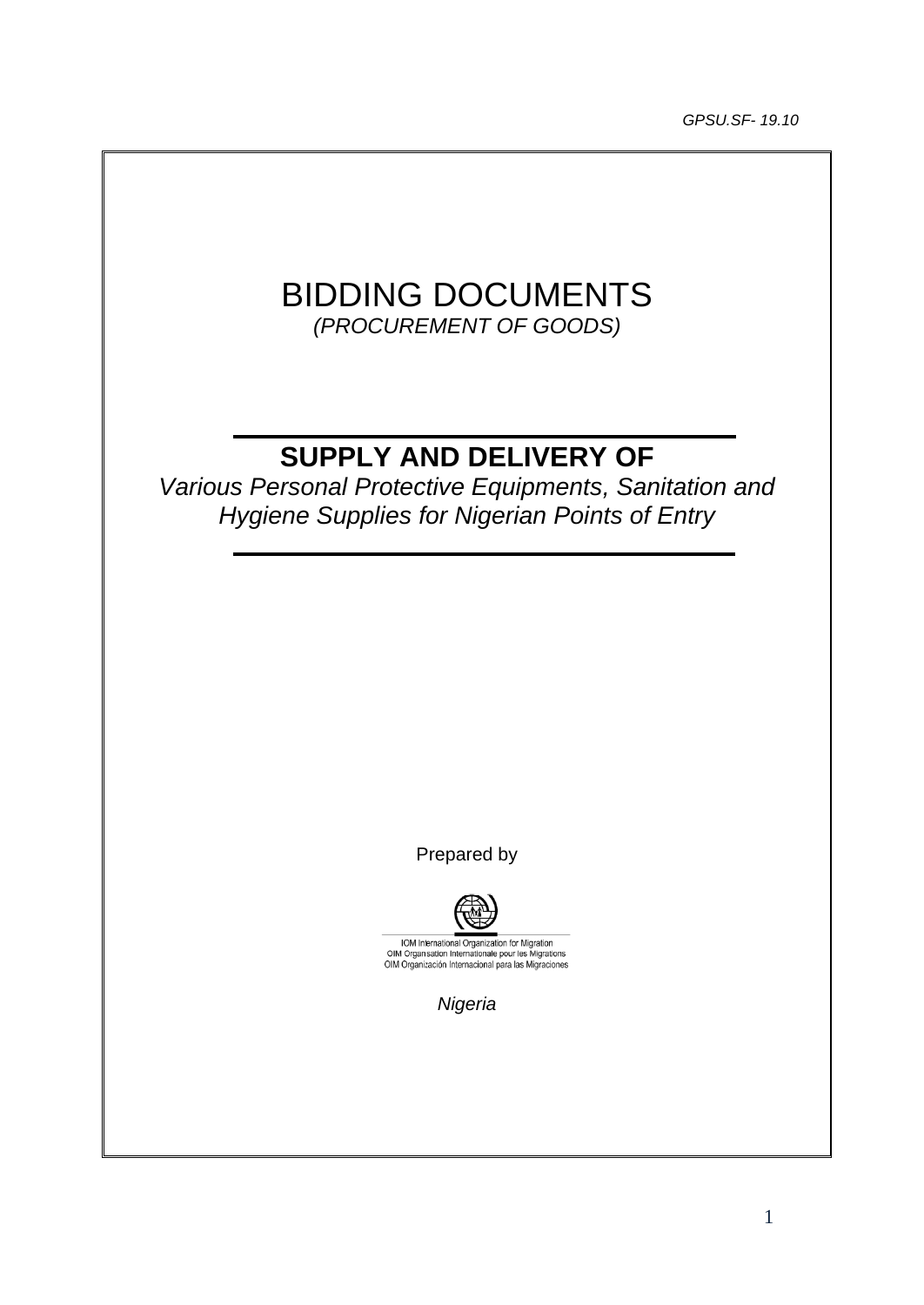*GPSU.SF- 19.10*

# BIDDING DOCUMENTS *(PROCUREMENT OF GOODS)*

# **SUPPLY AND DELIVERY OF**

*Various Personal Protective Equipments, Sanitation and Hygiene Supplies for Nigerian Points of Entry*

Prepared by



IOM International Organization for Migration<br>OIM Organisation Internationale pour les Migrations<br>OIM Organización Internacional para las Migraciones

*Nigeria*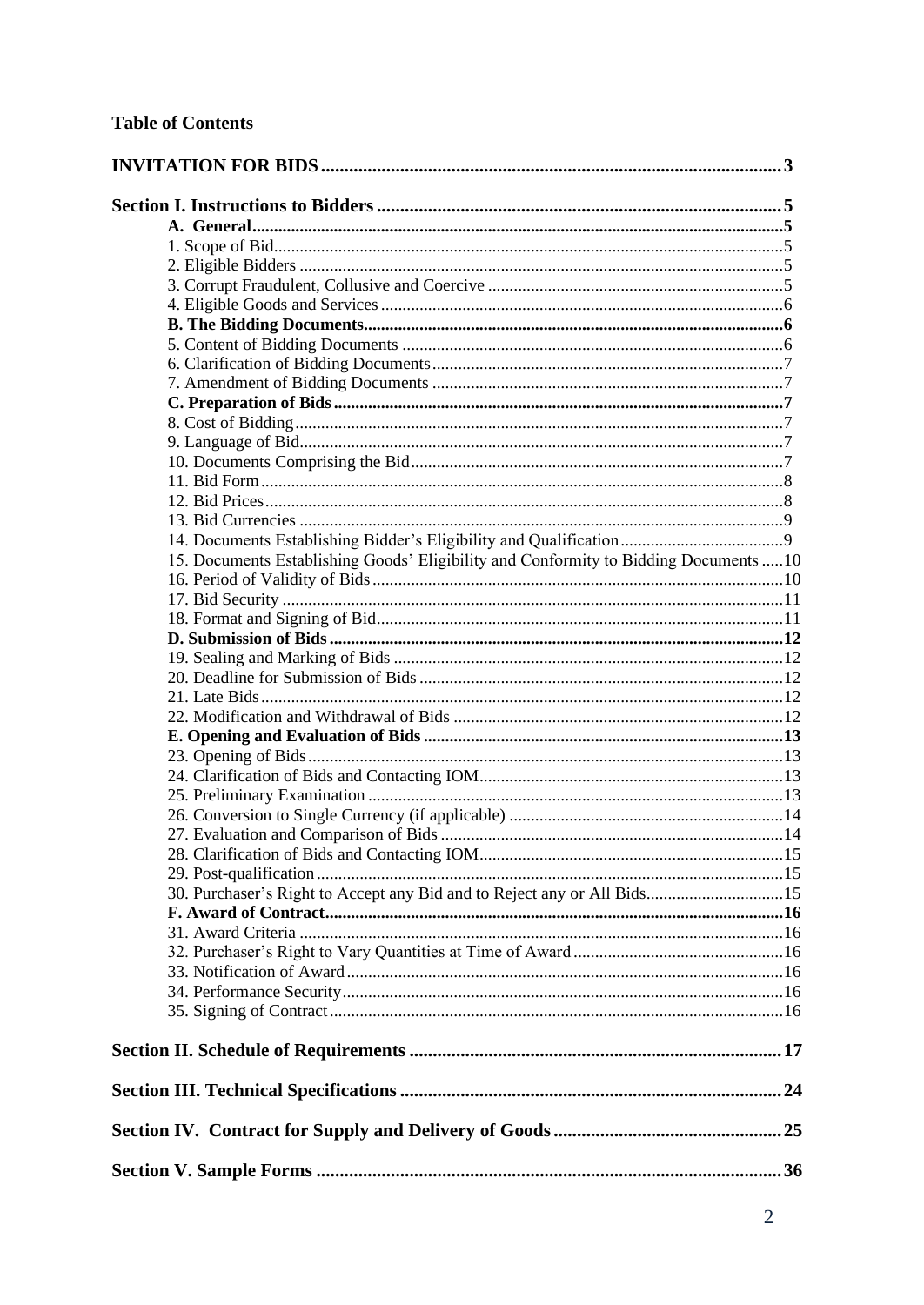| 15. Documents Establishing Goods' Eligibility and Conformity to Bidding Documents  10 |  |
|---------------------------------------------------------------------------------------|--|
|                                                                                       |  |
|                                                                                       |  |
|                                                                                       |  |
|                                                                                       |  |
|                                                                                       |  |
|                                                                                       |  |
|                                                                                       |  |
|                                                                                       |  |
|                                                                                       |  |
|                                                                                       |  |
|                                                                                       |  |
|                                                                                       |  |
|                                                                                       |  |
|                                                                                       |  |
|                                                                                       |  |
|                                                                                       |  |
| 30. Purchaser's Right to Accept any Bid and to Reject any or All Bids15               |  |
|                                                                                       |  |
|                                                                                       |  |
|                                                                                       |  |
|                                                                                       |  |
|                                                                                       |  |
|                                                                                       |  |
|                                                                                       |  |
|                                                                                       |  |
|                                                                                       |  |
|                                                                                       |  |
|                                                                                       |  |
|                                                                                       |  |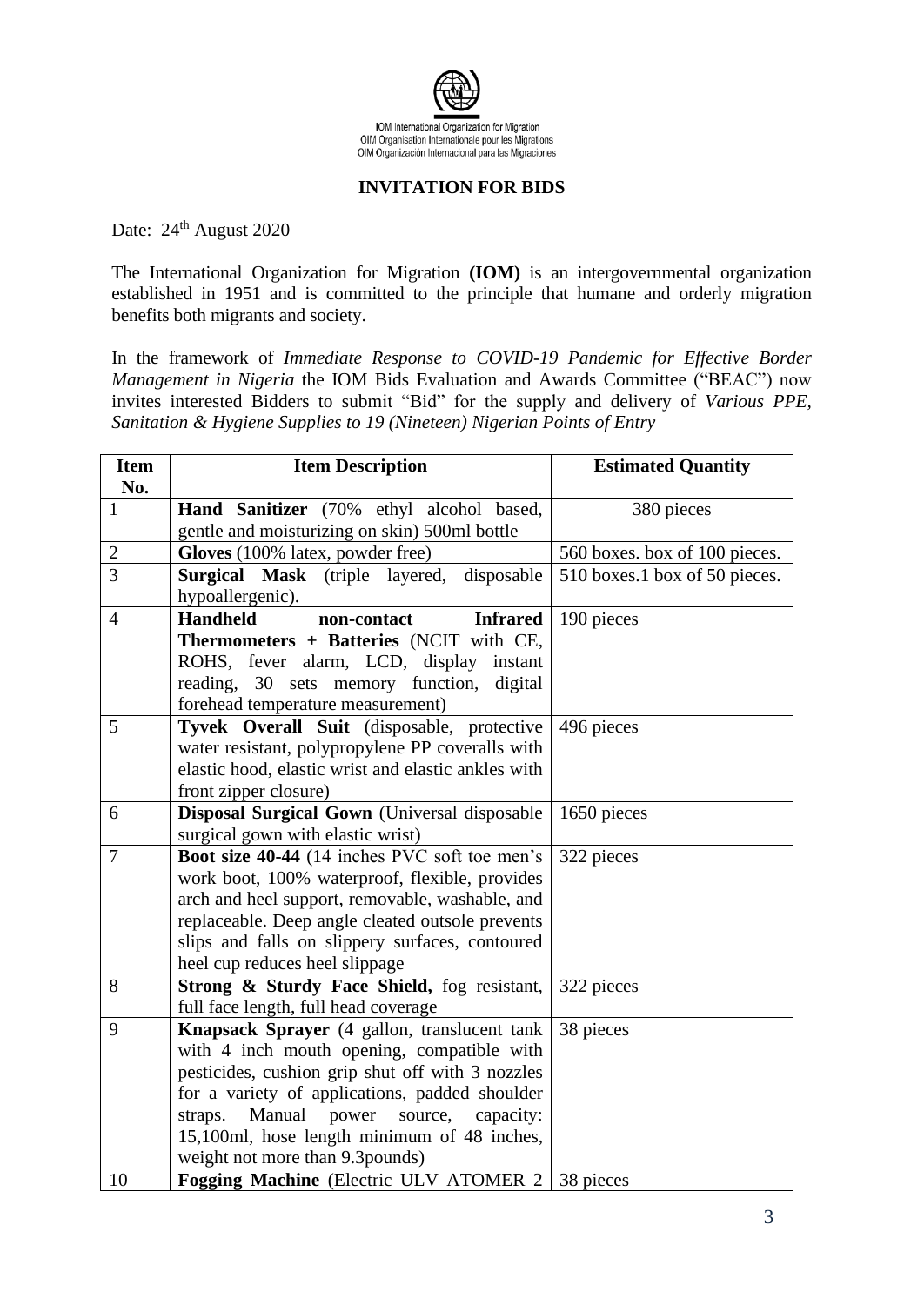

# **INVITATION FOR BIDS**

<span id="page-2-0"></span>Date: 24<sup>th</sup> August 2020

The International Organization for Migration **(IOM)** is an intergovernmental organization established in 1951 and is committed to the principle that humane and orderly migration benefits both migrants and society.

In the framework of *Immediate Response to COVID-19 Pandemic for Effective Border Management in Nigeria* the IOM Bids Evaluation and Awards Committee ("BEAC") now invites interested Bidders to submit "Bid" for the supply and delivery of *Various PPE, Sanitation & Hygiene Supplies to 19 (Nineteen) Nigerian Points of Entry*

| <b>Item</b><br>No. | <b>Item Description</b>                                                                   | <b>Estimated Quantity</b>     |
|--------------------|-------------------------------------------------------------------------------------------|-------------------------------|
| $\mathbf{1}$       |                                                                                           | 380 pieces                    |
|                    | Hand Sanitizer (70% ethyl alcohol based,<br>gentle and moisturizing on skin) 500ml bottle |                               |
| $\sqrt{2}$         | Gloves (100% latex, powder free)                                                          | 560 boxes. box of 100 pieces. |
| $\overline{3}$     | Surgical Mask (triple layered, disposable                                                 | 510 boxes.1 box of 50 pieces. |
|                    | hypoallergenic).                                                                          |                               |
| $\overline{4}$     | <b>Handheld</b><br>non-contact<br><b>Infrared</b>                                         | 190 pieces                    |
|                    | Thermometers + Batteries (NCIT with CE,                                                   |                               |
|                    | ROHS, fever alarm, LCD, display<br>instant                                                |                               |
|                    | reading, 30 sets memory function, digital                                                 |                               |
|                    | forehead temperature measurement)                                                         |                               |
| 5                  | Tyvek Overall Suit (disposable, protective                                                | 496 pieces                    |
|                    | water resistant, polypropylene PP coveralls with                                          |                               |
|                    | elastic hood, elastic wrist and elastic ankles with                                       |                               |
|                    | front zipper closure)                                                                     |                               |
| 6                  | Disposal Surgical Gown (Universal disposable                                              | 1650 pieces                   |
|                    | surgical gown with elastic wrist)                                                         |                               |
| $\overline{7}$     | Boot size 40-44 (14 inches PVC soft toe men's                                             | 322 pieces                    |
|                    | work boot, 100% waterproof, flexible, provides                                            |                               |
|                    | arch and heel support, removable, washable, and                                           |                               |
|                    | replaceable. Deep angle cleated outsole prevents                                          |                               |
|                    | slips and falls on slippery surfaces, contoured                                           |                               |
|                    | heel cup reduces heel slippage                                                            |                               |
| 8                  | Strong & Sturdy Face Shield, fog resistant,                                               | 322 pieces                    |
|                    | full face length, full head coverage                                                      |                               |
| 9                  | Knapsack Sprayer (4 gallon, translucent tank                                              | 38 pieces                     |
|                    | with 4 inch mouth opening, compatible with                                                |                               |
|                    | pesticides, cushion grip shut off with 3 nozzles                                          |                               |
|                    | for a variety of applications, padded shoulder                                            |                               |
|                    | Manual power source,<br>straps.<br>capacity:                                              |                               |
|                    | 15,100ml, hose length minimum of 48 inches,                                               |                               |
|                    | weight not more than 9.3 pounds)                                                          |                               |
| 10                 | <b>Fogging Machine</b> (Electric ULV ATOMER 2 38 pieces                                   |                               |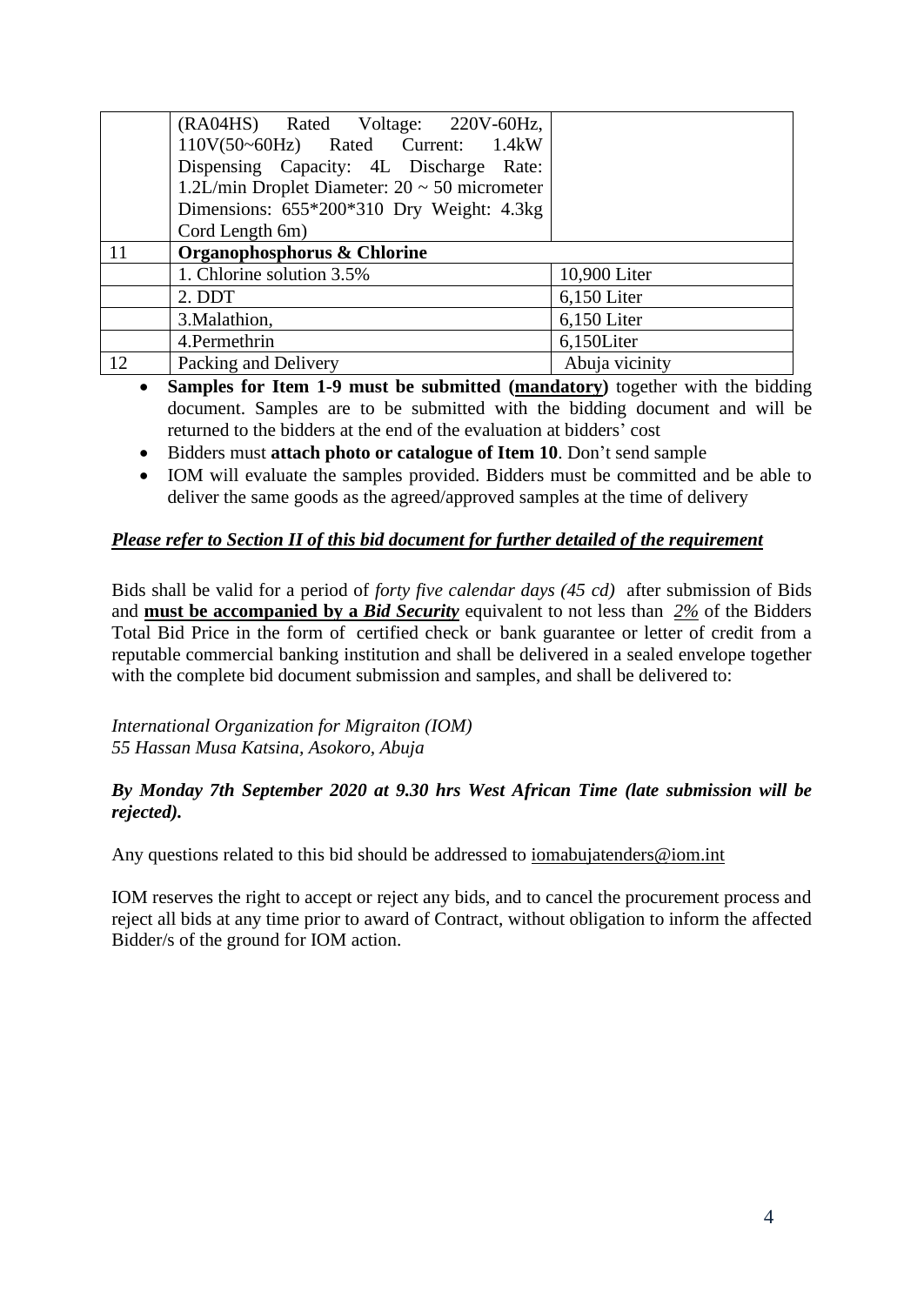|    | (RA04HS) Rated Voltage: 220V-60Hz,                 |                |  |  |  |  |  |  |
|----|----------------------------------------------------|----------------|--|--|--|--|--|--|
|    | 110V(50~60Hz) Rated Current: 1.4kW                 |                |  |  |  |  |  |  |
|    | Dispensing Capacity: 4L Discharge Rate:            |                |  |  |  |  |  |  |
|    | 1.2L/min Droplet Diameter: $20 \sim 50$ micrometer |                |  |  |  |  |  |  |
|    | Dimensions: 655*200*310 Dry Weight: 4.3kg          |                |  |  |  |  |  |  |
|    | Cord Length 6m)                                    |                |  |  |  |  |  |  |
| 11 | Organophosphorus & Chlorine                        |                |  |  |  |  |  |  |
|    | 1. Chlorine solution 3.5%                          | 10,900 Liter   |  |  |  |  |  |  |
|    | 2. DDT                                             | $6,150$ Liter  |  |  |  |  |  |  |
|    | 3. Malathion,                                      | 6,150 Liter    |  |  |  |  |  |  |
|    | 4. Permethrin                                      | 6,150Liter     |  |  |  |  |  |  |
| 12 | Packing and Delivery                               | Abuja vicinity |  |  |  |  |  |  |

• **Samples for Item 1-9 must be submitted (mandatory)** together with the bidding document. Samples are to be submitted with the bidding document and will be returned to the bidders at the end of the evaluation at bidders' cost

- Bidders must **attach photo or catalogue of Item 10**. Don't send sample
- IOM will evaluate the samples provided. Bidders must be committed and be able to deliver the same goods as the agreed/approved samples at the time of delivery

# *Please refer to Section II of this bid document for further detailed of the requirement*

Bids shall be valid for a period of *forty five calendar days (45 cd)* after submission of Bids and **must be accompanied by a** *Bid Security* equivalent to not less than *2%* of the Bidders Total Bid Price in the form of certified check or bank guarantee or letter of credit from a reputable commercial banking institution and shall be delivered in a sealed envelope together with the complete bid document submission and samples, and shall be delivered to:

*International Organization for Migraiton (IOM) 55 Hassan Musa Katsina, Asokoro, Abuja*

# *By Monday 7th September 2020 at 9.30 hrs West African Time (late submission will be rejected).*

Any questions related to this bid should be addressed to <u>iomabujatenders@iom.int</u>

<span id="page-3-0"></span>IOM reserves the right to accept or reject any bids, and to cancel the procurement process and reject all bids at any time prior to award of Contract, without obligation to inform the affected Bidder/s of the ground for IOM action.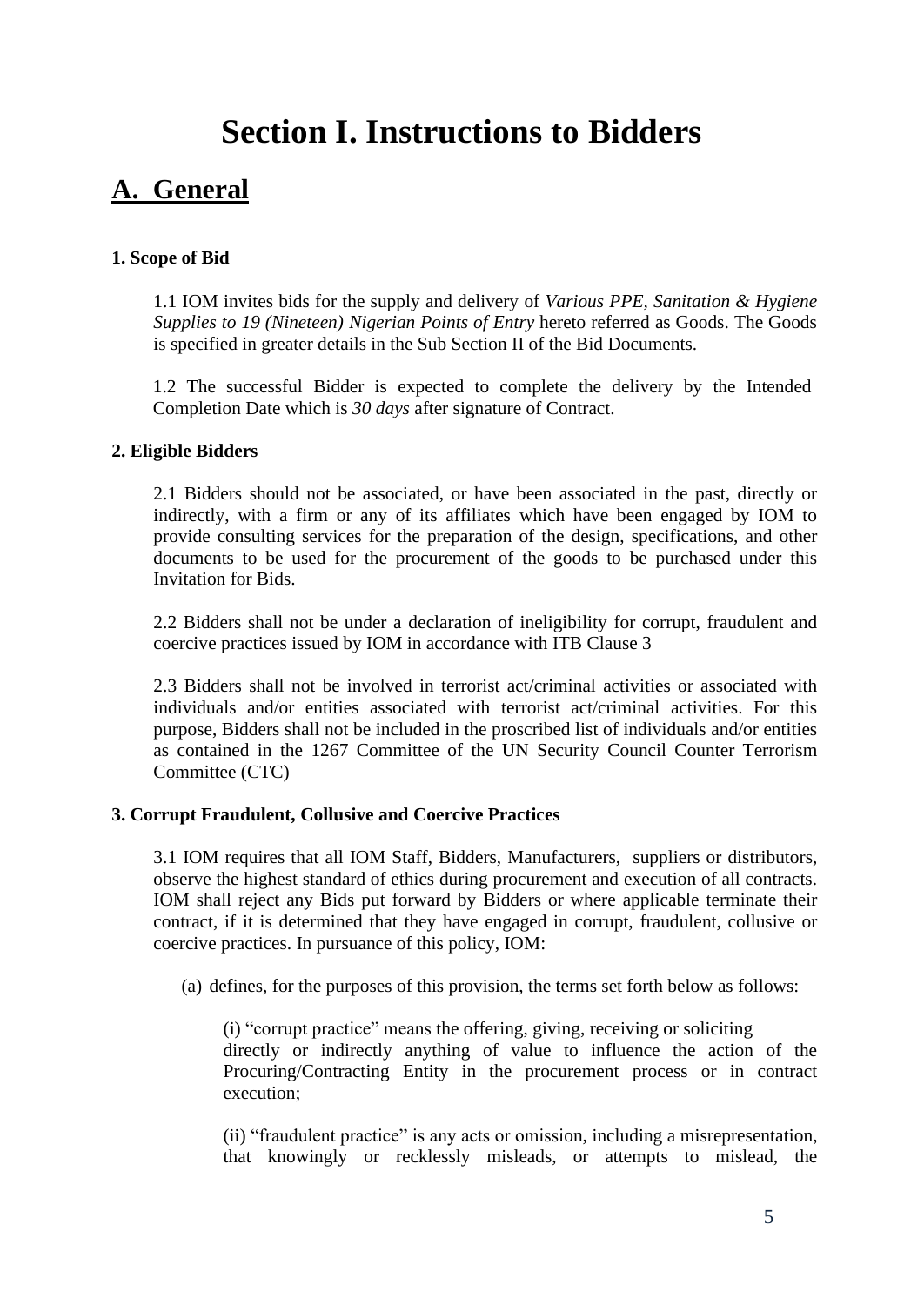# **Section I. Instructions to Bidders**

# <span id="page-4-0"></span>**A. General**

# <span id="page-4-1"></span>**1. Scope of Bid**

1.1 IOM invites bids for the supply and delivery of *Various PPE, Sanitation & Hygiene Supplies to 19 (Nineteen) Nigerian Points of Entry* hereto referred as Goods. The Goods is specified in greater details in the Sub Section II of the Bid Documents.

1.2 The successful Bidder is expected to complete the delivery by the Intended Completion Date which is *30 days* after signature of Contract.

## <span id="page-4-2"></span>**2. Eligible Bidders**

2.1 Bidders should not be associated, or have been associated in the past, directly or indirectly, with a firm or any of its affiliates which have been engaged by IOM to provide consulting services for the preparation of the design, specifications, and other documents to be used for the procurement of the goods to be purchased under this Invitation for Bids.

2.2 Bidders shall not be under a declaration of ineligibility for corrupt, fraudulent and coercive practices issued by IOM in accordance with ITB Clause 3

2.3 Bidders shall not be involved in terrorist act/criminal activities or associated with individuals and/or entities associated with terrorist act/criminal activities. For this purpose, Bidders shall not be included in the proscribed list of individuals and/or entities as contained in the 1267 Committee of the UN Security Council Counter Terrorism Committee (CTC)

## <span id="page-4-3"></span>**3. Corrupt Fraudulent, Collusive and Coercive Practices**

3.1 IOM requires that all IOM Staff, Bidders, Manufacturers, suppliers or distributors, observe the highest standard of ethics during procurement and execution of all contracts. IOM shall reject any Bids put forward by Bidders or where applicable terminate their contract, if it is determined that they have engaged in corrupt, fraudulent, collusive or coercive practices. In pursuance of this policy, IOM:

(a) defines, for the purposes of this provision, the terms set forth below as follows:

(i) "corrupt practice" means the offering, giving, receiving or soliciting directly or indirectly anything of value to influence the action of the Procuring/Contracting Entity in the procurement process or in contract execution;

(ii) "fraudulent practice" is any acts or omission, including a misrepresentation, that knowingly or recklessly misleads, or attempts to mislead, the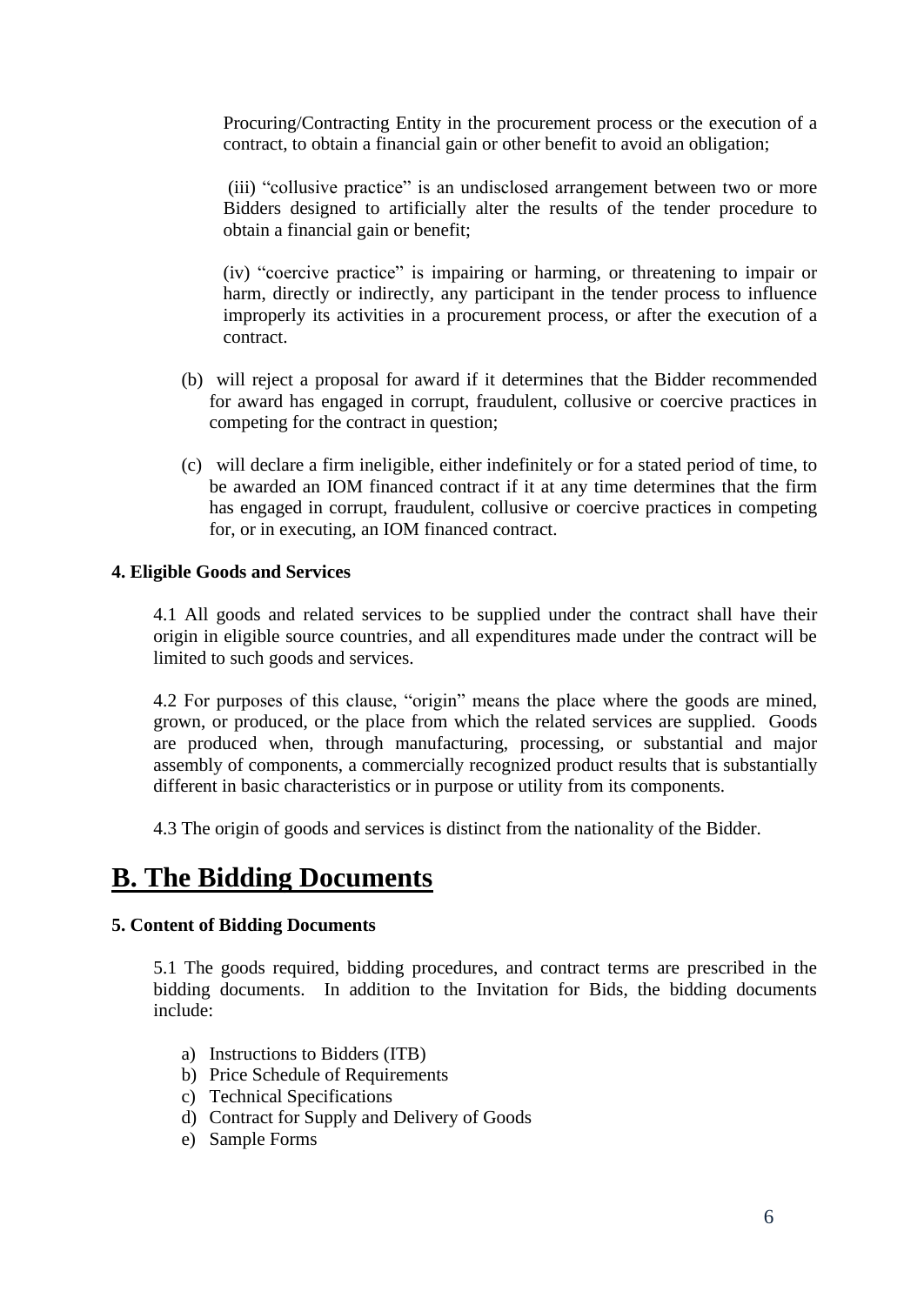Procuring/Contracting Entity in the procurement process or the execution of a contract, to obtain a financial gain or other benefit to avoid an obligation;

(iii) "collusive practice" is an undisclosed arrangement between two or more Bidders designed to artificially alter the results of the tender procedure to obtain a financial gain or benefit;

(iv) "coercive practice" is impairing or harming, or threatening to impair or harm, directly or indirectly, any participant in the tender process to influence improperly its activities in a procurement process, or after the execution of a contract.

- (b) will reject a proposal for award if it determines that the Bidder recommended for award has engaged in corrupt, fraudulent, collusive or coercive practices in competing for the contract in question;
- (c) will declare a firm ineligible, either indefinitely or for a stated period of time, to be awarded an IOM financed contract if it at any time determines that the firm has engaged in corrupt, fraudulent, collusive or coercive practices in competing for, or in executing, an IOM financed contract.

# <span id="page-5-0"></span>**4. Eligible Goods and Services**

4.1 All goods and related services to be supplied under the contract shall have their origin in eligible source countries, and all expenditures made under the contract will be limited to such goods and services.

4.2 For purposes of this clause, "origin" means the place where the goods are mined, grown, or produced, or the place from which the related services are supplied. Goods are produced when, through manufacturing, processing, or substantial and major assembly of components, a commercially recognized product results that is substantially different in basic characteristics or in purpose or utility from its components.

4.3 The origin of goods and services is distinct from the nationality of the Bidder.

# <span id="page-5-1"></span>**B. The Bidding Documents**

## <span id="page-5-2"></span>**5. Content of Bidding Documents**

5.1 The goods required, bidding procedures, and contract terms are prescribed in the bidding documents. In addition to the Invitation for Bids, the bidding documents include:

- a) Instructions to Bidders (ITB)
- b) Price Schedule of Requirements
- c) Technical Specifications
- d) Contract for Supply and Delivery of Goods
- e) Sample Forms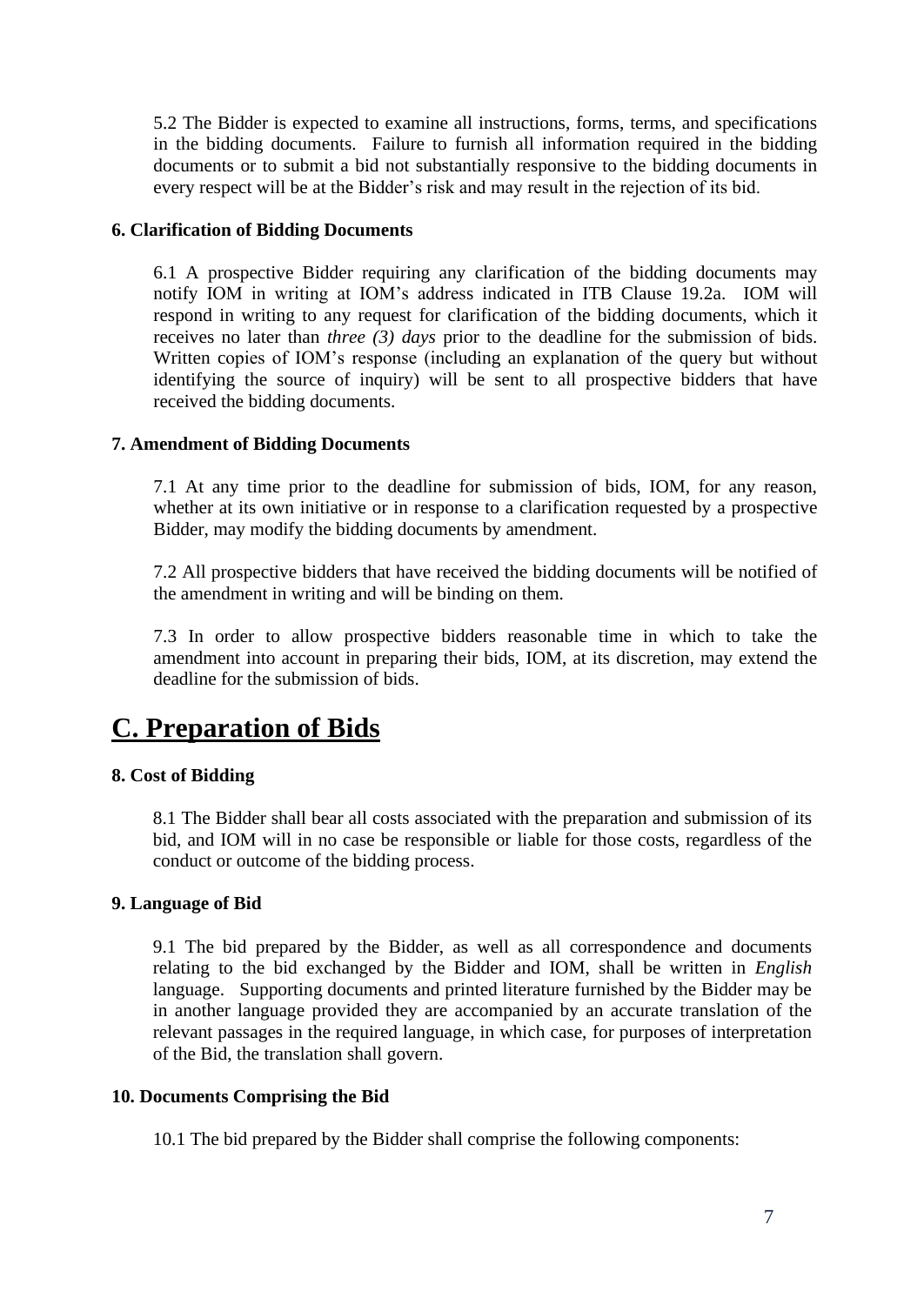5.2 The Bidder is expected to examine all instructions, forms, terms, and specifications in the bidding documents. Failure to furnish all information required in the bidding documents or to submit a bid not substantially responsive to the bidding documents in every respect will be at the Bidder's risk and may result in the rejection of its bid.

# <span id="page-6-0"></span>**6. Clarification of Bidding Documents**

6.1 A prospective Bidder requiring any clarification of the bidding documents may notify IOM in writing at IOM's address indicated in ITB Clause 19.2a. IOM will respond in writing to any request for clarification of the bidding documents, which it receives no later than *three (3) days* prior to the deadline for the submission of bids. Written copies of IOM's response (including an explanation of the query but without identifying the source of inquiry) will be sent to all prospective bidders that have received the bidding documents.

# <span id="page-6-1"></span>**7. Amendment of Bidding Documents**

7.1 At any time prior to the deadline for submission of bids, IOM, for any reason, whether at its own initiative or in response to a clarification requested by a prospective Bidder, may modify the bidding documents by amendment.

7.2 All prospective bidders that have received the bidding documents will be notified of the amendment in writing and will be binding on them.

7.3 In order to allow prospective bidders reasonable time in which to take the amendment into account in preparing their bids, IOM, at its discretion, may extend the deadline for the submission of bids.

# <span id="page-6-2"></span>**C. Preparation of Bids**

# <span id="page-6-3"></span>**8. Cost of Bidding**

8.1 The Bidder shall bear all costs associated with the preparation and submission of its bid, and IOM will in no case be responsible or liable for those costs, regardless of the conduct or outcome of the bidding process.

## <span id="page-6-4"></span>**9. Language of Bid**

9.1 The bid prepared by the Bidder, as well as all correspondence and documents relating to the bid exchanged by the Bidder and IOM, shall be written in *English* language. Supporting documents and printed literature furnished by the Bidder may be in another language provided they are accompanied by an accurate translation of the relevant passages in the required language, in which case, for purposes of interpretation of the Bid, the translation shall govern.

# <span id="page-6-5"></span>**10. Documents Comprising the Bid**

10.1 The bid prepared by the Bidder shall comprise the following components: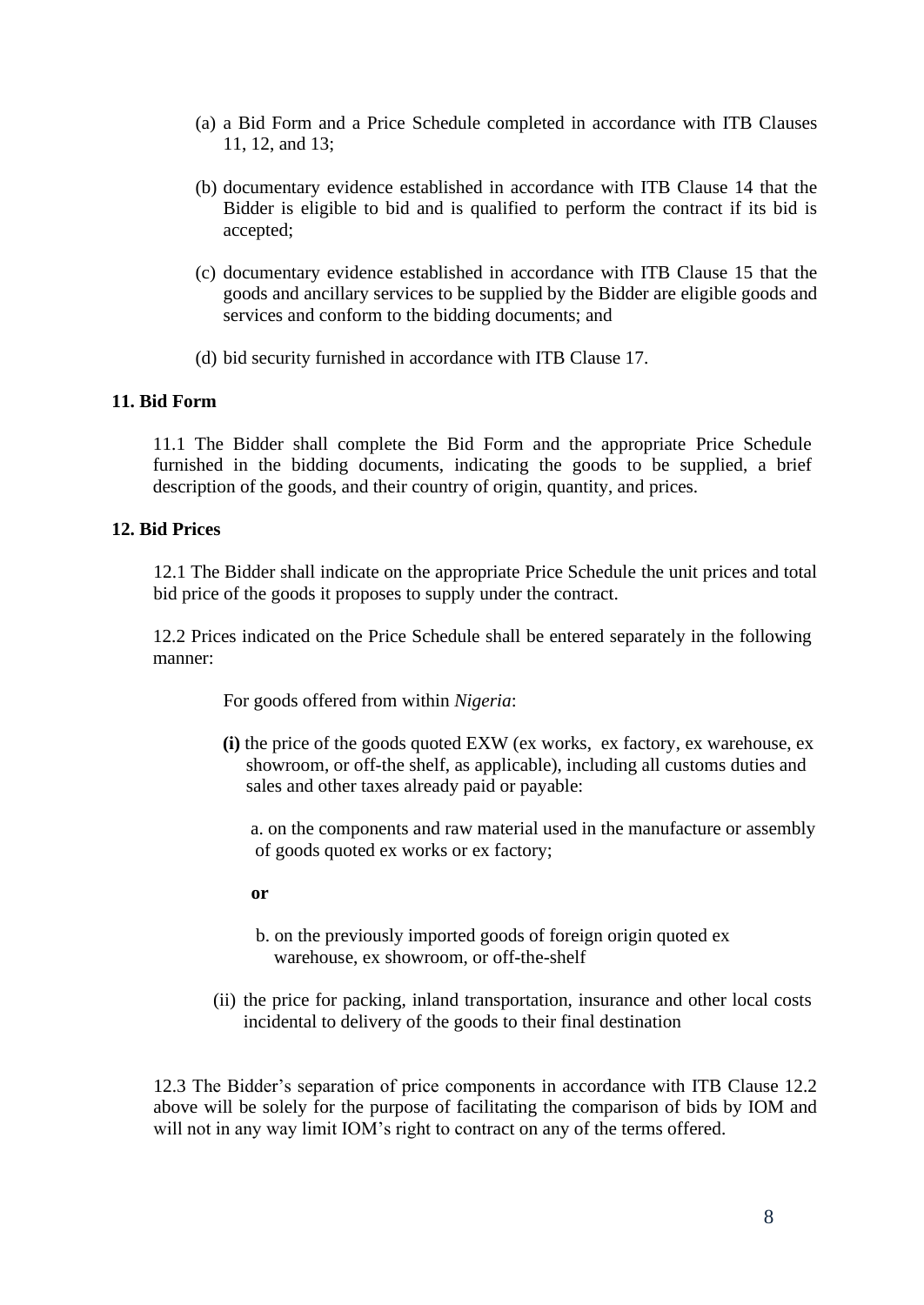- (a) a Bid Form and a Price Schedule completed in accordance with ITB Clauses 11, 12, and 13;
- (b) documentary evidence established in accordance with ITB Clause 14 that the Bidder is eligible to bid and is qualified to perform the contract if its bid is accepted;
- (c) documentary evidence established in accordance with ITB Clause 15 that the goods and ancillary services to be supplied by the Bidder are eligible goods and services and conform to the bidding documents; and
- (d) bid security furnished in accordance with ITB Clause 17.

## <span id="page-7-0"></span>**11. Bid Form**

11.1 The Bidder shall complete the Bid Form and the appropriate Price Schedule furnished in the bidding documents, indicating the goods to be supplied, a brief description of the goods, and their country of origin, quantity, and prices.

#### <span id="page-7-1"></span>**12. Bid Prices**

12.1 The Bidder shall indicate on the appropriate Price Schedule the unit prices and total bid price of the goods it proposes to supply under the contract.

12.2 Prices indicated on the Price Schedule shall be entered separately in the following manner:

For goods offered from within *Nigeria*:

 **(i)** the price of the goods quoted EXW (ex works, ex factory, ex warehouse, ex showroom, or off-the shelf, as applicable), including all customs duties and sales and other taxes already paid or payable:

 a. on the components and raw material used in the manufacture or assembly of goods quoted ex works or ex factory;

#### **or**

- b. on the previously imported goods of foreign origin quoted ex warehouse, ex showroom, or off-the-shelf
- (ii) the price for packing, inland transportation, insurance and other local costs incidental to delivery of the goods to their final destination

12.3 The Bidder's separation of price components in accordance with ITB Clause 12.2 above will be solely for the purpose of facilitating the comparison of bids by IOM and will not in any way limit IOM's right to contract on any of the terms offered.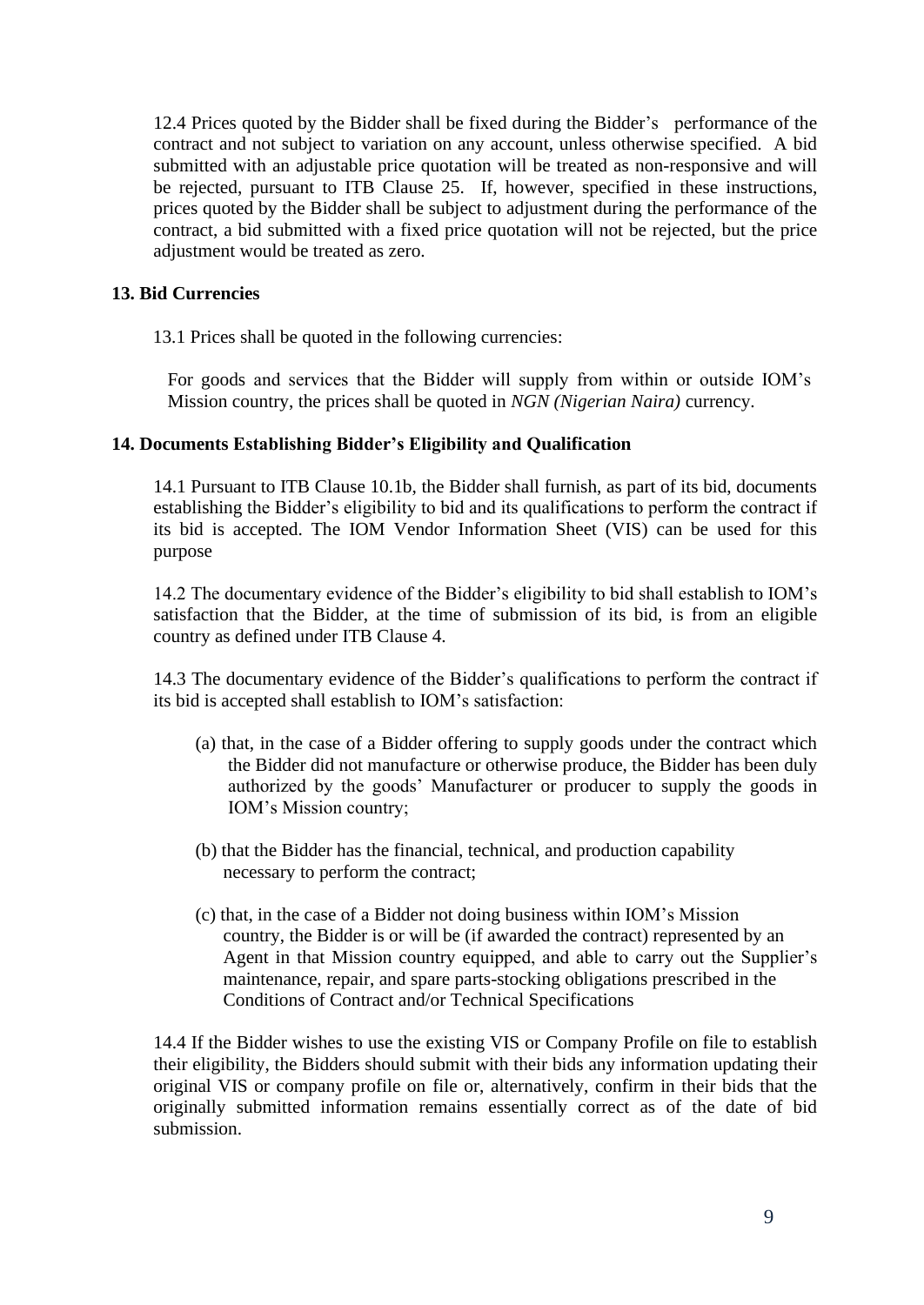12.4 Prices quoted by the Bidder shall be fixed during the Bidder's performance of the contract and not subject to variation on any account, unless otherwise specified. A bid submitted with an adjustable price quotation will be treated as non-responsive and will be rejected, pursuant to ITB Clause 25. If, however, specified in these instructions, prices quoted by the Bidder shall be subject to adjustment during the performance of the contract, a bid submitted with a fixed price quotation will not be rejected, but the price adjustment would be treated as zero.

# <span id="page-8-0"></span>**13. Bid Currencies**

13.1 Prices shall be quoted in the following currencies:

For goods and services that the Bidder will supply from within or outside IOM's Mission country, the prices shall be quoted in *NGN (Nigerian Naira)* currency.

# <span id="page-8-1"></span>**14. Documents Establishing Bidder's Eligibility and Qualification**

14.1 Pursuant to ITB Clause 10.1b, the Bidder shall furnish, as part of its bid, documents establishing the Bidder's eligibility to bid and its qualifications to perform the contract if its bid is accepted. The IOM Vendor Information Sheet (VIS) can be used for this purpose

14.2 The documentary evidence of the Bidder's eligibility to bid shall establish to IOM's satisfaction that the Bidder, at the time of submission of its bid, is from an eligible country as defined under ITB Clause 4.

14.3 The documentary evidence of the Bidder's qualifications to perform the contract if its bid is accepted shall establish to IOM's satisfaction:

- (a) that, in the case of a Bidder offering to supply goods under the contract which the Bidder did not manufacture or otherwise produce, the Bidder has been duly authorized by the goods' Manufacturer or producer to supply the goods in IOM's Mission country;
- (b) that the Bidder has the financial, technical, and production capability necessary to perform the contract;
- (c) that, in the case of a Bidder not doing business within IOM's Mission country, the Bidder is or will be (if awarded the contract) represented by an Agent in that Mission country equipped, and able to carry out the Supplier's maintenance, repair, and spare parts-stocking obligations prescribed in the Conditions of Contract and/or Technical Specifications

14.4 If the Bidder wishes to use the existing VIS or Company Profile on file to establish their eligibility, the Bidders should submit with their bids any information updating their original VIS or company profile on file or, alternatively, confirm in their bids that the originally submitted information remains essentially correct as of the date of bid submission.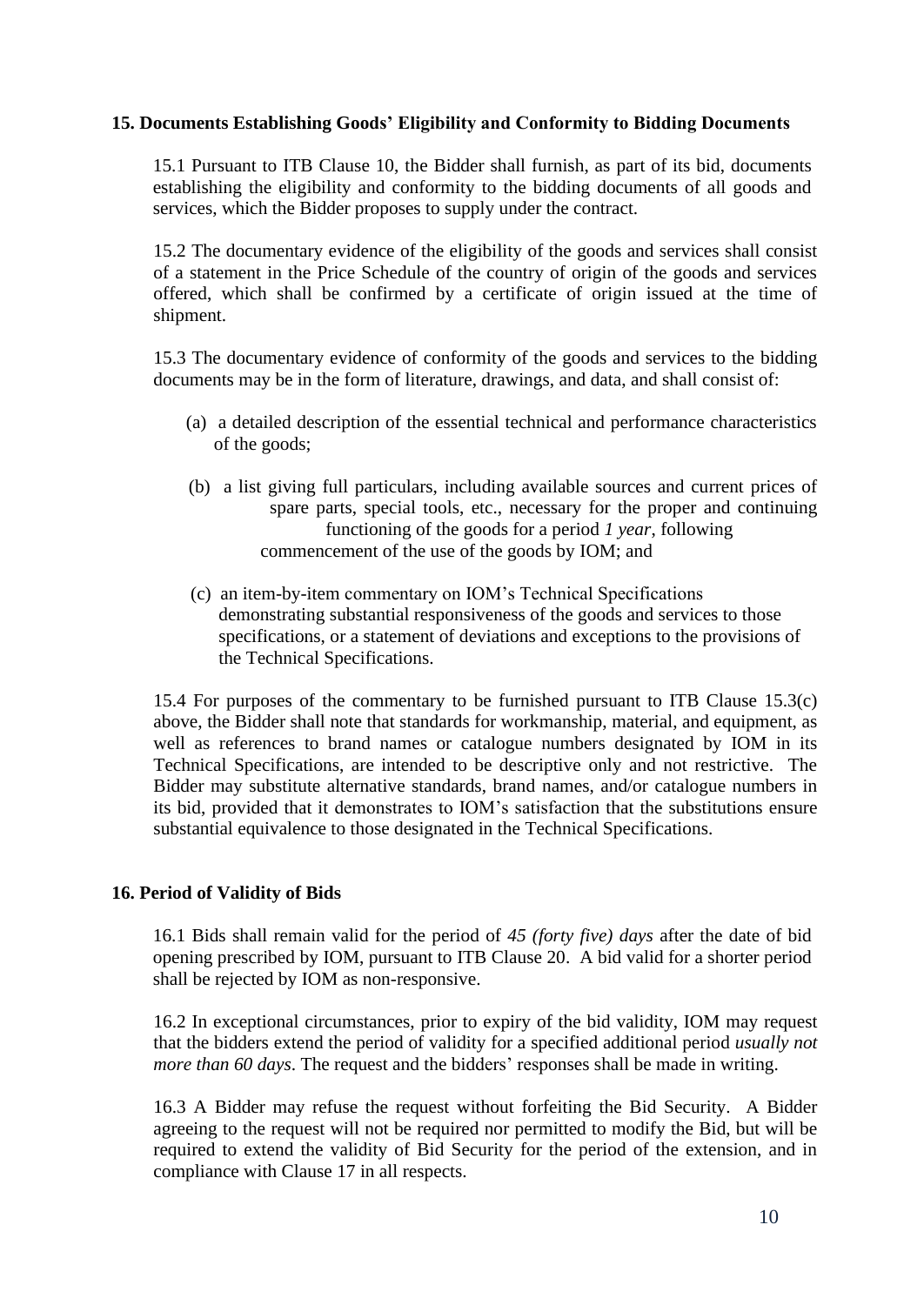# <span id="page-9-0"></span>**15. Documents Establishing Goods' Eligibility and Conformity to Bidding Documents**

15.1 Pursuant to ITB Clause 10, the Bidder shall furnish, as part of its bid, documents establishing the eligibility and conformity to the bidding documents of all goods and services, which the Bidder proposes to supply under the contract.

15.2 The documentary evidence of the eligibility of the goods and services shall consist of a statement in the Price Schedule of the country of origin of the goods and services offered, which shall be confirmed by a certificate of origin issued at the time of shipment.

15.3 The documentary evidence of conformity of the goods and services to the bidding documents may be in the form of literature, drawings, and data, and shall consist of:

- (a) a detailed description of the essential technical and performance characteristics of the goods;
- (b) a list giving full particulars, including available sources and current prices of spare parts, special tools, etc., necessary for the proper and continuing functioning of the goods for a period *1 year*, following commencement of the use of the goods by IOM; and
- (c) an item-by-item commentary on IOM's Technical Specifications demonstrating substantial responsiveness of the goods and services to those specifications, or a statement of deviations and exceptions to the provisions of the Technical Specifications.

15.4 For purposes of the commentary to be furnished pursuant to ITB Clause 15.3(c) above, the Bidder shall note that standards for workmanship, material, and equipment, as well as references to brand names or catalogue numbers designated by IOM in its Technical Specifications, are intended to be descriptive only and not restrictive. The Bidder may substitute alternative standards, brand names, and/or catalogue numbers in its bid, provided that it demonstrates to IOM's satisfaction that the substitutions ensure substantial equivalence to those designated in the Technical Specifications.

## <span id="page-9-1"></span>**16. Period of Validity of Bids**

16.1 Bids shall remain valid for the period of *45 (forty five) days* after the date of bid opening prescribed by IOM, pursuant to ITB Clause 20. A bid valid for a shorter period shall be rejected by IOM as non-responsive.

16.2 In exceptional circumstances, prior to expiry of the bid validity, IOM may request that the bidders extend the period of validity for a specified additional period *usually not more than 60 days*. The request and the bidders' responses shall be made in writing.

16.3 A Bidder may refuse the request without forfeiting the Bid Security. A Bidder agreeing to the request will not be required nor permitted to modify the Bid, but will be required to extend the validity of Bid Security for the period of the extension, and in compliance with Clause 17 in all respects.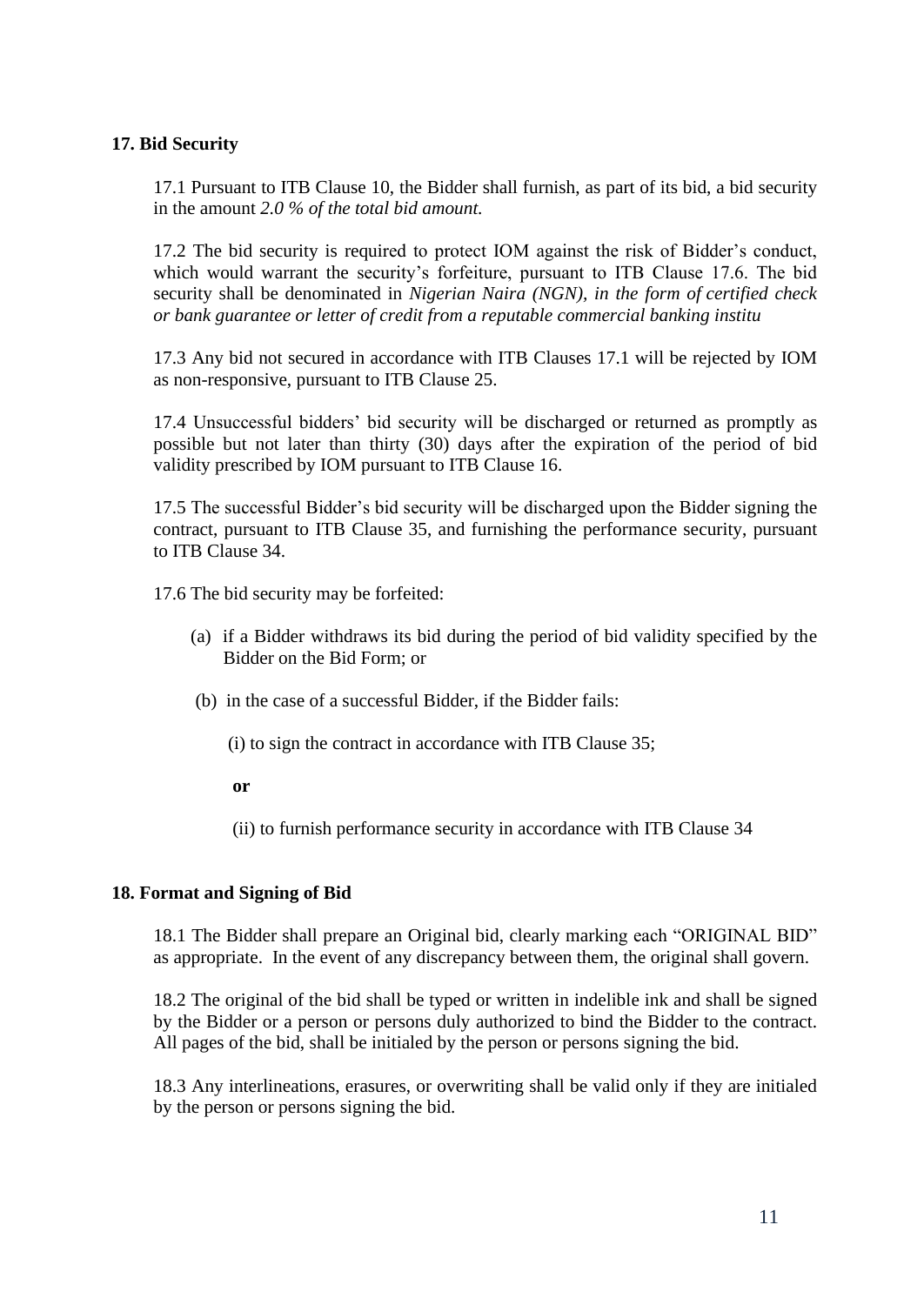# <span id="page-10-0"></span>**17. Bid Security**

17.1 Pursuant to ITB Clause 10, the Bidder shall furnish, as part of its bid, a bid security in the amount *2.0 % of the total bid amount.*

17.2 The bid security is required to protect IOM against the risk of Bidder's conduct, which would warrant the security's forfeiture, pursuant to ITB Clause 17.6. The bid security shall be denominated in *Nigerian Naira (NGN), in the form of certified check or bank guarantee or letter of credit from a reputable commercial banking institu*

17.3 Any bid not secured in accordance with ITB Clauses 17.1 will be rejected by IOM as non-responsive, pursuant to ITB Clause 25.

17.4 Unsuccessful bidders' bid security will be discharged or returned as promptly as possible but not later than thirty (30) days after the expiration of the period of bid validity prescribed by IOM pursuant to ITB Clause 16.

17.5 The successful Bidder's bid security will be discharged upon the Bidder signing the contract, pursuant to ITB Clause 35, and furnishing the performance security, pursuant to ITB Clause 34.

17.6 The bid security may be forfeited:

- (a) if a Bidder withdraws its bid during the period of bid validity specified by the Bidder on the Bid Form; or
- (b) in the case of a successful Bidder, if the Bidder fails:
	- (i) to sign the contract in accordance with ITB Clause 35;

**or**

(ii) to furnish performance security in accordance with ITB Clause 34

## <span id="page-10-1"></span>**18. Format and Signing of Bid**

18.1 The Bidder shall prepare an Original bid, clearly marking each "ORIGINAL BID" as appropriate. In the event of any discrepancy between them, the original shall govern.

18.2 The original of the bid shall be typed or written in indelible ink and shall be signed by the Bidder or a person or persons duly authorized to bind the Bidder to the contract. All pages of the bid, shall be initialed by the person or persons signing the bid.

18.3 Any interlineations, erasures, or overwriting shall be valid only if they are initialed by the person or persons signing the bid.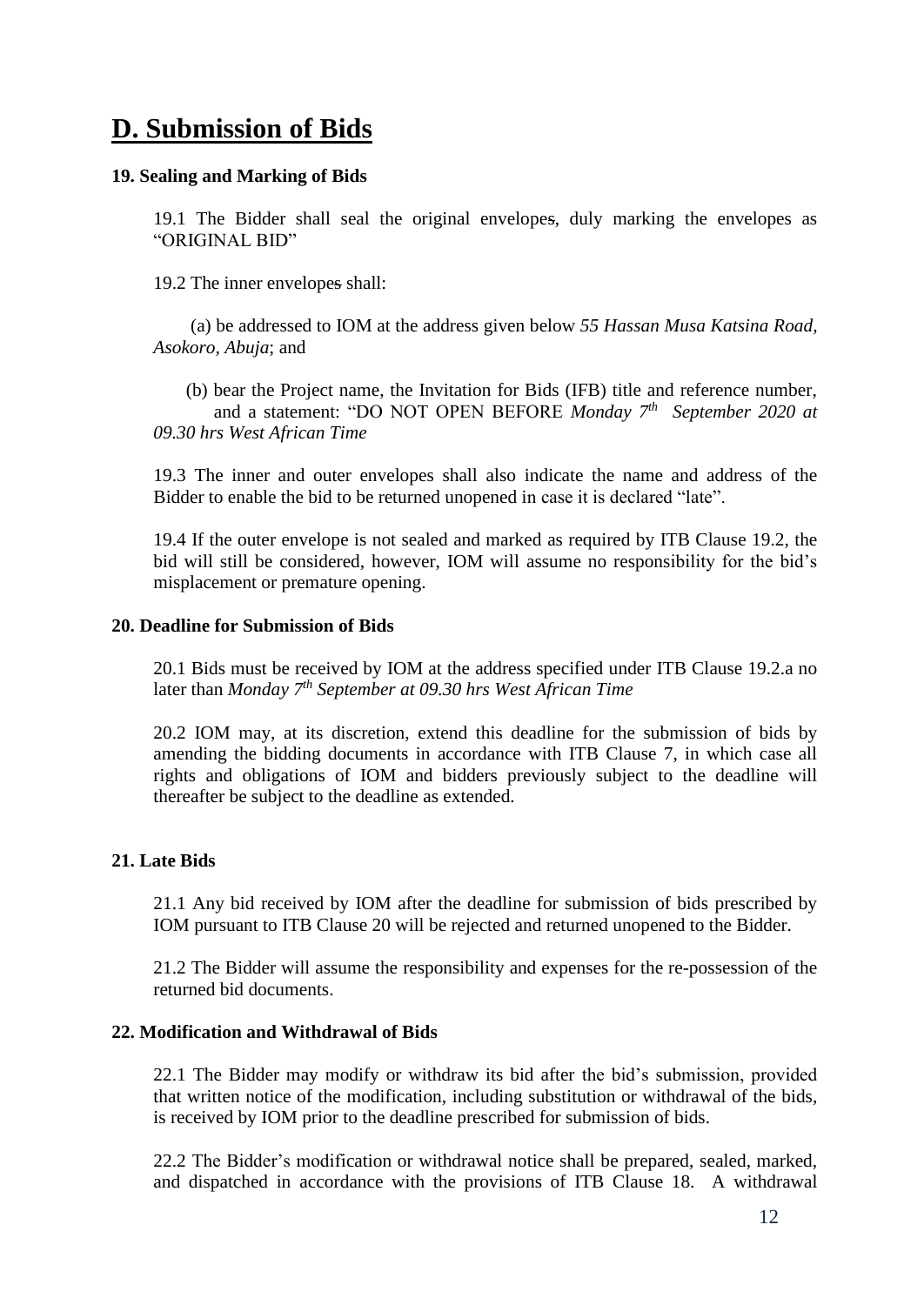# <span id="page-11-0"></span>**D. Submission of Bids**

#### <span id="page-11-1"></span>**19. Sealing and Marking of Bids**

19.1 The Bidder shall seal the original envelopes, duly marking the envelopes as "ORIGINAL BID"

19.2 The inner envelopes shall:

 (a) be addressed to IOM at the address given below *55 Hassan Musa Katsina Road, Asokoro, Abuja*; and

 (b) bear the Project name, the Invitation for Bids (IFB) title and reference number, and a statement: "DO NOT OPEN BEFORE *Monday 7th September 2020 at 09.30 hrs West African Time* 

19.3 The inner and outer envelopes shall also indicate the name and address of the Bidder to enable the bid to be returned unopened in case it is declared "late".

19.4 If the outer envelope is not sealed and marked as required by ITB Clause 19.2, the bid will still be considered, however, IOM will assume no responsibility for the bid's misplacement or premature opening.

#### <span id="page-11-2"></span>**20. Deadline for Submission of Bids**

20.1 Bids must be received by IOM at the address specified under ITB Clause 19.2.a no later than *Monday 7th September at 09.30 hrs West African Time* 

20.2 IOM may, at its discretion, extend this deadline for the submission of bids by amending the bidding documents in accordance with ITB Clause 7, in which case all rights and obligations of IOM and bidders previously subject to the deadline will thereafter be subject to the deadline as extended.

## <span id="page-11-3"></span>**21. Late Bids**

21.1 Any bid received by IOM after the deadline for submission of bids prescribed by IOM pursuant to ITB Clause 20 will be rejected and returned unopened to the Bidder.

21.2 The Bidder will assume the responsibility and expenses for the re-possession of the returned bid documents.

#### <span id="page-11-4"></span>**22. Modification and Withdrawal of Bids**

22.1 The Bidder may modify or withdraw its bid after the bid's submission, provided that written notice of the modification, including substitution or withdrawal of the bids, is received by IOM prior to the deadline prescribed for submission of bids.

22.2 The Bidder's modification or withdrawal notice shall be prepared, sealed, marked, and dispatched in accordance with the provisions of ITB Clause 18. A withdrawal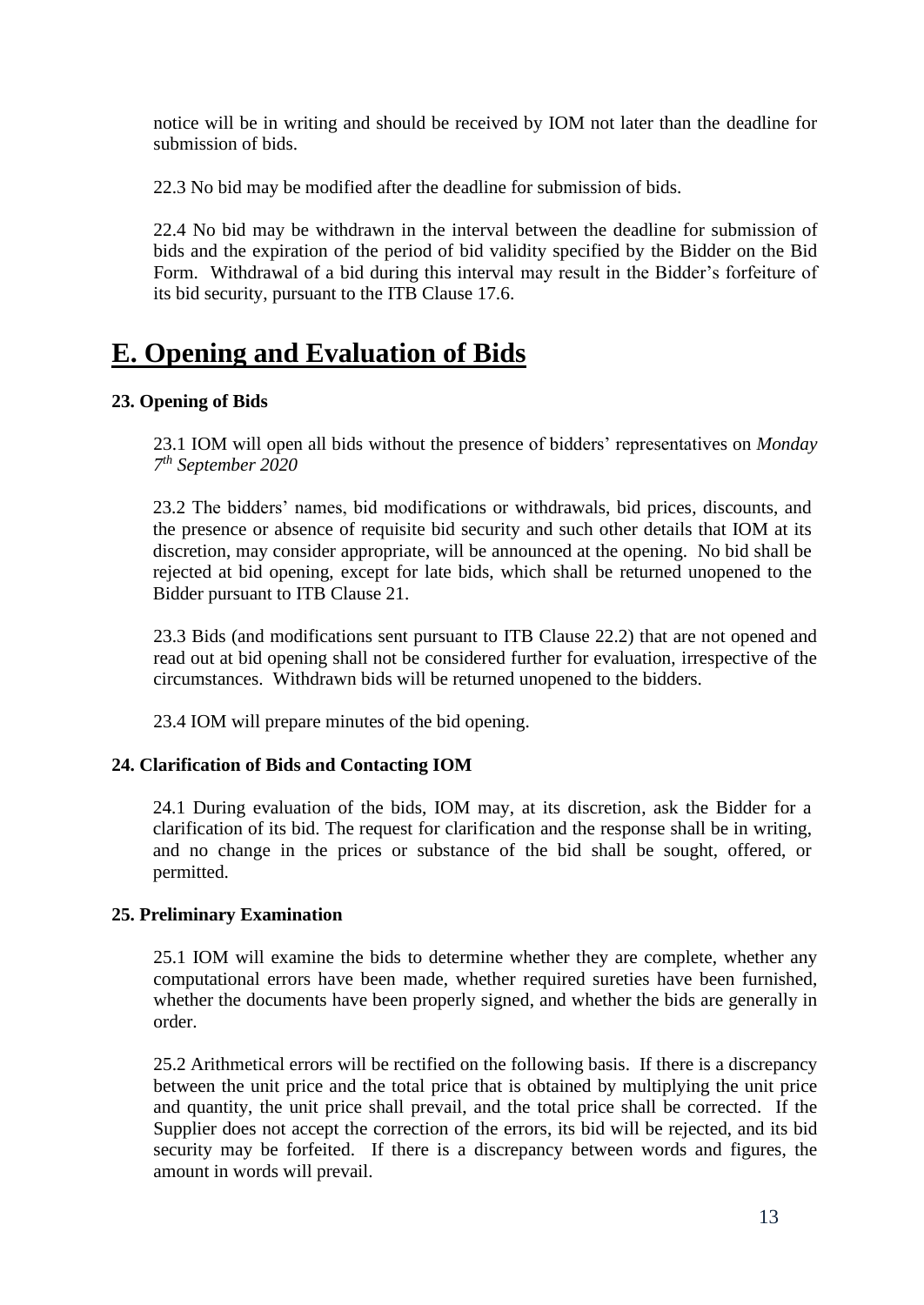notice will be in writing and should be received by IOM not later than the deadline for submission of bids.

22.3 No bid may be modified after the deadline for submission of bids.

22.4 No bid may be withdrawn in the interval between the deadline for submission of bids and the expiration of the period of bid validity specified by the Bidder on the Bid Form. Withdrawal of a bid during this interval may result in the Bidder's forfeiture of its bid security, pursuant to the ITB Clause 17.6.

# <span id="page-12-0"></span>**E. Opening and Evaluation of Bids**

# <span id="page-12-1"></span>**23. Opening of Bids**

23.1 IOM will open all bids without the presence of bidders' representatives on *Monday 7 th September 2020* 

23.2 The bidders' names, bid modifications or withdrawals, bid prices, discounts, and the presence or absence of requisite bid security and such other details that IOM at its discretion, may consider appropriate, will be announced at the opening. No bid shall be rejected at bid opening, except for late bids, which shall be returned unopened to the Bidder pursuant to ITB Clause 21.

23.3 Bids (and modifications sent pursuant to ITB Clause 22.2) that are not opened and read out at bid opening shall not be considered further for evaluation, irrespective of the circumstances. Withdrawn bids will be returned unopened to the bidders.

23.4 IOM will prepare minutes of the bid opening.

# <span id="page-12-2"></span>**24. Clarification of Bids and Contacting IOM**

24.1 During evaluation of the bids, IOM may, at its discretion, ask the Bidder for a clarification of its bid. The request for clarification and the response shall be in writing, and no change in the prices or substance of the bid shall be sought, offered, or permitted.

# <span id="page-12-3"></span>**25. Preliminary Examination**

25.1 IOM will examine the bids to determine whether they are complete, whether any computational errors have been made, whether required sureties have been furnished, whether the documents have been properly signed, and whether the bids are generally in order.

25.2 Arithmetical errors will be rectified on the following basis. If there is a discrepancy between the unit price and the total price that is obtained by multiplying the unit price and quantity, the unit price shall prevail, and the total price shall be corrected. If the Supplier does not accept the correction of the errors, its bid will be rejected, and its bid security may be forfeited. If there is a discrepancy between words and figures, the amount in words will prevail.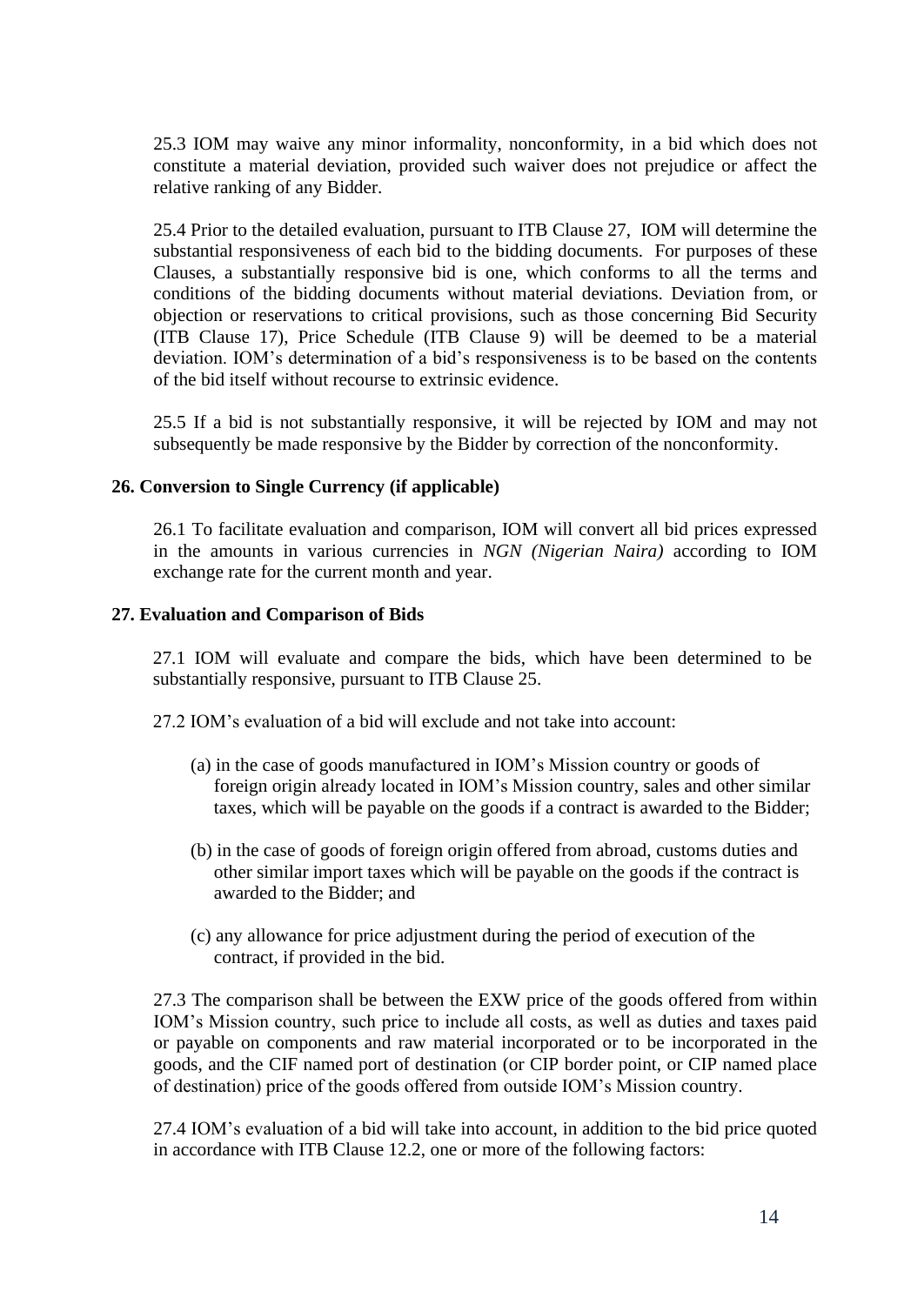25.3 IOM may waive any minor informality, nonconformity, in a bid which does not constitute a material deviation, provided such waiver does not prejudice or affect the relative ranking of any Bidder.

25.4 Prior to the detailed evaluation, pursuant to ITB Clause 27, IOM will determine the substantial responsiveness of each bid to the bidding documents. For purposes of these Clauses, a substantially responsive bid is one, which conforms to all the terms and conditions of the bidding documents without material deviations. Deviation from, or objection or reservations to critical provisions, such as those concerning Bid Security (ITB Clause 17), Price Schedule (ITB Clause 9) will be deemed to be a material deviation. IOM's determination of a bid's responsiveness is to be based on the contents of the bid itself without recourse to extrinsic evidence.

25.5 If a bid is not substantially responsive, it will be rejected by IOM and may not subsequently be made responsive by the Bidder by correction of the nonconformity.

## <span id="page-13-0"></span>**26. Conversion to Single Currency (if applicable)**

26.1 To facilitate evaluation and comparison, IOM will convert all bid prices expressed in the amounts in various currencies in *NGN (Nigerian Naira)* according to IOM exchange rate for the current month and year.

## <span id="page-13-1"></span>**27. Evaluation and Comparison of Bids**

27.1 IOM will evaluate and compare the bids, which have been determined to be substantially responsive, pursuant to ITB Clause 25.

27.2 IOM's evaluation of a bid will exclude and not take into account:

- (a) in the case of goods manufactured in IOM's Mission country or goods of foreign origin already located in IOM's Mission country, sales and other similar taxes, which will be payable on the goods if a contract is awarded to the Bidder;
- (b) in the case of goods of foreign origin offered from abroad, customs duties and other similar import taxes which will be payable on the goods if the contract is awarded to the Bidder; and
- (c) any allowance for price adjustment during the period of execution of the contract, if provided in the bid.

27.3 The comparison shall be between the EXW price of the goods offered from within IOM's Mission country, such price to include all costs, as well as duties and taxes paid or payable on components and raw material incorporated or to be incorporated in the goods, and the CIF named port of destination (or CIP border point, or CIP named place of destination) price of the goods offered from outside IOM's Mission country.

27.4 IOM's evaluation of a bid will take into account, in addition to the bid price quoted in accordance with ITB Clause 12.2, one or more of the following factors: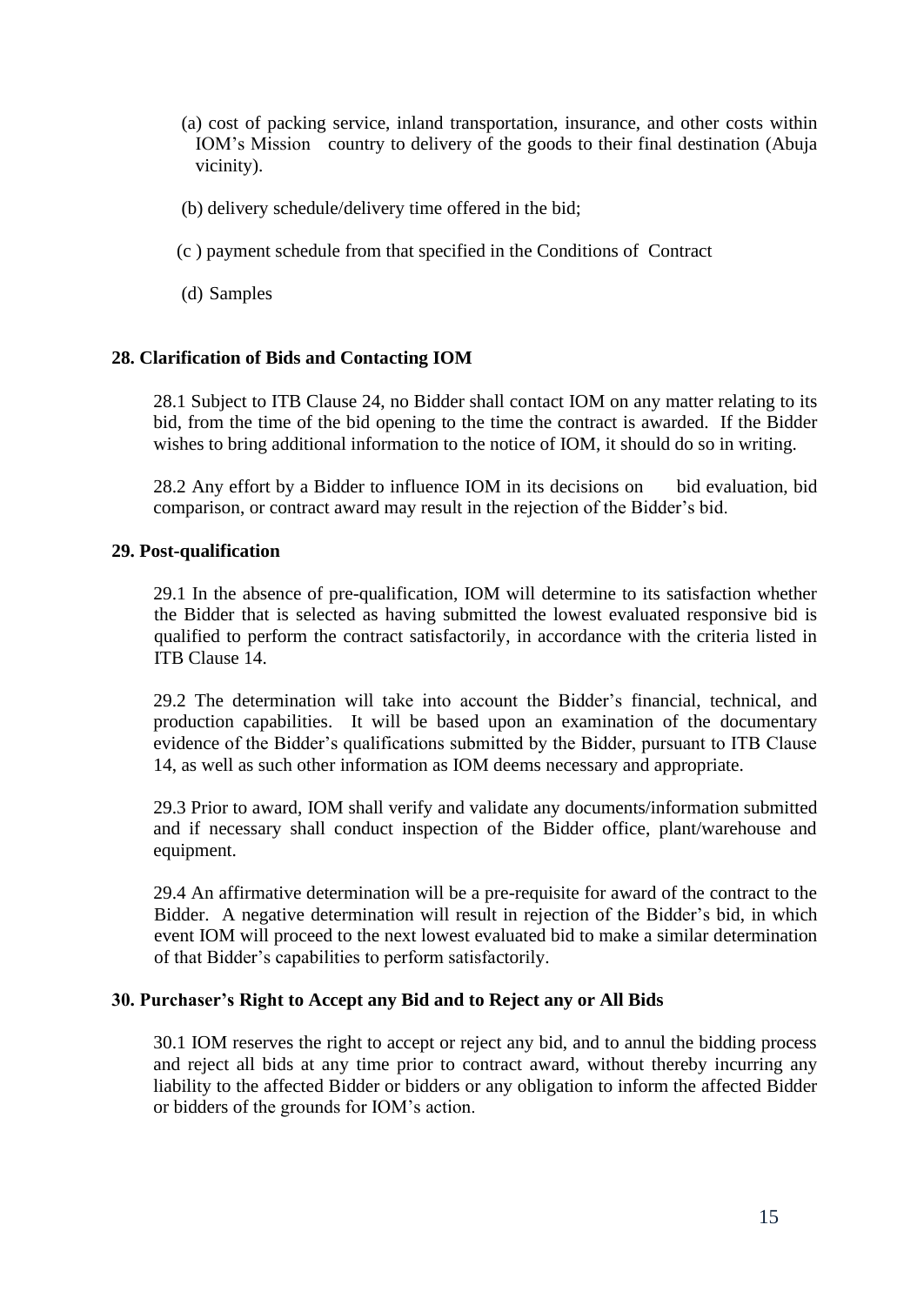- (a) cost of packing service, inland transportation, insurance, and other costs within IOM's Mission country to delivery of the goods to their final destination (Abuja vicinity).
- (b) delivery schedule/delivery time offered in the bid;
- (c ) payment schedule from that specified in the Conditions of Contract
- (d) Samples

# <span id="page-14-0"></span>**28. Clarification of Bids and Contacting IOM**

28.1 Subject to ITB Clause 24, no Bidder shall contact IOM on any matter relating to its bid, from the time of the bid opening to the time the contract is awarded. If the Bidder wishes to bring additional information to the notice of IOM, it should do so in writing.

28.2 Any effort by a Bidder to influence IOM in its decisions on bid evaluation, bid comparison, or contract award may result in the rejection of the Bidder's bid.

## <span id="page-14-1"></span>**29. Post-qualification**

29.1 In the absence of pre-qualification, IOM will determine to its satisfaction whether the Bidder that is selected as having submitted the lowest evaluated responsive bid is qualified to perform the contract satisfactorily, in accordance with the criteria listed in ITB Clause 14.

29.2 The determination will take into account the Bidder's financial, technical, and production capabilities. It will be based upon an examination of the documentary evidence of the Bidder's qualifications submitted by the Bidder, pursuant to ITB Clause 14, as well as such other information as IOM deems necessary and appropriate.

29.3 Prior to award, IOM shall verify and validate any documents/information submitted and if necessary shall conduct inspection of the Bidder office, plant/warehouse and equipment.

29.4 An affirmative determination will be a pre-requisite for award of the contract to the Bidder. A negative determination will result in rejection of the Bidder's bid, in which event IOM will proceed to the next lowest evaluated bid to make a similar determination of that Bidder's capabilities to perform satisfactorily.

## <span id="page-14-2"></span>**30. Purchaser's Right to Accept any Bid and to Reject any or All Bids**

30.1 IOM reserves the right to accept or reject any bid, and to annul the bidding process and reject all bids at any time prior to contract award, without thereby incurring any liability to the affected Bidder or bidders or any obligation to inform the affected Bidder or bidders of the grounds for IOM's action.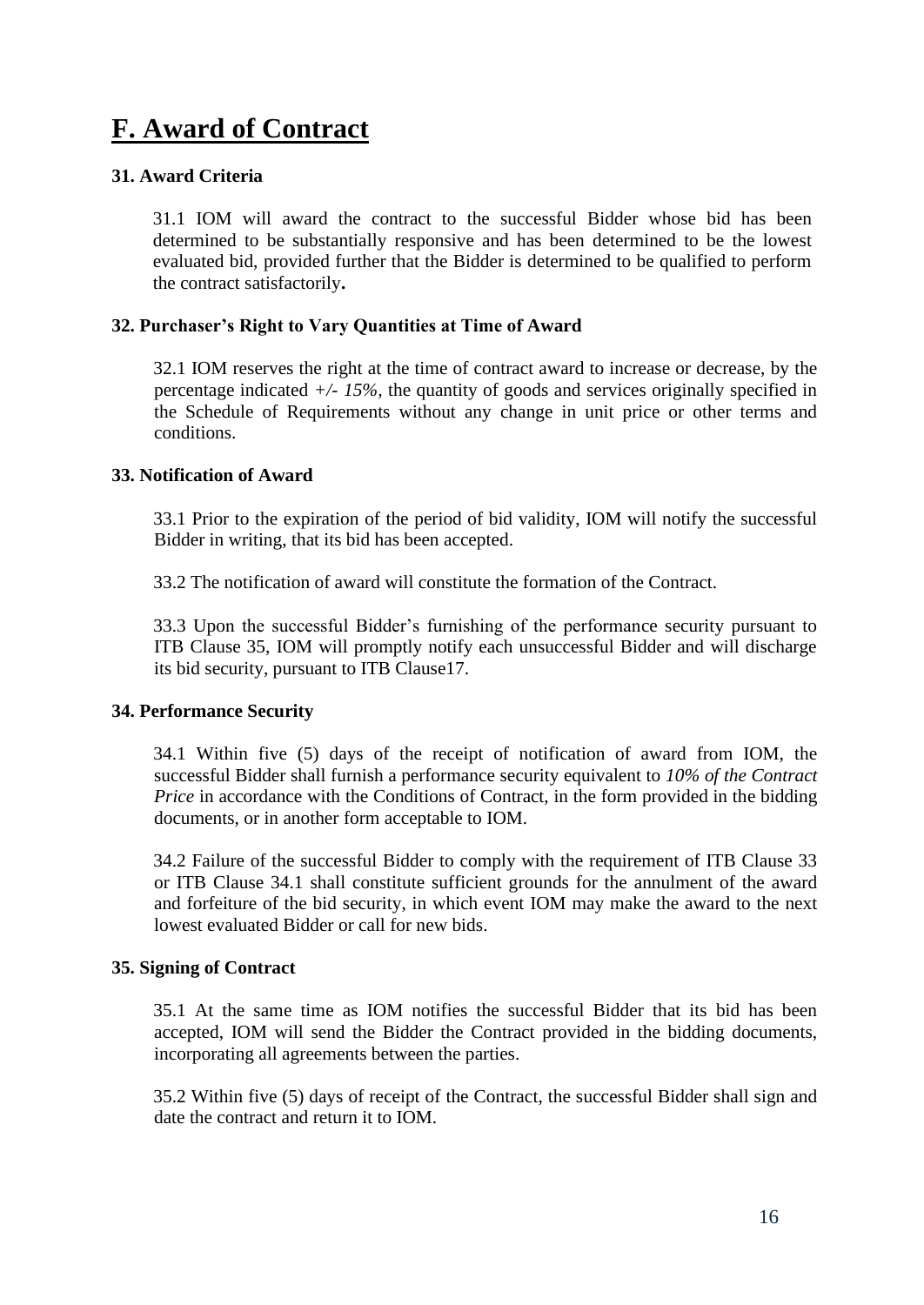# <span id="page-15-0"></span>**F. Award of Contract**

# <span id="page-15-1"></span>**31. Award Criteria**

31.1 IOM will award the contract to the successful Bidder whose bid has been determined to be substantially responsive and has been determined to be the lowest evaluated bid, provided further that the Bidder is determined to be qualified to perform the contract satisfactorily**.**

# <span id="page-15-2"></span>**32. Purchaser's Right to Vary Quantities at Time of Award**

32.1 IOM reserves the right at the time of contract award to increase or decrease, by the percentage indicated *+/- 15%,* the quantity of goods and services originally specified in the Schedule of Requirements without any change in unit price or other terms and conditions.

# <span id="page-15-3"></span>**33. Notification of Award**

33.1 Prior to the expiration of the period of bid validity, IOM will notify the successful Bidder in writing, that its bid has been accepted.

33.2 The notification of award will constitute the formation of the Contract.

33.3 Upon the successful Bidder's furnishing of the performance security pursuant to ITB Clause 35, IOM will promptly notify each unsuccessful Bidder and will discharge its bid security, pursuant to ITB Clause17.

## <span id="page-15-4"></span>**34. Performance Security**

34.1 Within five (5) days of the receipt of notification of award from IOM, the successful Bidder shall furnish a performance security equivalent to *10% of the Contract Price* in accordance with the Conditions of Contract, in the form provided in the bidding documents, or in another form acceptable to IOM.

34.2 Failure of the successful Bidder to comply with the requirement of ITB Clause 33 or ITB Clause 34.1 shall constitute sufficient grounds for the annulment of the award and forfeiture of the bid security, in which event IOM may make the award to the next lowest evaluated Bidder or call for new bids.

## <span id="page-15-5"></span>**35. Signing of Contract**

35.1 At the same time as IOM notifies the successful Bidder that its bid has been accepted, IOM will send the Bidder the Contract provided in the bidding documents, incorporating all agreements between the parties.

35.2 Within five (5) days of receipt of the Contract, the successful Bidder shall sign and date the contract and return it to IOM.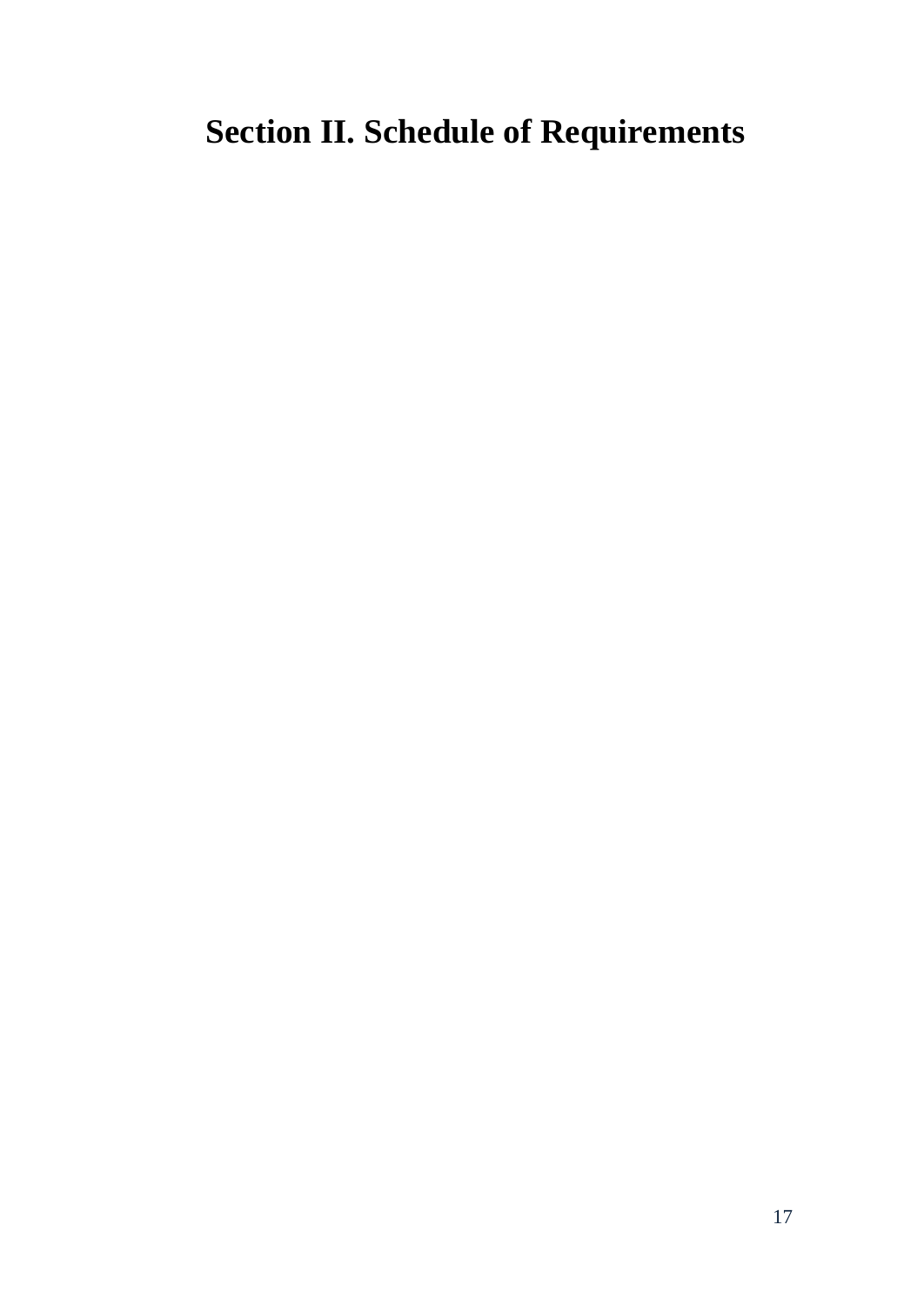# <span id="page-16-0"></span>**Section II. Schedule of Requirements**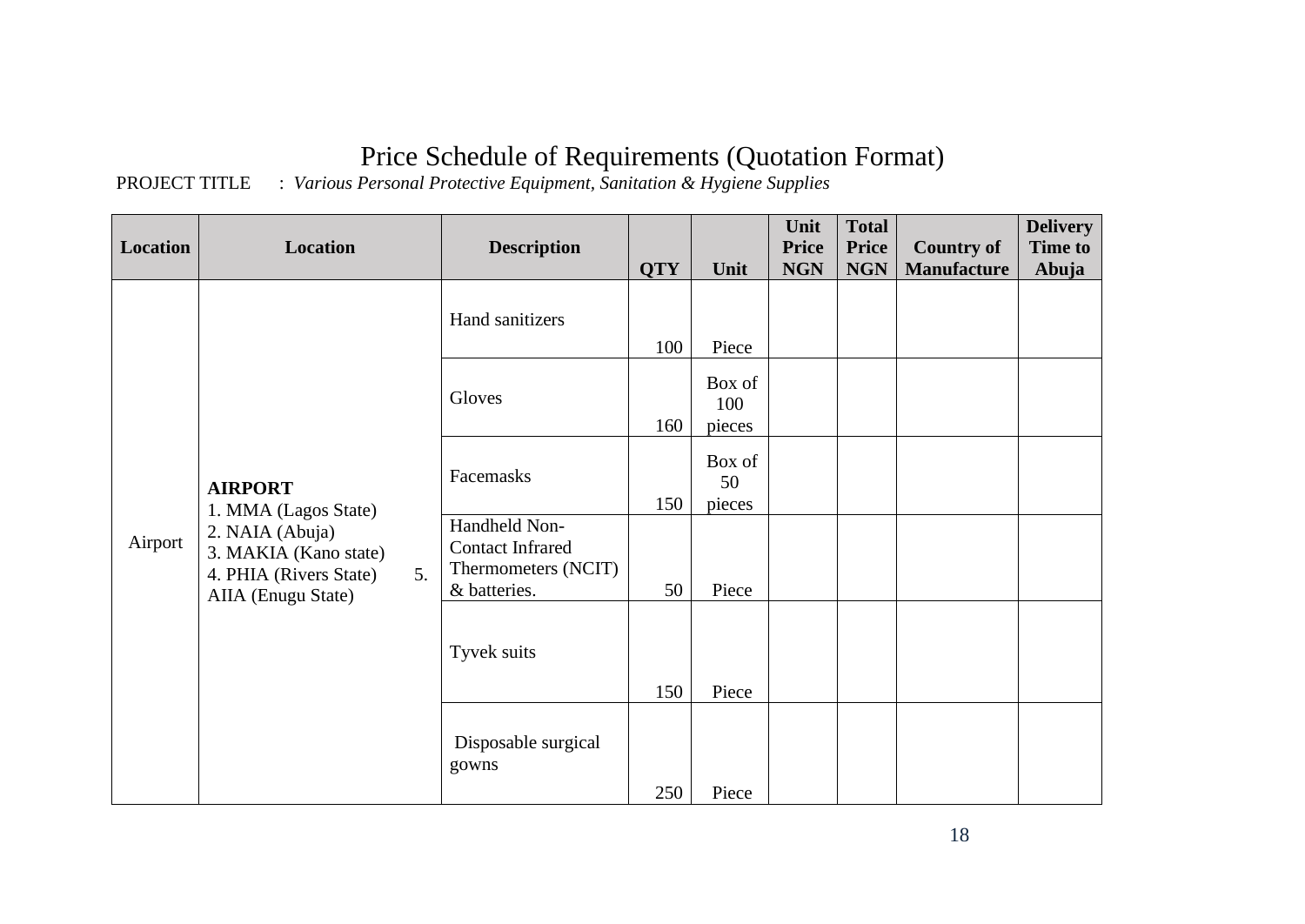# Price Schedule of Requirements (Quotation Format)

# PROJECT TITLE : *Various Personal Protective Equipment, Sanitation & Hygiene Supplies*

| <b>Location</b> | <b>Location</b>                                                                                | <b>Description</b>                                                              |            |                         | Unit<br><b>Price</b> | <b>Total</b><br><b>Price</b> | <b>Country of</b>  | <b>Delivery</b><br><b>Time to</b> |
|-----------------|------------------------------------------------------------------------------------------------|---------------------------------------------------------------------------------|------------|-------------------------|----------------------|------------------------------|--------------------|-----------------------------------|
|                 |                                                                                                |                                                                                 | <b>QTY</b> | Unit                    | <b>NGN</b>           | <b>NGN</b>                   | <b>Manufacture</b> | Abuja                             |
|                 |                                                                                                | Hand sanitizers                                                                 | 100        | Piece                   |                      |                              |                    |                                   |
|                 |                                                                                                | Gloves                                                                          | 160        | Box of<br>100<br>pieces |                      |                              |                    |                                   |
|                 | <b>AIRPORT</b><br>1. MMA (Lagos State)                                                         | Facemasks                                                                       | 150        | Box of<br>50<br>pieces  |                      |                              |                    |                                   |
| Airport         | 2. NAIA (Abuja)<br>3. MAKIA (Kano state)<br>4. PHIA (Rivers State)<br>5.<br>AIIA (Enugu State) | Handheld Non-<br><b>Contact Infrared</b><br>Thermometers (NCIT)<br>& batteries. | 50         | Piece                   |                      |                              |                    |                                   |
|                 |                                                                                                | Tyvek suits                                                                     | 150        | Piece                   |                      |                              |                    |                                   |
|                 |                                                                                                | Disposable surgical<br>gowns                                                    | 250        | Piece                   |                      |                              |                    |                                   |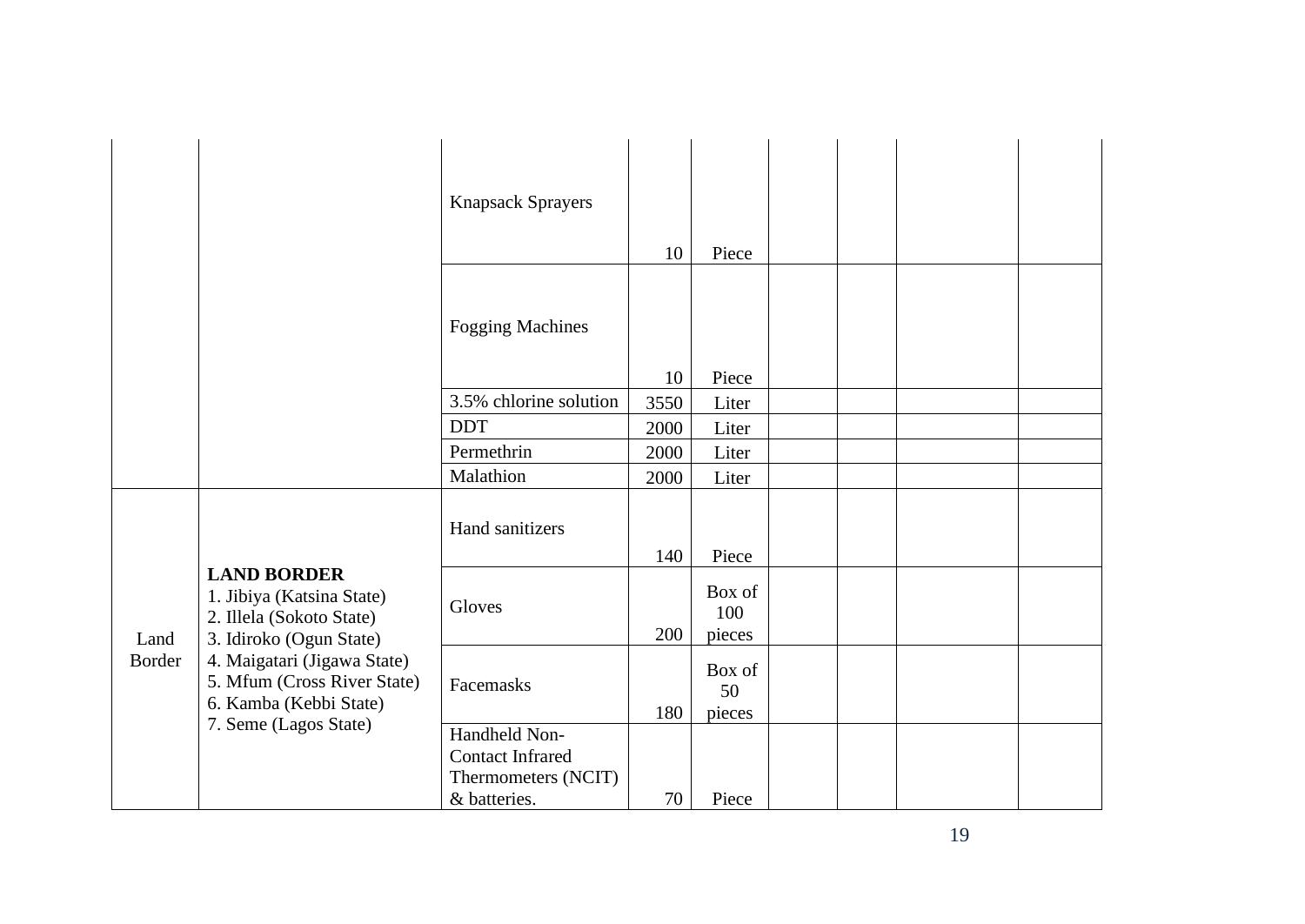|                |                                                                                                                                                                                                | <b>Knapsack Sprayers</b>                                                        | 10   | Piece                   |  |  |
|----------------|------------------------------------------------------------------------------------------------------------------------------------------------------------------------------------------------|---------------------------------------------------------------------------------|------|-------------------------|--|--|
|                |                                                                                                                                                                                                | <b>Fogging Machines</b>                                                         | 10   | Piece                   |  |  |
|                |                                                                                                                                                                                                | 3.5% chlorine solution                                                          | 3550 | Liter                   |  |  |
|                |                                                                                                                                                                                                | <b>DDT</b>                                                                      | 2000 | Liter                   |  |  |
|                |                                                                                                                                                                                                | Permethrin                                                                      | 2000 | Liter                   |  |  |
|                |                                                                                                                                                                                                | Malathion                                                                       | 2000 | Liter                   |  |  |
|                |                                                                                                                                                                                                | Hand sanitizers                                                                 | 140  | Piece                   |  |  |
| Land<br>Border | <b>LAND BORDER</b><br>1. Jibiya (Katsina State)<br>2. Illela (Sokoto State)<br>3. Idiroko (Ogun State)<br>4. Maigatari (Jigawa State)<br>5. Mfum (Cross River State)<br>6. Kamba (Kebbi State) | Gloves                                                                          | 200  | Box of<br>100<br>pieces |  |  |
|                |                                                                                                                                                                                                | Facemasks                                                                       | 180  | Box of<br>50<br>pieces  |  |  |
|                | 7. Seme (Lagos State)                                                                                                                                                                          | Handheld Non-<br><b>Contact Infrared</b><br>Thermometers (NCIT)<br>& batteries. | 70   | Piece                   |  |  |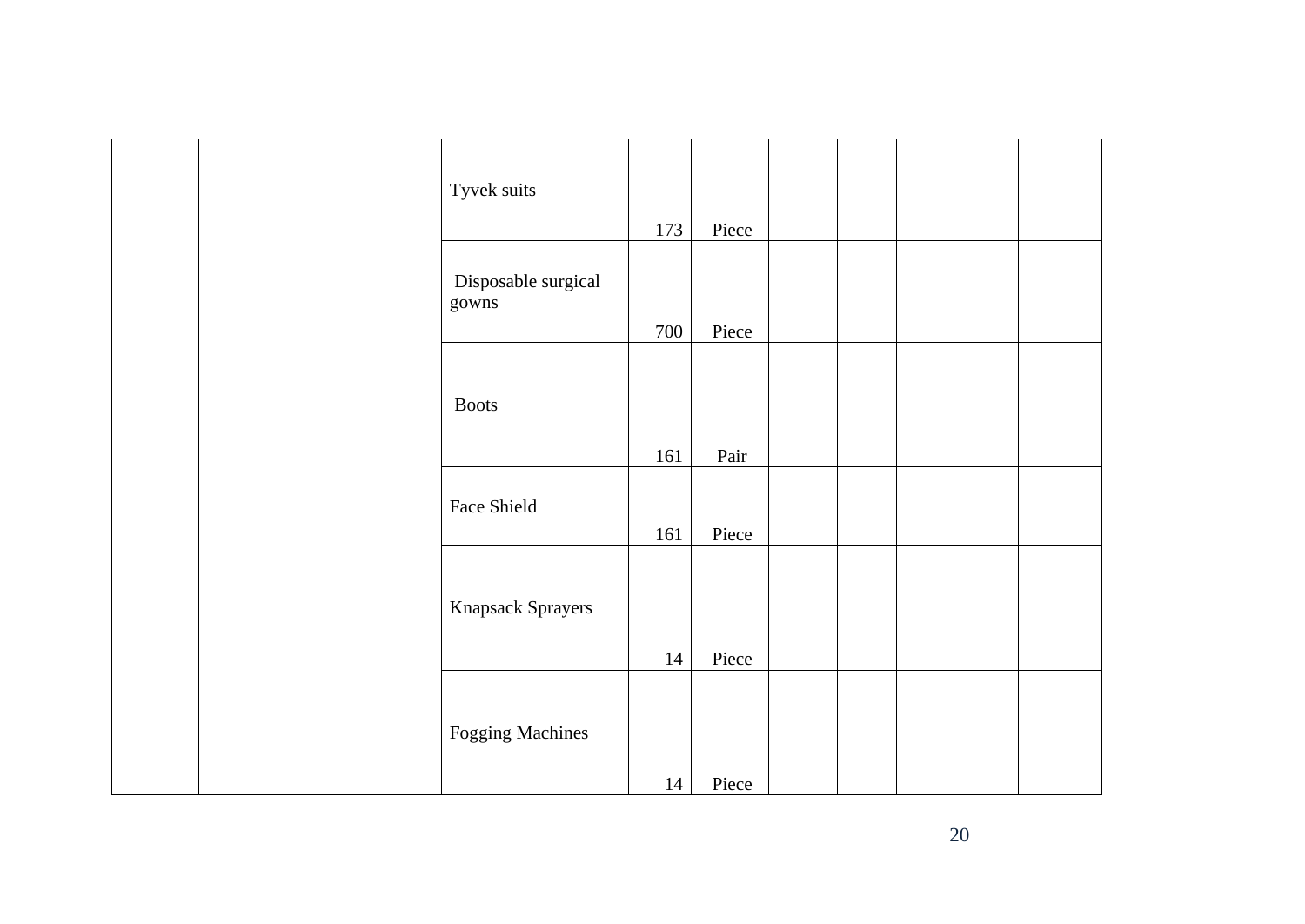| Tyvek suits                  |     |       |  |  |
|------------------------------|-----|-------|--|--|
|                              | 173 | Piece |  |  |
| Disposable surgical<br>gowns | 700 | Piece |  |  |
|                              |     |       |  |  |
| <b>Boots</b>                 |     |       |  |  |
|                              | 161 | Pair  |  |  |
| Face Shield                  | 161 | Piece |  |  |
|                              |     |       |  |  |
| Knapsack Sprayers            |     |       |  |  |
|                              | 14  | Piece |  |  |
| <b>Fogging Machines</b>      |     |       |  |  |
|                              | 14  | Piece |  |  |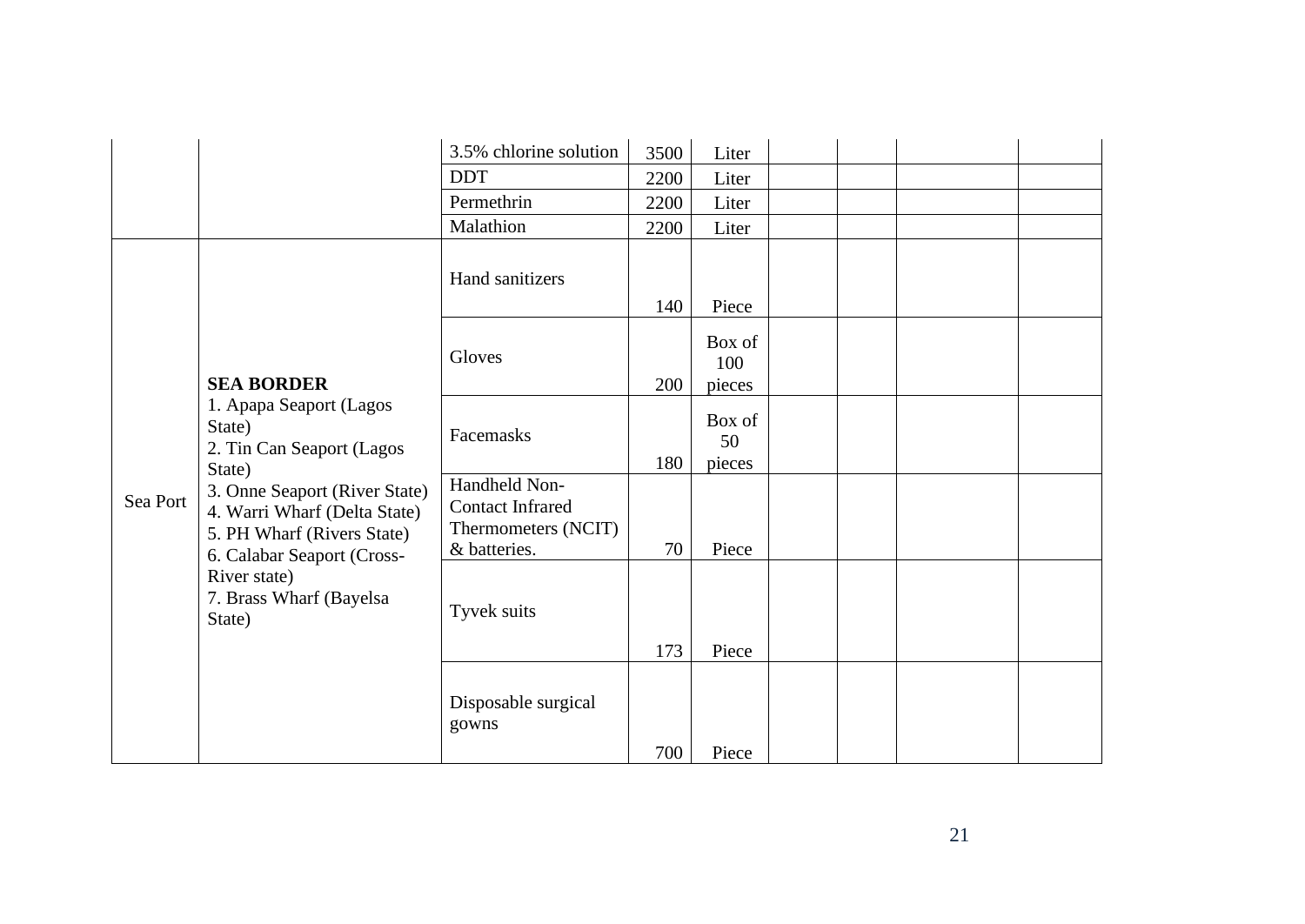|                                                                             |                                                                                                                                                                                                              | 3.5% chlorine solution                                                          | 3500 | Liter                   |  |  |
|-----------------------------------------------------------------------------|--------------------------------------------------------------------------------------------------------------------------------------------------------------------------------------------------------------|---------------------------------------------------------------------------------|------|-------------------------|--|--|
|                                                                             |                                                                                                                                                                                                              | <b>DDT</b>                                                                      | 2200 | Liter                   |  |  |
|                                                                             |                                                                                                                                                                                                              | Permethrin                                                                      | 2200 | Liter                   |  |  |
|                                                                             |                                                                                                                                                                                                              | Malathion                                                                       | 2200 | Liter                   |  |  |
|                                                                             |                                                                                                                                                                                                              | Hand sanitizers                                                                 | 140  | Piece                   |  |  |
| <b>SEA BORDER</b><br>State)<br>State)<br>Sea Port<br>River state)<br>State) |                                                                                                                                                                                                              | Gloves                                                                          | 200  | Box of<br>100<br>pieces |  |  |
|                                                                             | 1. Apapa Seaport (Lagos<br>2. Tin Can Seaport (Lagos<br>3. Onne Seaport (River State)<br>4. Warri Wharf (Delta State)<br>5. PH Wharf (Rivers State)<br>6. Calabar Seaport (Cross-<br>7. Brass Wharf (Bayelsa | Facemasks                                                                       | 180  | Box of<br>50<br>pieces  |  |  |
|                                                                             |                                                                                                                                                                                                              | Handheld Non-<br><b>Contact Infrared</b><br>Thermometers (NCIT)<br>& batteries. | 70   | Piece                   |  |  |
|                                                                             |                                                                                                                                                                                                              | Tyvek suits                                                                     | 173  | Piece                   |  |  |
|                                                                             |                                                                                                                                                                                                              | Disposable surgical<br>gowns                                                    | 700  | Piece                   |  |  |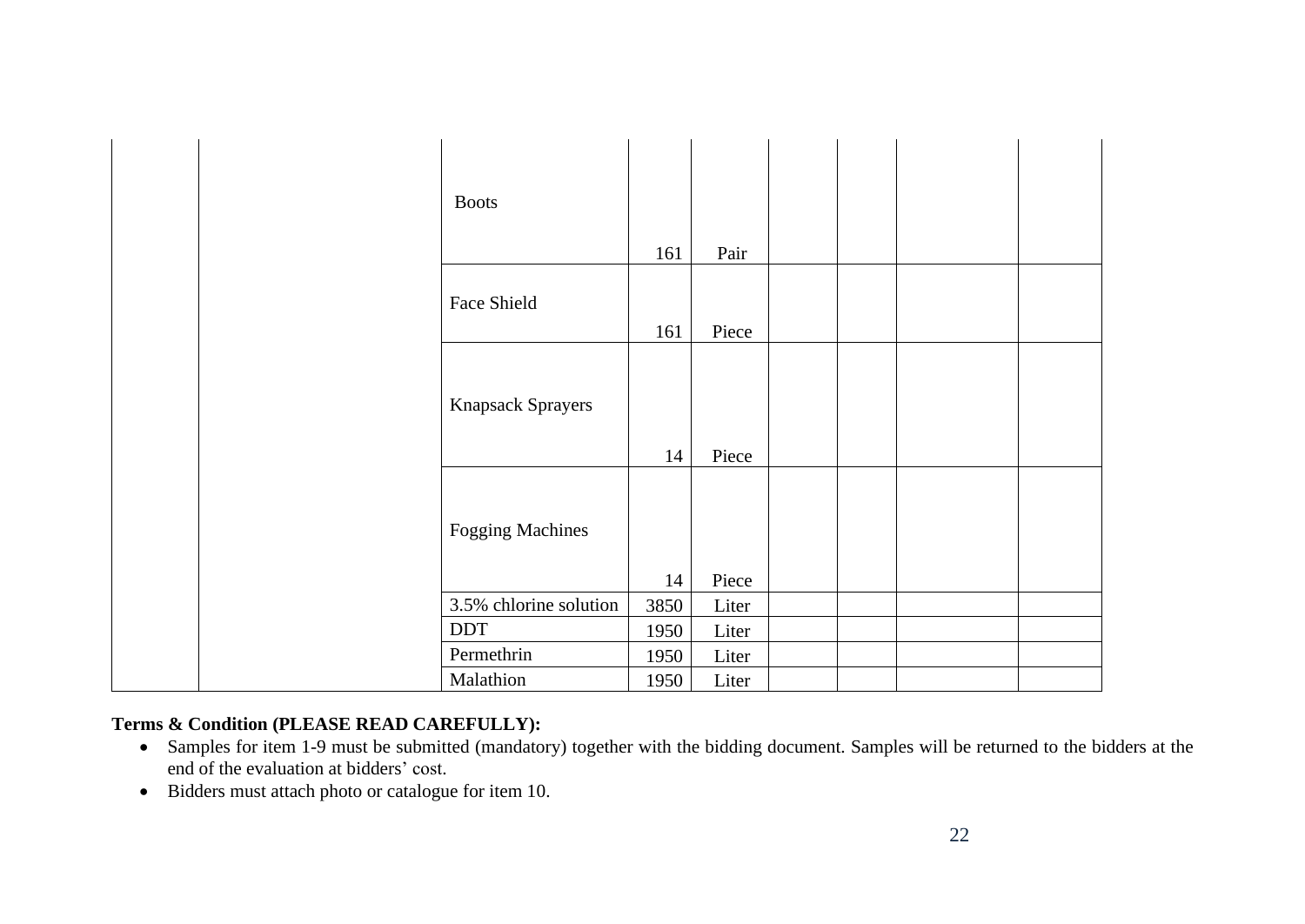|  | <b>Boots</b>             |      |       |  |  |
|--|--------------------------|------|-------|--|--|
|  |                          | 161  | Pair  |  |  |
|  | Face Shield              | 161  | Piece |  |  |
|  | <b>Knapsack Sprayers</b> | 14   | Piece |  |  |
|  | <b>Fogging Machines</b>  | 14   | Piece |  |  |
|  | 3.5% chlorine solution   | 3850 | Liter |  |  |
|  | <b>DDT</b>               | 1950 | Liter |  |  |
|  | Permethrin               | 1950 | Liter |  |  |
|  | Malathion                | 1950 | Liter |  |  |

# **Terms & Condition (PLEASE READ CAREFULLY):**

- Samples for item 1-9 must be submitted (mandatory) together with the bidding document. Samples will be returned to the bidders at the end of the evaluation at bidders' cost.
- Bidders must attach photo or catalogue for item 10.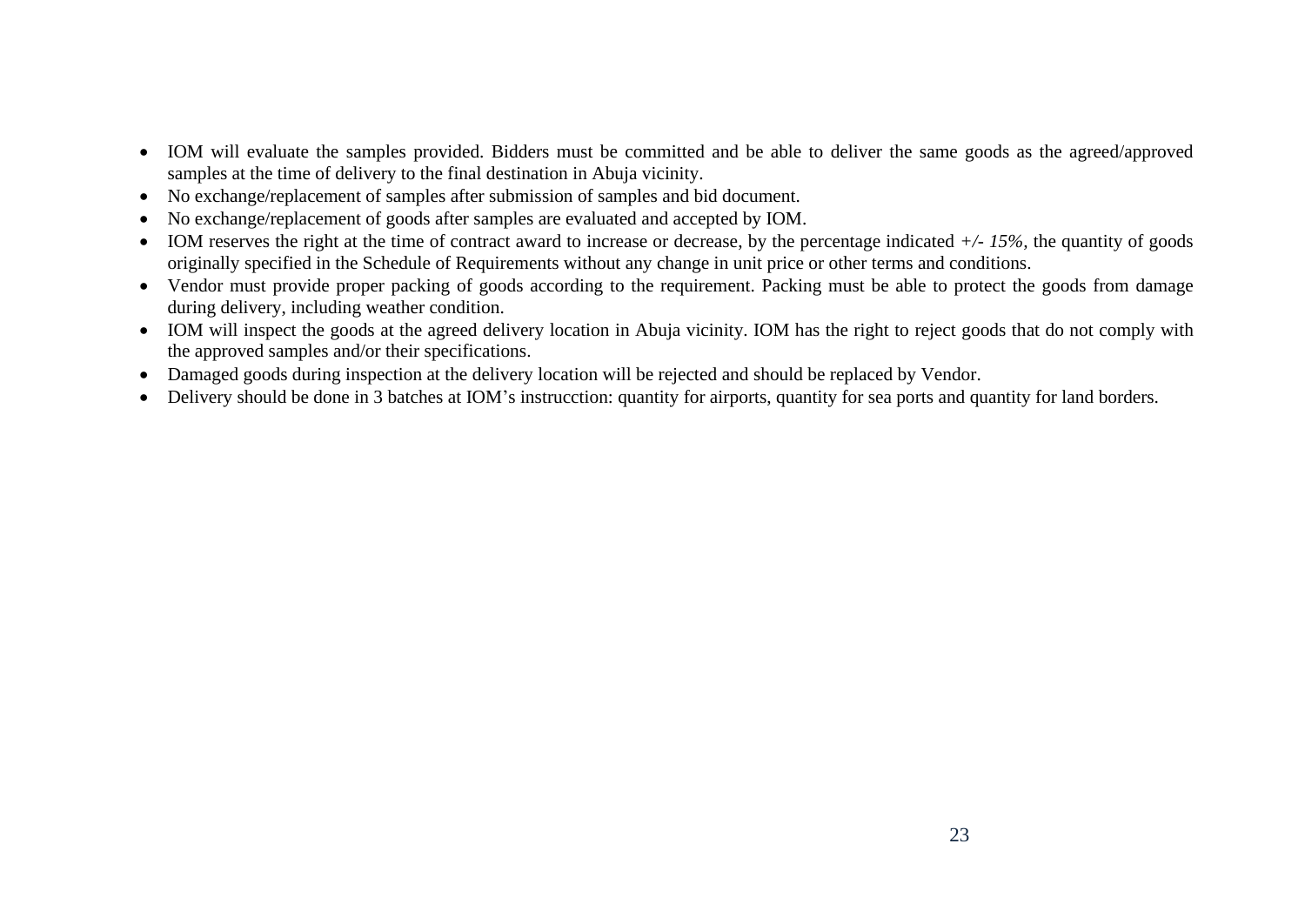- IOM will evaluate the samples provided. Bidders must be committed and be able to deliver the same goods as the agreed/approved samples at the time of delivery to the final destination in Abuja vicinity.
- No exchange/replacement of samples after submission of samples and bid document.
- No exchange/replacement of goods after samples are evaluated and accepted by IOM.
- IOM reserves the right at the time of contract award to increase or decrease, by the percentage indicated *+/- 15%,* the quantity of goods originally specified in the Schedule of Requirements without any change in unit price or other terms and conditions.
- Vendor must provide proper packing of goods according to the requirement. Packing must be able to protect the goods from damage during delivery, including weather condition.
- IOM will inspect the goods at the agreed delivery location in Abuja vicinity. IOM has the right to reject goods that do not comply with the approved samples and/or their specifications.
- Damaged goods during inspection at the delivery location will be rejected and should be replaced by Vendor.
- Delivery should be done in 3 batches at IOM's instrucction: quantity for airports, quantity for sea ports and quantity for land borders.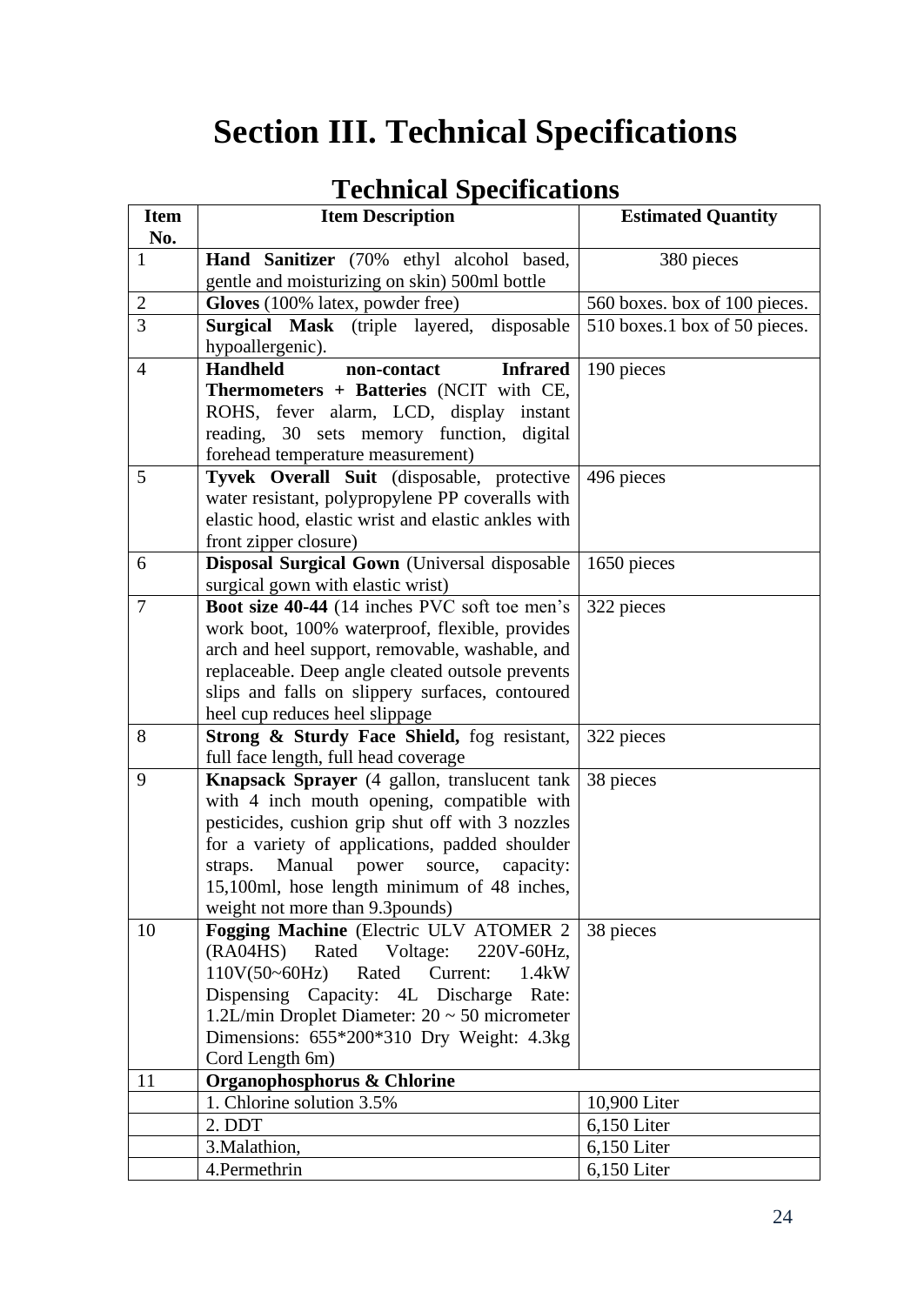# <span id="page-23-0"></span>**Section III. Technical Specifications**

| <b>Item</b>      | $\sim$<br><b>Item Description</b>                                                  | <b>Estimated Quantity</b>     |
|------------------|------------------------------------------------------------------------------------|-------------------------------|
| No.              |                                                                                    |                               |
| $\mathbf{1}$     | Hand Sanitizer (70% ethyl alcohol based,                                           | 380 pieces                    |
|                  | gentle and moisturizing on skin) 500ml bottle                                      |                               |
| $\boldsymbol{2}$ | Gloves (100% latex, powder free)                                                   | 560 boxes. box of 100 pieces. |
| 3                | Surgical Mask (triple layered, disposable                                          | 510 boxes.1 box of 50 pieces. |
|                  | hypoallergenic).                                                                   |                               |
| $\overline{4}$   | <b>Handheld</b><br>non-contact<br><b>Infrared</b>                                  | 190 pieces                    |
|                  | Thermometers + Batteries (NCIT with CE,                                            |                               |
|                  | ROHS, fever alarm, LCD, display instant                                            |                               |
|                  | reading, 30 sets memory function, digital                                          |                               |
|                  | forehead temperature measurement)                                                  |                               |
| 5                | Tyvek Overall Suit (disposable, protective                                         | 496 pieces                    |
|                  | water resistant, polypropylene PP coveralls with                                   |                               |
|                  | elastic hood, elastic wrist and elastic ankles with                                |                               |
|                  | front zipper closure)                                                              |                               |
| 6                | <b>Disposal Surgical Gown</b> (Universal disposable                                | 1650 pieces                   |
| $\overline{7}$   | surgical gown with elastic wrist)<br>Boot size 40-44 (14 inches PVC soft toe men's | 322 pieces                    |
|                  | work boot, 100% waterproof, flexible, provides                                     |                               |
|                  | arch and heel support, removable, washable, and                                    |                               |
|                  | replaceable. Deep angle cleated outsole prevents                                   |                               |
|                  | slips and falls on slippery surfaces, contoured                                    |                               |
|                  | heel cup reduces heel slippage                                                     |                               |
| 8                | Strong & Sturdy Face Shield, fog resistant,                                        | 322 pieces                    |
|                  | full face length, full head coverage                                               |                               |
| 9                | <b>Knapsack Sprayer</b> (4 gallon, translucent tank                                | 38 pieces                     |
|                  | with 4 inch mouth opening, compatible with                                         |                               |
|                  | pesticides, cushion grip shut off with 3 nozzles                                   |                               |
|                  | for a variety of applications, padded shoulder                                     |                               |
|                  | straps.<br>Manual power source, capacity:                                          |                               |
|                  | 15,100ml, hose length minimum of 48 inches,                                        |                               |
|                  | weight not more than 9.3 pounds)                                                   |                               |
| 10               | Fogging Machine (Electric ULV ATOMER 2                                             | 38 pieces                     |
|                  | (RAO4HS)<br>Voltage:<br>Rated<br>220V-60Hz,                                        |                               |
|                  | $110V(50-60Hz)$<br>Current:<br>Rated<br>1.4kW                                      |                               |
|                  | Dispensing Capacity: 4L Discharge<br>Rate:                                         |                               |
|                  | 1.2L/min Droplet Diameter: $20 \sim 50$ micrometer                                 |                               |
|                  | Dimensions: 655*200*310 Dry Weight: 4.3kg                                          |                               |
|                  | Cord Length 6m)                                                                    |                               |
| 11               | Organophosphorus & Chlorine                                                        |                               |
|                  | 1. Chlorine solution 3.5%                                                          | 10,900 Liter                  |
|                  | 2. DDT                                                                             | 6,150 Liter                   |
|                  | 3. Malathion,                                                                      | $6,150$ Liter                 |
|                  | 4.Permethrin                                                                       | 6,150 Liter                   |

# **Technical Specifications**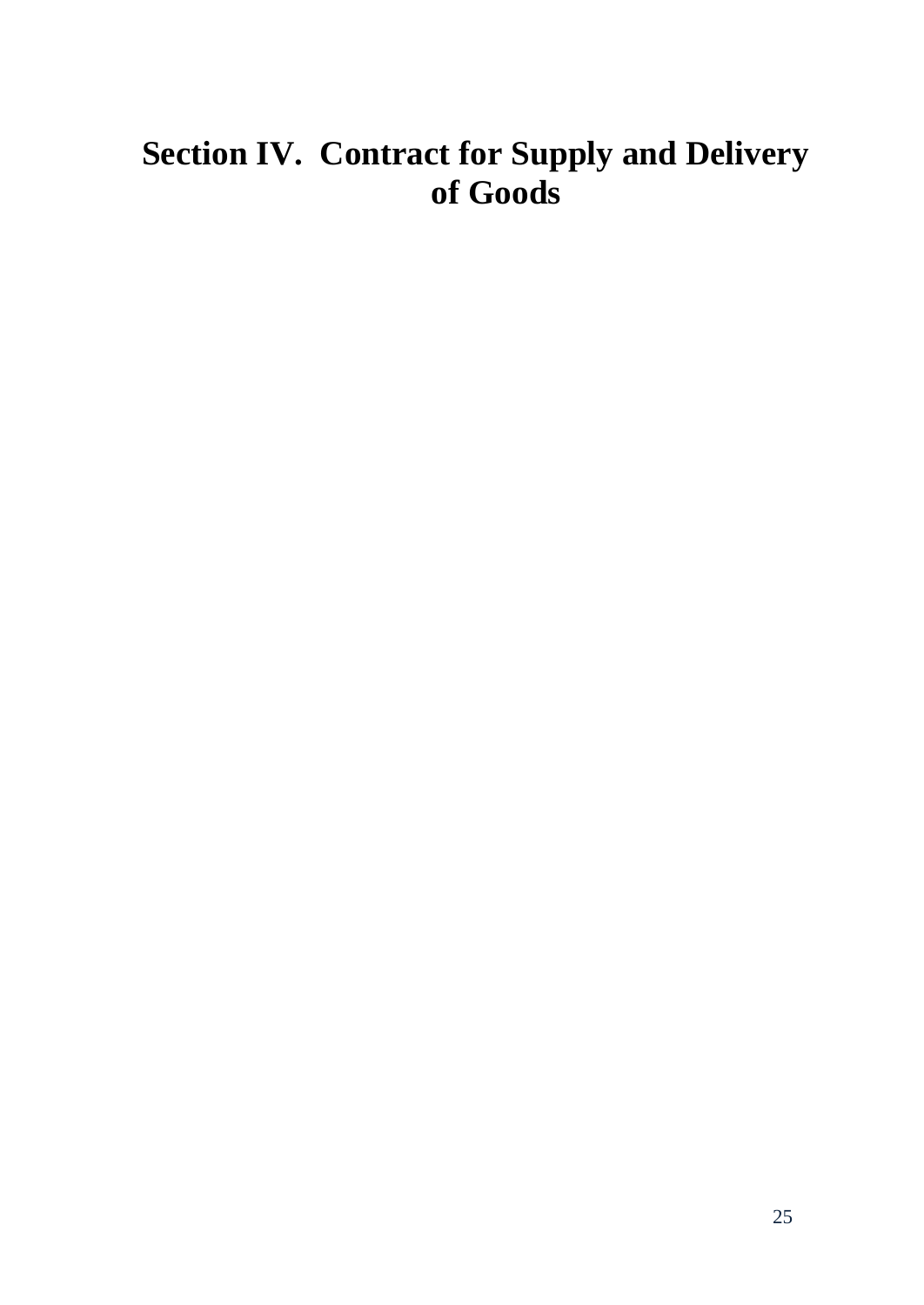# <span id="page-24-0"></span>**Section IV. Contract for Supply and Delivery of Goods**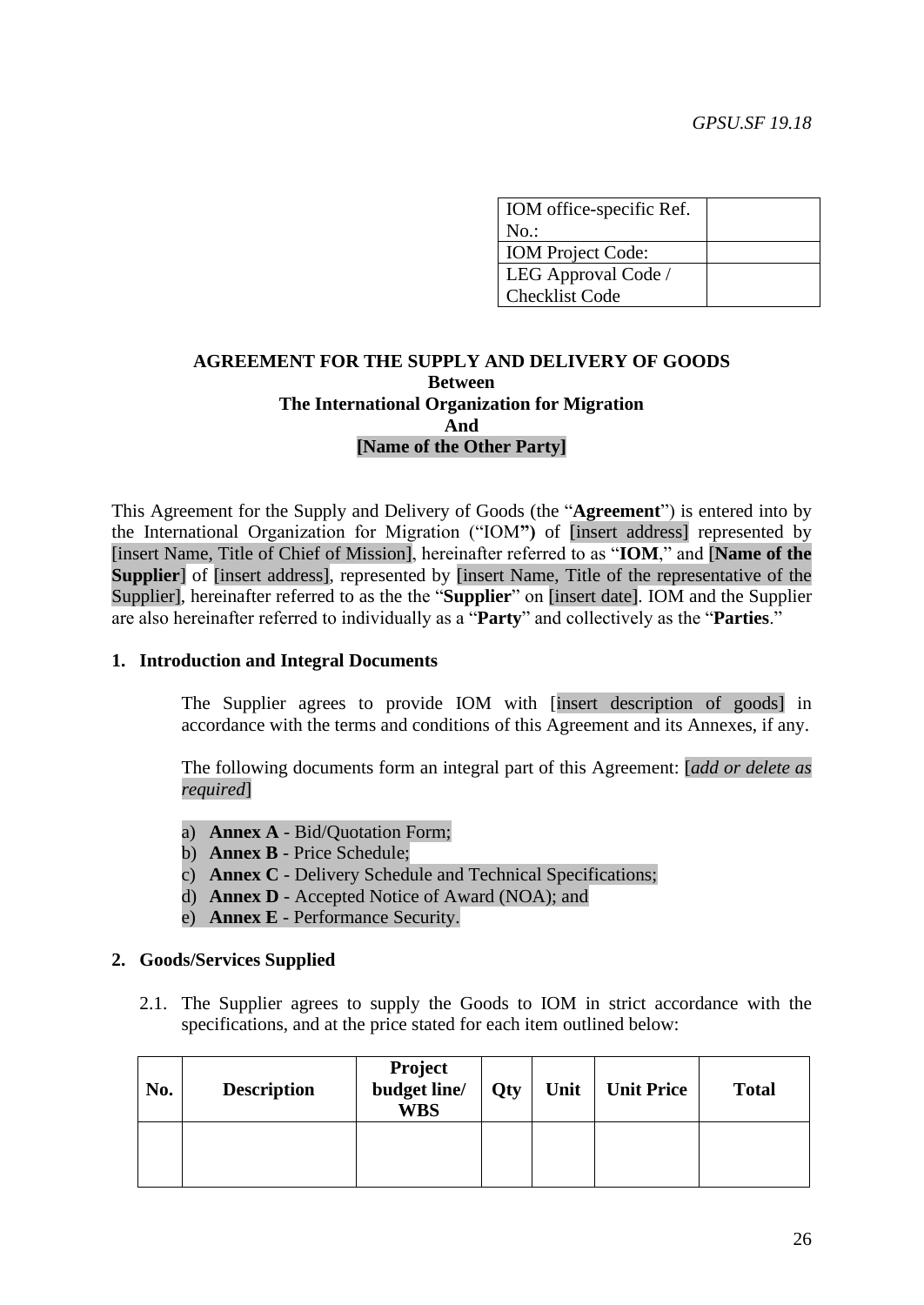| IOM office-specific Ref. |  |
|--------------------------|--|
| $No.$ :                  |  |
| <b>IOM</b> Project Code: |  |
| LEG Approval Code /      |  |
| <b>Checklist Code</b>    |  |

# **AGREEMENT FOR THE SUPPLY AND DELIVERY OF GOODS Between The International Organization for Migration And [Name of the Other Party]**

This Agreement for the Supply and Delivery of Goods (the "**Agreement**") is entered into by the International Organization for Migration ("IOM**")** of [insert address] represented by [insert Name, Title of Chief of Mission], hereinafter referred to as "**IOM**," and [**Name of the Supplier** of [insert address], represented by [insert Name, Title of the representative of the Supplier], hereinafter referred to as the the "**Supplier**" on [insert date]. IOM and the Supplier are also hereinafter referred to individually as a "**Party**" and collectively as the "**Parties**."

## **1. Introduction and Integral Documents**

The Supplier agrees to provide IOM with [insert description of goods] in accordance with the terms and conditions of this Agreement and its Annexes, if any.

The following documents form an integral part of this Agreement: [*add or delete as required*]

- a) **Annex A** Bid/Quotation Form;
- b) **Annex B** Price Schedule;
- c) **Annex C** Delivery Schedule and Technical Specifications;
- d) **Annex D** Accepted Notice of Award (NOA); and
- e) **Annex E** Performance Security.

## **2. Goods/Services Supplied**

2.1. The Supplier agrees to supply the Goods to IOM in strict accordance with the specifications, and at the price stated for each item outlined below:

| No. | <b>Description</b> | <b>Project</b><br>budget line/<br><b>WBS</b> | <b>Qty</b> | Unit | <b>Unit Price</b> | <b>Total</b> |
|-----|--------------------|----------------------------------------------|------------|------|-------------------|--------------|
|     |                    |                                              |            |      |                   |              |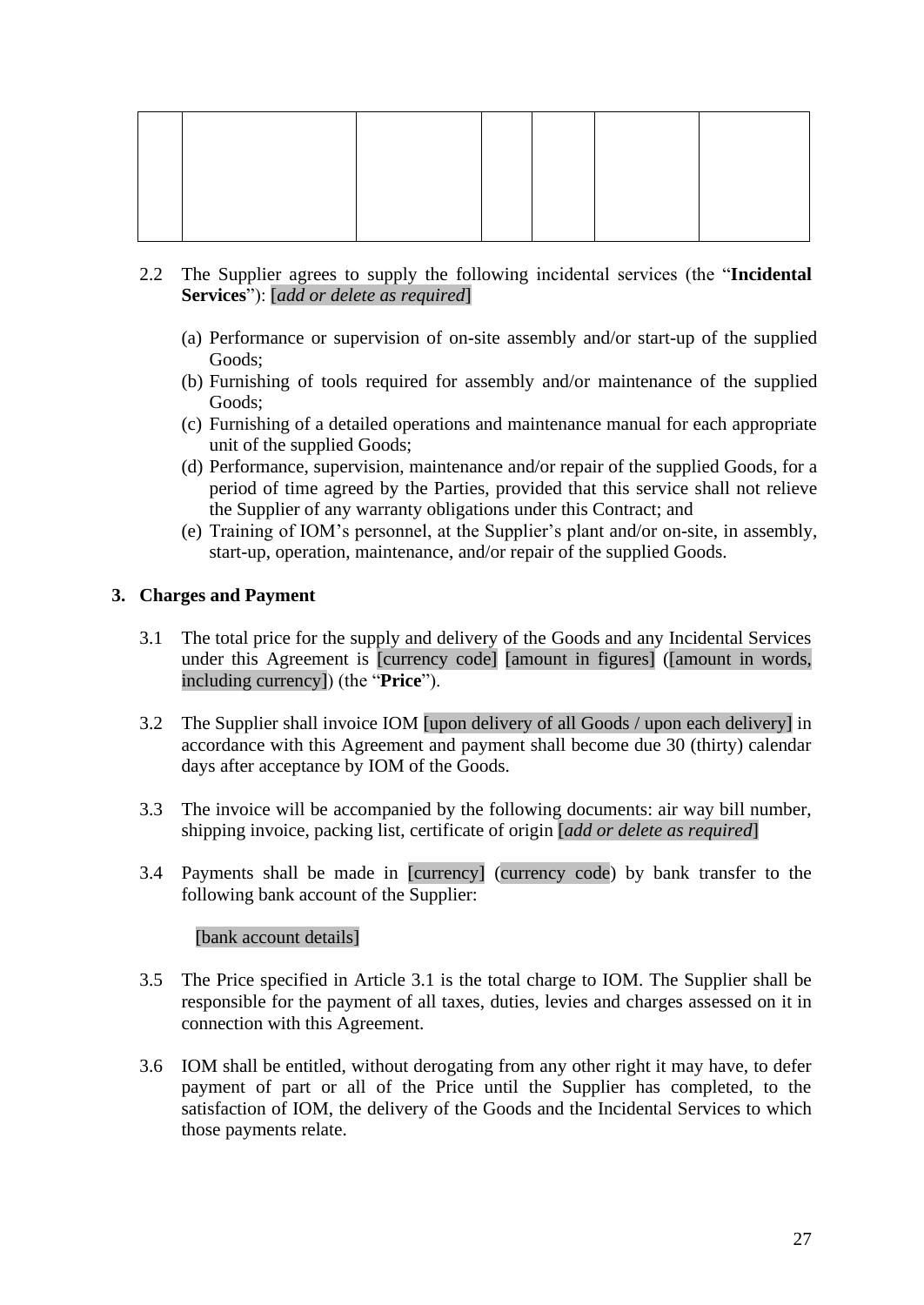- 2.2 The Supplier agrees to supply the following incidental services (the "**Incidental Services**"): [*add or delete as required*]
	- (a) Performance or supervision of on-site assembly and/or start-up of the supplied Goods;
	- (b) Furnishing of tools required for assembly and/or maintenance of the supplied Goods;
	- (c) Furnishing of a detailed operations and maintenance manual for each appropriate unit of the supplied Goods;
	- (d) Performance, supervision, maintenance and/or repair of the supplied Goods, for a period of time agreed by the Parties, provided that this service shall not relieve the Supplier of any warranty obligations under this Contract; and
	- (e) Training of IOM's personnel, at the Supplier's plant and/or on-site, in assembly, start-up, operation, maintenance, and/or repair of the supplied Goods.

# **3. Charges and Payment**

- 3.1 The total price for the supply and delivery of the Goods and any Incidental Services under this Agreement is [currency code] [amount in figures] ([amount in words, including currency]) (the "**Price**").
- 3.2 The Supplier shall invoice IOM [upon delivery of all Goods / upon each delivery] in accordance with this Agreement and payment shall become due 30 (thirty) calendar days after acceptance by IOM of the Goods.
- 3.3 The invoice will be accompanied by the following documents: air way bill number, shipping invoice, packing list, certificate of origin [*add or delete as required*]
- 3.4 Payments shall be made in [currency] (currency code) by bank transfer to the following bank account of the Supplier:

## [bank account details]

- 3.5 The Price specified in Article 3.1 is the total charge to IOM. The Supplier shall be responsible for the payment of all taxes, duties, levies and charges assessed on it in connection with this Agreement.
- 3.6 IOM shall be entitled, without derogating from any other right it may have, to defer payment of part or all of the Price until the Supplier has completed, to the satisfaction of IOM, the delivery of the Goods and the Incidental Services to which those payments relate.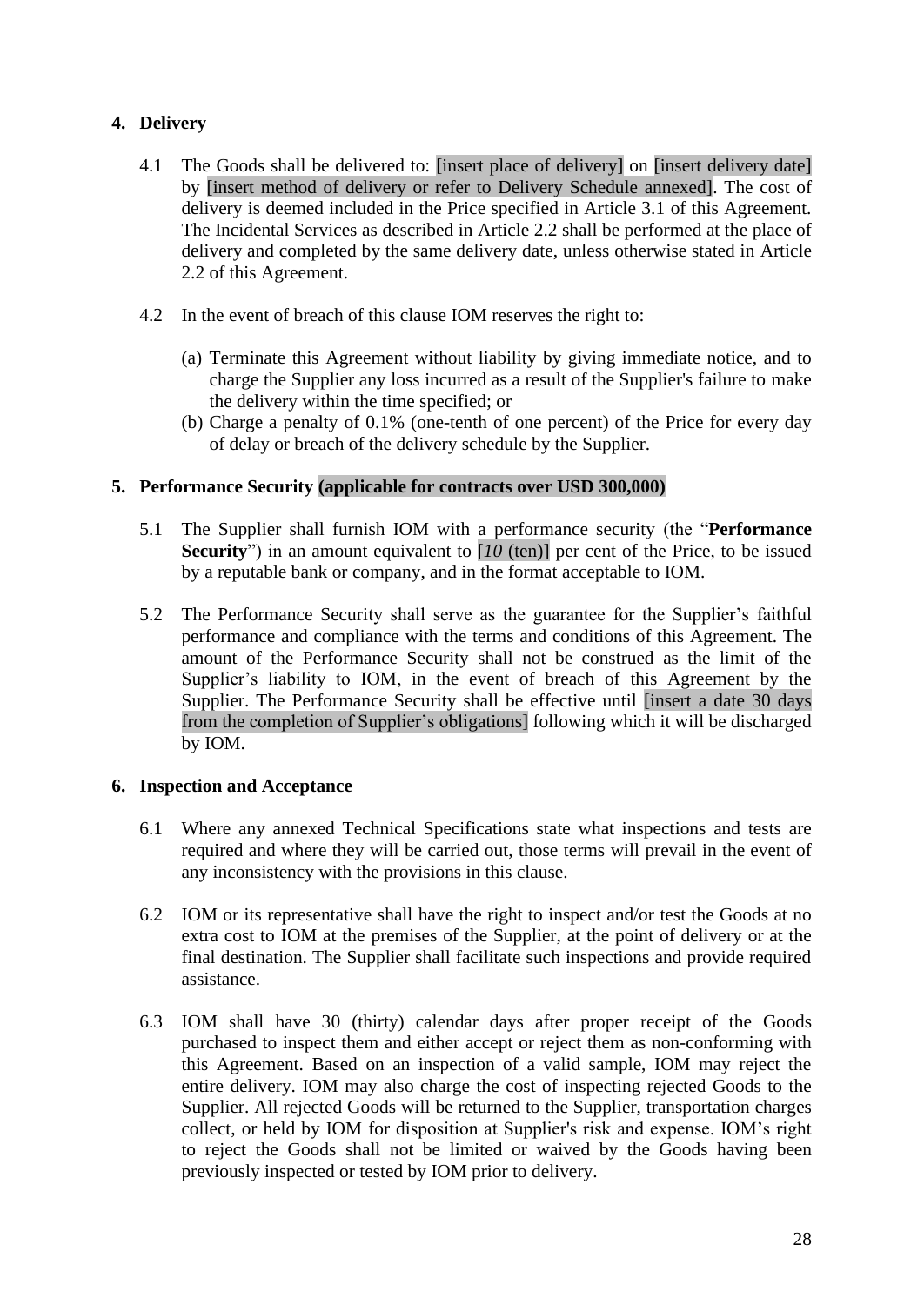# **4. Delivery**

- 4.1 The Goods shall be delivered to: [insert place of delivery] on [insert delivery date] by [insert method of delivery or refer to Delivery Schedule annexed]. The cost of delivery is deemed included in the Price specified in Article 3.1 of this Agreement. The Incidental Services as described in Article 2.2 shall be performed at the place of delivery and completed by the same delivery date, unless otherwise stated in Article 2.2 of this Agreement.
- 4.2 In the event of breach of this clause IOM reserves the right to:
	- (a) Terminate this Agreement without liability by giving immediate notice, and to charge the Supplier any loss incurred as a result of the Supplier's failure to make the delivery within the time specified; or
	- (b) Charge a penalty of 0.1% (one-tenth of one percent) of the Price for every day of delay or breach of the delivery schedule by the Supplier.

# **5. Performance Security (applicable for contracts over USD 300,000)**

- 5.1 The Supplier shall furnish IOM with a performance security (the "**Performance Security**") in an amount equivalent to [*10* (ten)] per cent of the Price, to be issued by a reputable bank or company, and in the format acceptable to IOM.
- 5.2 The Performance Security shall serve as the guarantee for the Supplier's faithful performance and compliance with the terms and conditions of this Agreement. The amount of the Performance Security shall not be construed as the limit of the Supplier's liability to IOM, in the event of breach of this Agreement by the Supplier. The Performance Security shall be effective until [insert a date 30 days from the completion of Supplier's obligations] following which it will be discharged by IOM.

## **6. Inspection and Acceptance**

- 6.1 Where any annexed Technical Specifications state what inspections and tests are required and where they will be carried out, those terms will prevail in the event of any inconsistency with the provisions in this clause.
- 6.2 IOM or its representative shall have the right to inspect and/or test the Goods at no extra cost to IOM at the premises of the Supplier, at the point of delivery or at the final destination. The Supplier shall facilitate such inspections and provide required assistance.
- 6.3 IOM shall have 30 (thirty) calendar days after proper receipt of the Goods purchased to inspect them and either accept or reject them as non-conforming with this Agreement. Based on an inspection of a valid sample, IOM may reject the entire delivery. IOM may also charge the cost of inspecting rejected Goods to the Supplier. All rejected Goods will be returned to the Supplier, transportation charges collect, or held by IOM for disposition at Supplier's risk and expense. IOM's right to reject the Goods shall not be limited or waived by the Goods having been previously inspected or tested by IOM prior to delivery.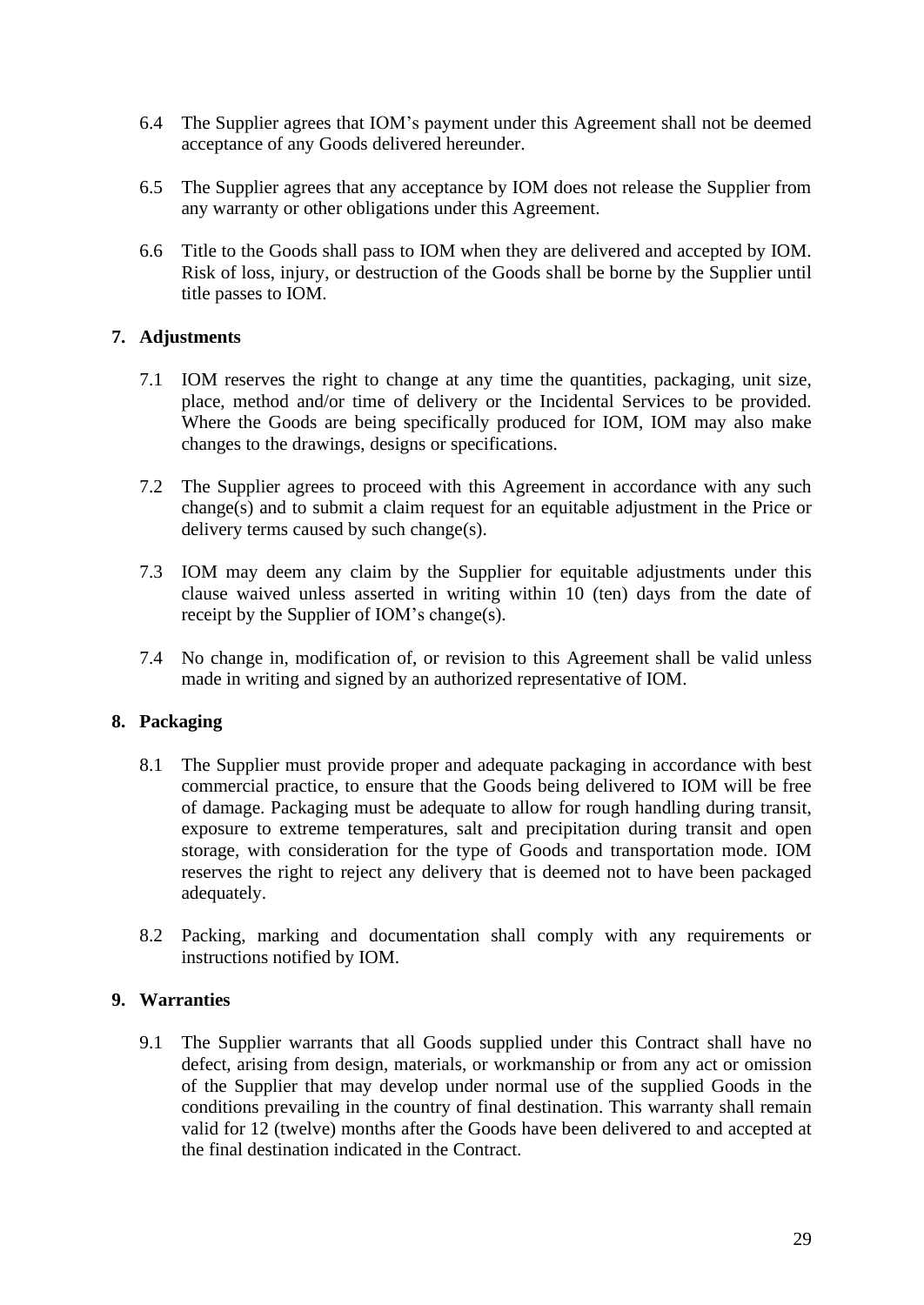- 6.4 The Supplier agrees that IOM's payment under this Agreement shall not be deemed acceptance of any Goods delivered hereunder.
- 6.5 The Supplier agrees that any acceptance by IOM does not release the Supplier from any warranty or other obligations under this Agreement.
- 6.6 Title to the Goods shall pass to IOM when they are delivered and accepted by IOM. Risk of loss, injury, or destruction of the Goods shall be borne by the Supplier until title passes to IOM.

# **7. Adjustments**

- 7.1 IOM reserves the right to change at any time the quantities, packaging, unit size, place, method and/or time of delivery or the Incidental Services to be provided. Where the Goods are being specifically produced for IOM, IOM may also make changes to the drawings, designs or specifications.
- 7.2 The Supplier agrees to proceed with this Agreement in accordance with any such change(s) and to submit a claim request for an equitable adjustment in the Price or delivery terms caused by such change(s).
- 7.3 IOM may deem any claim by the Supplier for equitable adjustments under this clause waived unless asserted in writing within 10 (ten) days from the date of receipt by the Supplier of IOM's change(s).
- 7.4 No change in, modification of, or revision to this Agreement shall be valid unless made in writing and signed by an authorized representative of IOM.

## **8. Packaging**

- 8.1 The Supplier must provide proper and adequate packaging in accordance with best commercial practice, to ensure that the Goods being delivered to IOM will be free of damage. Packaging must be adequate to allow for rough handling during transit, exposure to extreme temperatures, salt and precipitation during transit and open storage, with consideration for the type of Goods and transportation mode. IOM reserves the right to reject any delivery that is deemed not to have been packaged adequately.
- 8.2 Packing, marking and documentation shall comply with any requirements or instructions notified by IOM.

## **9. Warranties**

9.1 The Supplier warrants that all Goods supplied under this Contract shall have no defect, arising from design, materials, or workmanship or from any act or omission of the Supplier that may develop under normal use of the supplied Goods in the conditions prevailing in the country of final destination. This warranty shall remain valid for 12 (twelve) months after the Goods have been delivered to and accepted at the final destination indicated in the Contract.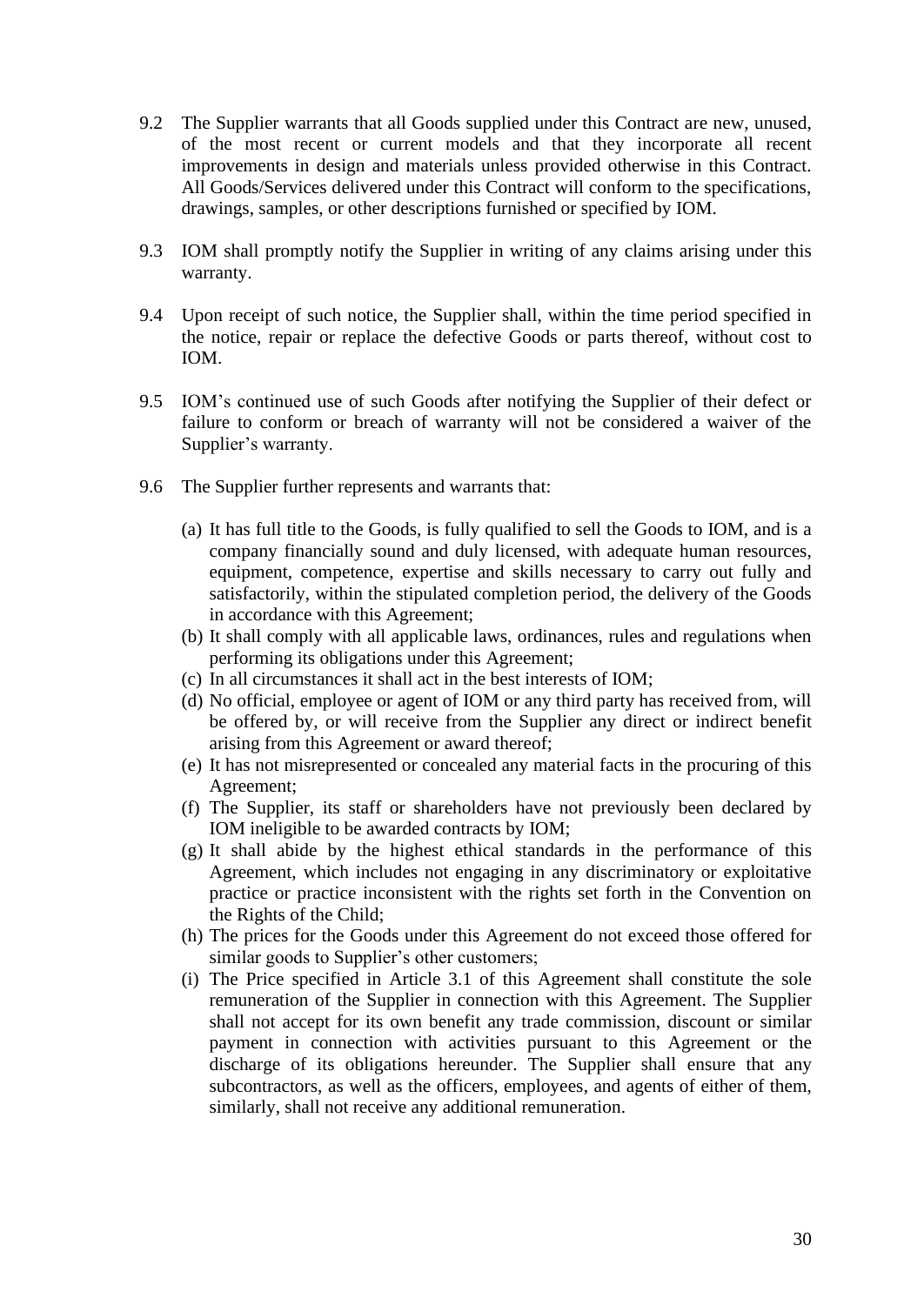- 9.2 The Supplier warrants that all Goods supplied under this Contract are new, unused, of the most recent or current models and that they incorporate all recent improvements in design and materials unless provided otherwise in this Contract. All Goods/Services delivered under this Contract will conform to the specifications, drawings, samples, or other descriptions furnished or specified by IOM.
- 9.3 IOM shall promptly notify the Supplier in writing of any claims arising under this warranty.
- 9.4 Upon receipt of such notice, the Supplier shall, within the time period specified in the notice, repair or replace the defective Goods or parts thereof, without cost to IOM.
- 9.5 IOM's continued use of such Goods after notifying the Supplier of their defect or failure to conform or breach of warranty will not be considered a waiver of the Supplier's warranty.
- 9.6 The Supplier further represents and warrants that:
	- (a) It has full title to the Goods, is fully qualified to sell the Goods to IOM, and is a company financially sound and duly licensed, with adequate human resources, equipment, competence, expertise and skills necessary to carry out fully and satisfactorily, within the stipulated completion period, the delivery of the Goods in accordance with this Agreement;
	- (b) It shall comply with all applicable laws, ordinances, rules and regulations when performing its obligations under this Agreement;
	- (c) In all circumstances it shall act in the best interests of IOM;
	- (d) No official, employee or agent of IOM or any third party has received from, will be offered by, or will receive from the Supplier any direct or indirect benefit arising from this Agreement or award thereof;
	- (e) It has not misrepresented or concealed any material facts in the procuring of this Agreement;
	- (f) The Supplier, its staff or shareholders have not previously been declared by IOM ineligible to be awarded contracts by IOM;
	- (g) It shall abide by the highest ethical standards in the performance of this Agreement, which includes not engaging in any discriminatory or exploitative practice or practice inconsistent with the rights set forth in the Convention on the Rights of the Child;
	- (h) The prices for the Goods under this Agreement do not exceed those offered for similar goods to Supplier's other customers;
	- (i) The Price specified in Article 3.1 of this Agreement shall constitute the sole remuneration of the Supplier in connection with this Agreement. The Supplier shall not accept for its own benefit any trade commission, discount or similar payment in connection with activities pursuant to this Agreement or the discharge of its obligations hereunder. The Supplier shall ensure that any subcontractors, as well as the officers, employees, and agents of either of them, similarly, shall not receive any additional remuneration.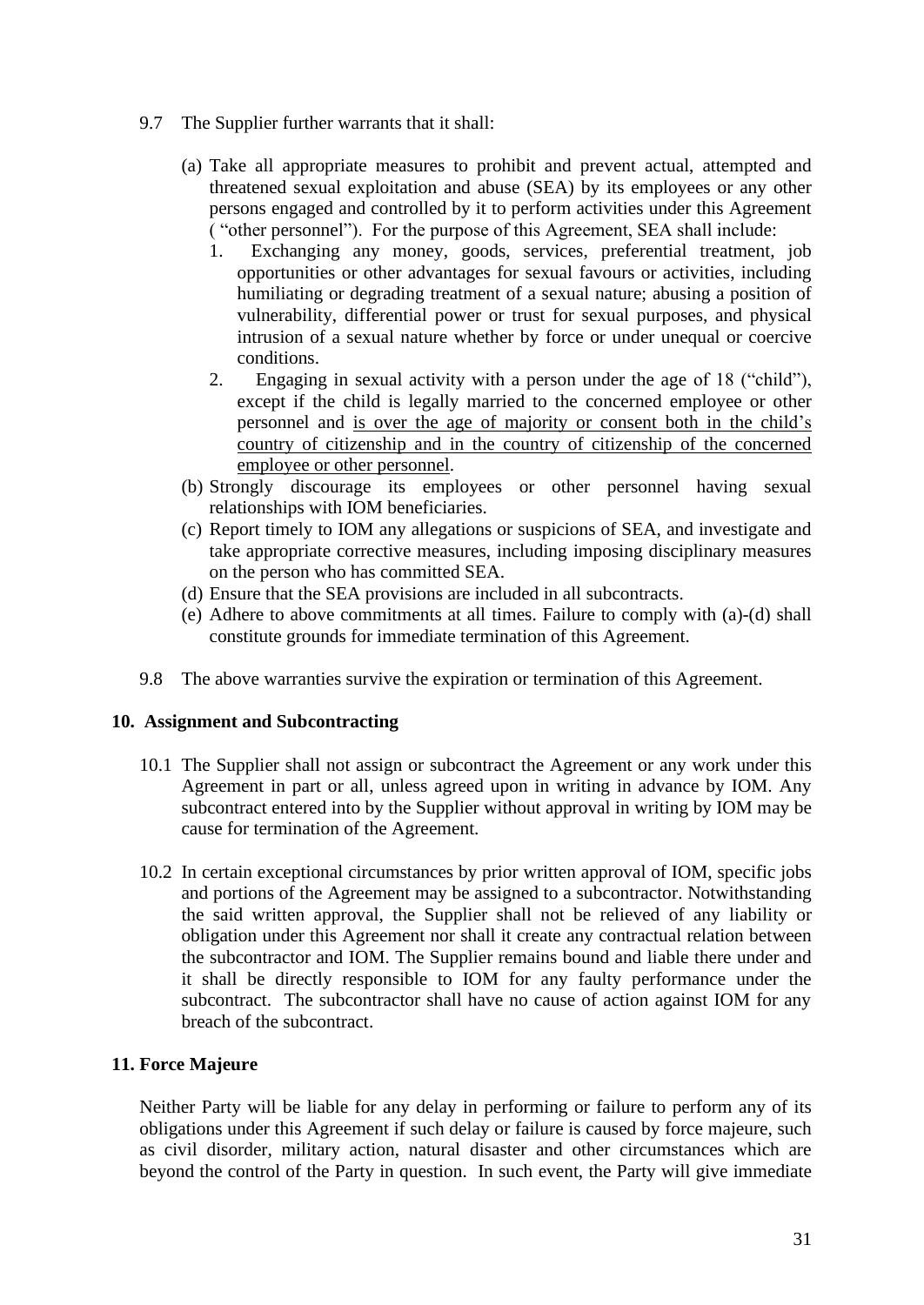- 9.7 The Supplier further warrants that it shall:
	- (a) Take all appropriate measures to prohibit and prevent actual, attempted and threatened sexual exploitation and abuse (SEA) by its employees or any other persons engaged and controlled by it to perform activities under this Agreement ( "other personnel"). For the purpose of this Agreement, SEA shall include:
		- 1. Exchanging any money, goods, services, preferential treatment, job opportunities or other advantages for sexual favours or activities, including humiliating or degrading treatment of a sexual nature; abusing a position of vulnerability, differential power or trust for sexual purposes, and physical intrusion of a sexual nature whether by force or under unequal or coercive conditions.
		- 2. Engaging in sexual activity with a person under the age of 18 ("child"), except if the child is legally married to the concerned employee or other personnel and is over the age of majority or consent both in the child's country of citizenship and in the country of citizenship of the concerned employee or other personnel.
	- (b) Strongly discourage its employees or other personnel having sexual relationships with IOM beneficiaries.
	- (c) Report timely to IOM any allegations or suspicions of SEA, and investigate and take appropriate corrective measures, including imposing disciplinary measures on the person who has committed SEA.
	- (d) Ensure that the SEA provisions are included in all subcontracts.
	- (e) Adhere to above commitments at all times. Failure to comply with (a)-(d) shall constitute grounds for immediate termination of this Agreement.
- 9.8 The above warranties survive the expiration or termination of this Agreement.

# **10. Assignment and Subcontracting**

- 10.1 The Supplier shall not assign or subcontract the Agreement or any work under this Agreement in part or all, unless agreed upon in writing in advance by IOM. Any subcontract entered into by the Supplier without approval in writing by IOM may be cause for termination of the Agreement.
- 10.2 In certain exceptional circumstances by prior written approval of IOM, specific jobs and portions of the Agreement may be assigned to a subcontractor. Notwithstanding the said written approval, the Supplier shall not be relieved of any liability or obligation under this Agreement nor shall it create any contractual relation between the subcontractor and IOM. The Supplier remains bound and liable there under and it shall be directly responsible to IOM for any faulty performance under the subcontract. The subcontractor shall have no cause of action against IOM for any breach of the subcontract.

# **11. Force Majeure**

Neither Party will be liable for any delay in performing or failure to perform any of its obligations under this Agreement if such delay or failure is caused by force majeure, such as civil disorder, military action, natural disaster and other circumstances which are beyond the control of the Party in question. In such event, the Party will give immediate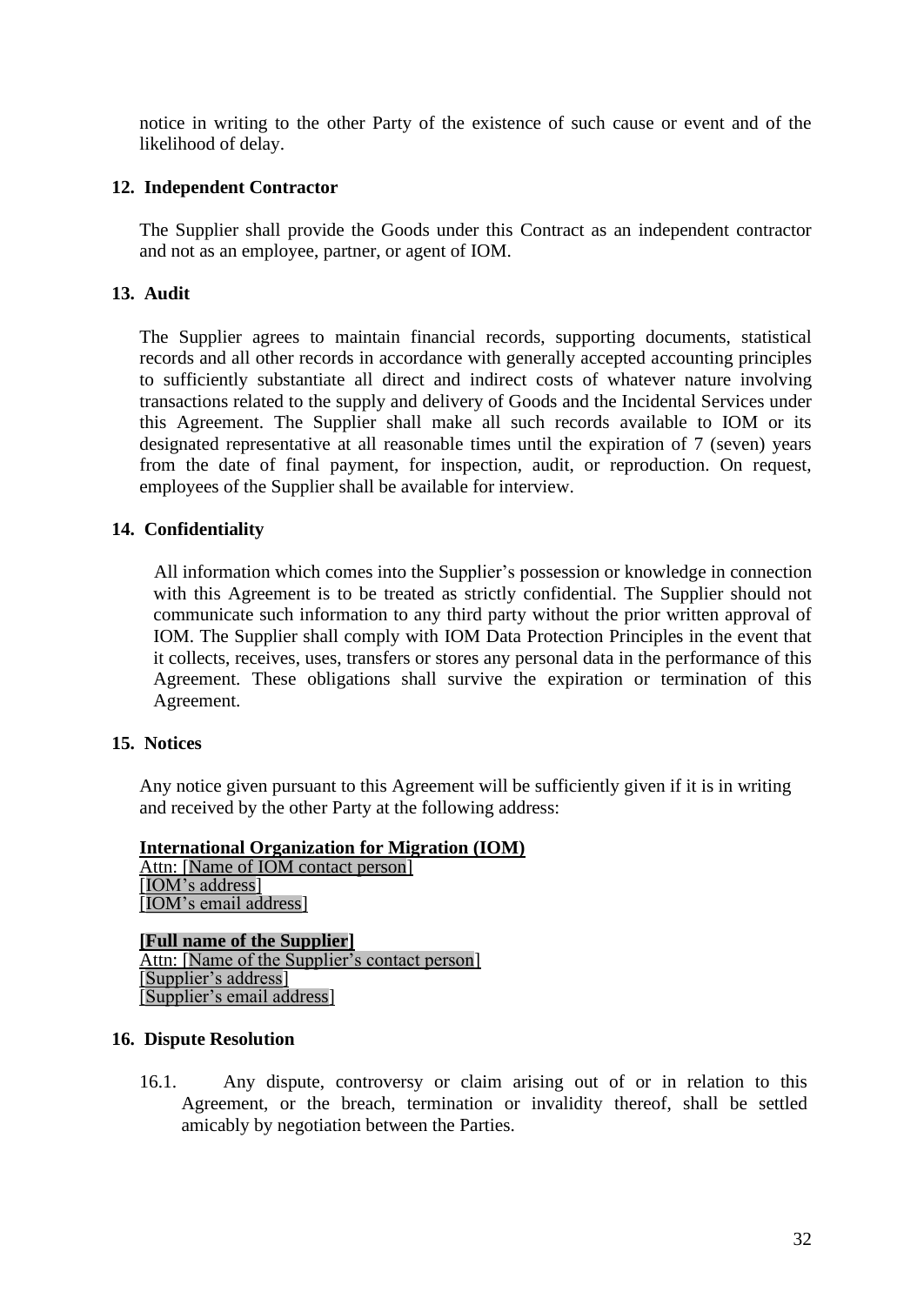notice in writing to the other Party of the existence of such cause or event and of the likelihood of delay.

# **12. Independent Contractor**

The Supplier shall provide the Goods under this Contract as an independent contractor and not as an employee, partner, or agent of IOM.

# **13. Audit**

The Supplier agrees to maintain financial records, supporting documents, statistical records and all other records in accordance with generally accepted accounting principles to sufficiently substantiate all direct and indirect costs of whatever nature involving transactions related to the supply and delivery of Goods and the Incidental Services under this Agreement. The Supplier shall make all such records available to IOM or its designated representative at all reasonable times until the expiration of 7 (seven) years from the date of final payment, for inspection, audit, or reproduction. On request, employees of the Supplier shall be available for interview.

# **14. Confidentiality**

All information which comes into the Supplier's possession or knowledge in connection with this Agreement is to be treated as strictly confidential. The Supplier should not communicate such information to any third party without the prior written approval of IOM. The Supplier shall comply with IOM Data Protection Principles in the event that it collects, receives, uses, transfers or stores any personal data in the performance of this Agreement. These obligations shall survive the expiration or termination of this Agreement.

## **15. Notices**

Any notice given pursuant to this Agreement will be sufficiently given if it is in writing and received by the other Party at the following address:

## **International Organization for Migration (IOM)**

Attn: [Name of IOM contact person] [IOM's address] [IOM's email address]

**[Full name of the Supplier]** Attn: [Name of the Supplier's contact person] [Supplier's address] [Supplier's email address]

#### **16. Dispute Resolution**

16.1. Any dispute, controversy or claim arising out of or in relation to this Agreement, or the breach, termination or invalidity thereof, shall be settled amicably by negotiation between the Parties.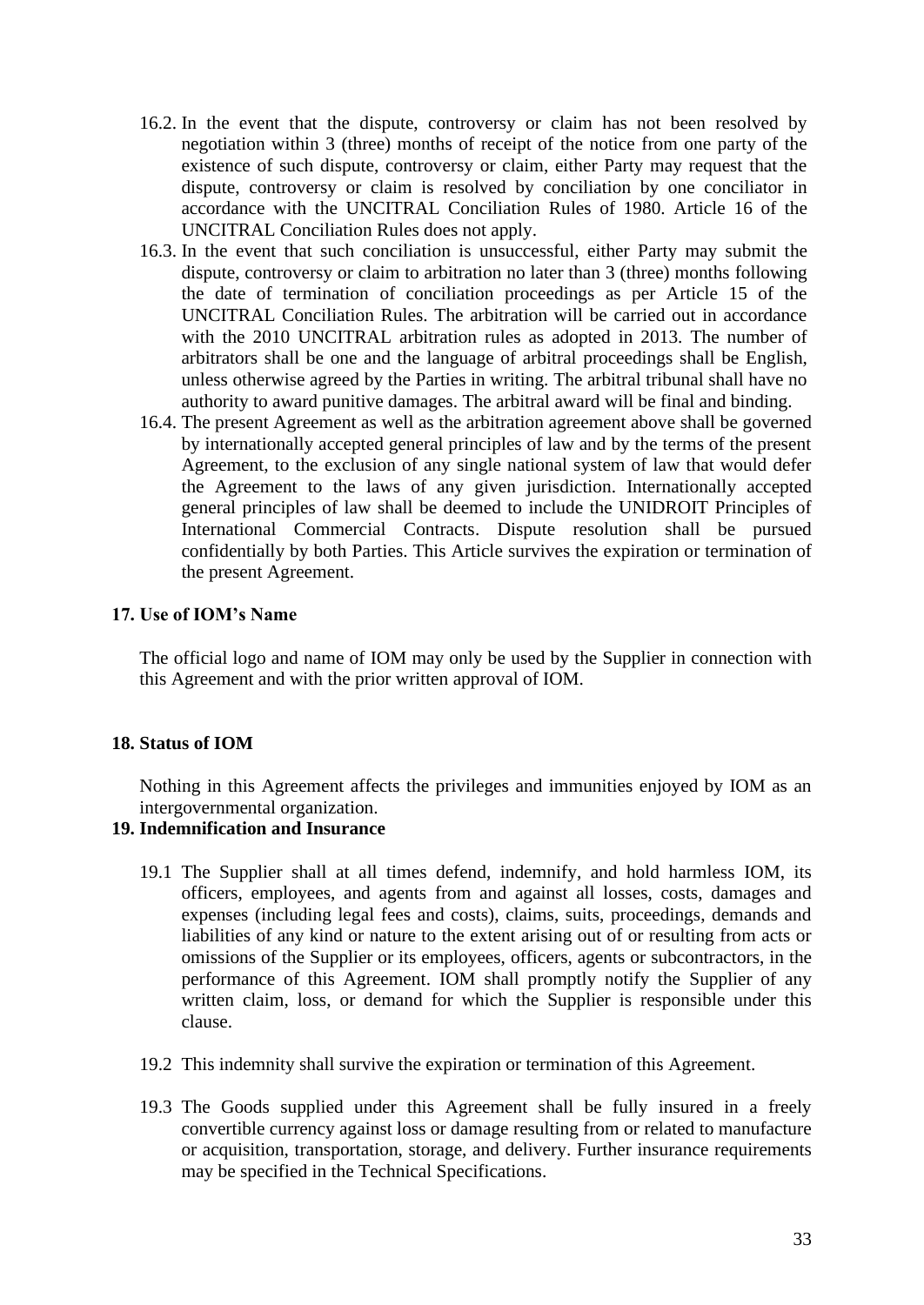- 16.2. In the event that the dispute, controversy or claim has not been resolved by negotiation within 3 (three) months of receipt of the notice from one party of the existence of such dispute, controversy or claim, either Party may request that the dispute, controversy or claim is resolved by conciliation by one conciliator in accordance with the UNCITRAL Conciliation Rules of 1980. Article 16 of the UNCITRAL Conciliation Rules does not apply.
- 16.3. In the event that such conciliation is unsuccessful, either Party may submit the dispute, controversy or claim to arbitration no later than 3 (three) months following the date of termination of conciliation proceedings as per Article 15 of the UNCITRAL Conciliation Rules. The arbitration will be carried out in accordance with the 2010 UNCITRAL arbitration rules as adopted in 2013. The number of arbitrators shall be one and the language of arbitral proceedings shall be English, unless otherwise agreed by the Parties in writing. The arbitral tribunal shall have no authority to award punitive damages. The arbitral award will be final and binding.
- 16.4. The present Agreement as well as the arbitration agreement above shall be governed by internationally accepted general principles of law and by the terms of the present Agreement, to the exclusion of any single national system of law that would defer the Agreement to the laws of any given jurisdiction. Internationally accepted general principles of law shall be deemed to include the UNIDROIT Principles of International Commercial Contracts. Dispute resolution shall be pursued confidentially by both Parties. This Article survives the expiration or termination of the present Agreement.

# **17. Use of IOM's Name**

The official logo and name of IOM may only be used by the Supplier in connection with this Agreement and with the prior written approval of IOM.

## **18. Status of IOM**

Nothing in this Agreement affects the privileges and immunities enjoyed by IOM as an intergovernmental organization.

# **19. Indemnification and Insurance**

- 19.1 The Supplier shall at all times defend, indemnify, and hold harmless IOM, its officers, employees, and agents from and against all losses, costs, damages and expenses (including legal fees and costs), claims, suits, proceedings, demands and liabilities of any kind or nature to the extent arising out of or resulting from acts or omissions of the Supplier or its employees, officers, agents or subcontractors, in the performance of this Agreement. IOM shall promptly notify the Supplier of any written claim, loss, or demand for which the Supplier is responsible under this clause.
- 19.2 This indemnity shall survive the expiration or termination of this Agreement.
- 19.3 The Goods supplied under this Agreement shall be fully insured in a freely convertible currency against loss or damage resulting from or related to manufacture or acquisition, transportation, storage, and delivery. Further insurance requirements may be specified in the Technical Specifications.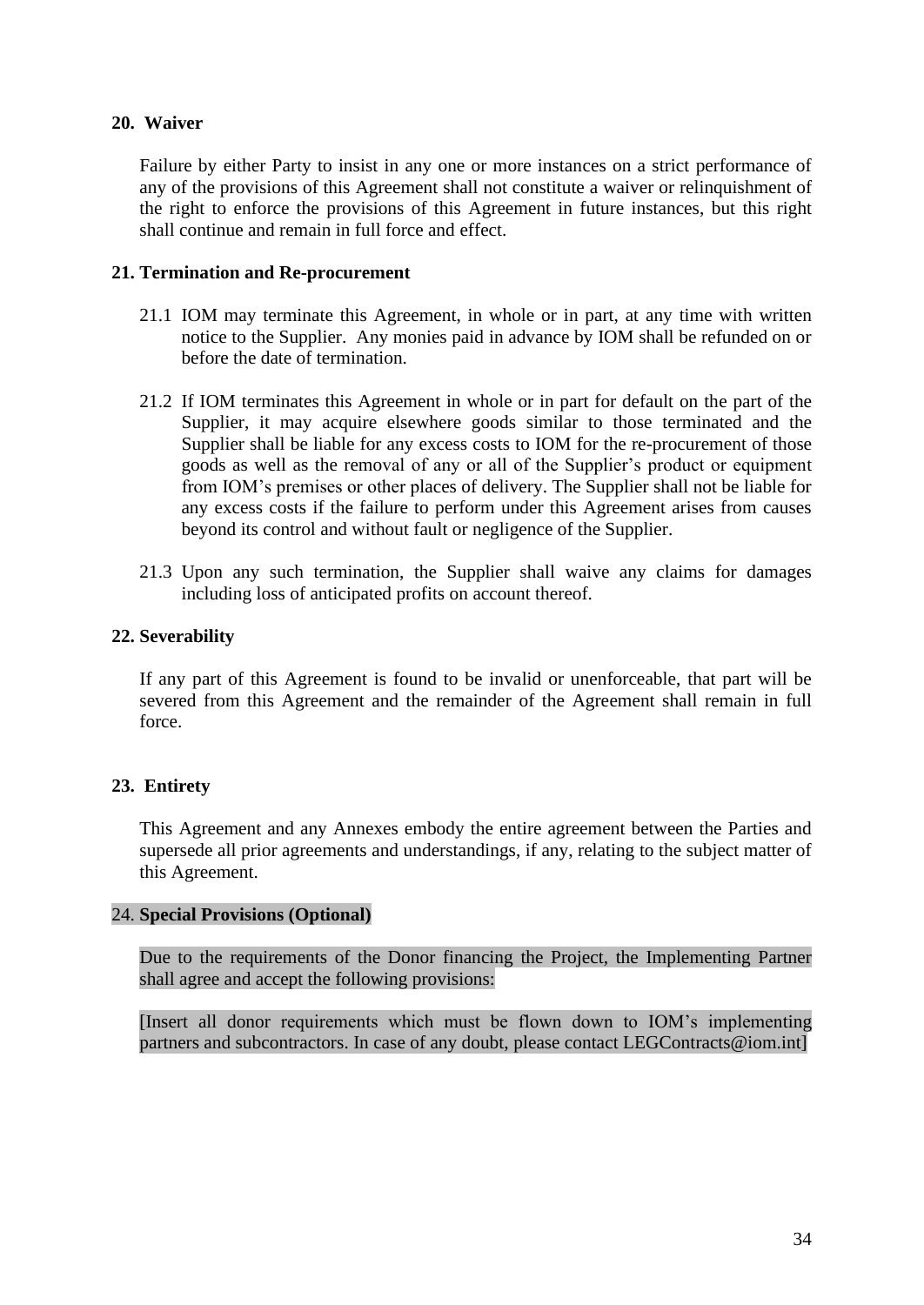# **20. Waiver**

Failure by either Party to insist in any one or more instances on a strict performance of any of the provisions of this Agreement shall not constitute a waiver or relinquishment of the right to enforce the provisions of this Agreement in future instances, but this right shall continue and remain in full force and effect.

# **21. Termination and Re-procurement**

- 21.1 IOM may terminate this Agreement, in whole or in part, at any time with written notice to the Supplier. Any monies paid in advance by IOM shall be refunded on or before the date of termination.
- 21.2 If IOM terminates this Agreement in whole or in part for default on the part of the Supplier, it may acquire elsewhere goods similar to those terminated and the Supplier shall be liable for any excess costs to IOM for the re-procurement of those goods as well as the removal of any or all of the Supplier's product or equipment from IOM's premises or other places of delivery. The Supplier shall not be liable for any excess costs if the failure to perform under this Agreement arises from causes beyond its control and without fault or negligence of the Supplier.
- 21.3 Upon any such termination, the Supplier shall waive any claims for damages including loss of anticipated profits on account thereof.

# **22. Severability**

If any part of this Agreement is found to be invalid or unenforceable, that part will be severed from this Agreement and the remainder of the Agreement shall remain in full force.

# **23. Entirety**

This Agreement and any Annexes embody the entire agreement between the Parties and supersede all prior agreements and understandings, if any, relating to the subject matter of this Agreement.

## 24. **Special Provisions (Optional)**

Due to the requirements of the Donor financing the Project, the Implementing Partner shall agree and accept the following provisions:

[Insert all donor requirements which must be flown down to IOM's implementing partners and subcontractors. In case of any doubt, please contact LEGContracts@iom.intl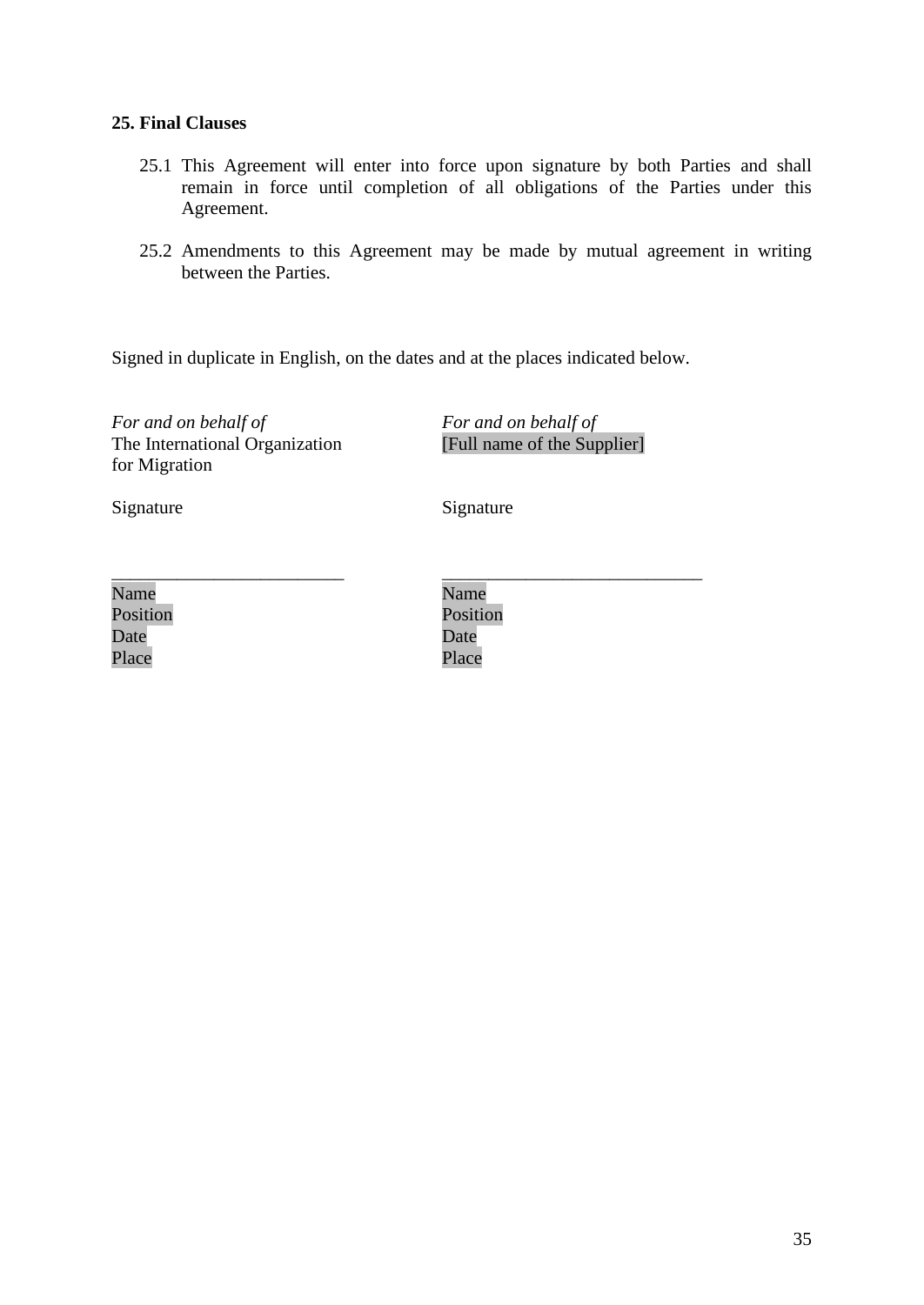# **25. Final Clauses**

- 25.1 This Agreement will enter into force upon signature by both Parties and shall remain in force until completion of all obligations of the Parties under this Agreement.
- 25.2 Amendments to this Agreement may be made by mutual agreement in writing between the Parties.

Signed in duplicate in English, on the dates and at the places indicated below.

*For and on behalf of* The International Organization for Migration

*For and on behalf of* [Full name of the Supplier]

\_\_\_\_\_\_\_\_\_\_\_\_\_\_\_\_\_\_\_\_\_\_\_\_\_\_\_\_

Signature Signature Signature

| Name     |  |  |
|----------|--|--|
| Position |  |  |
| Date     |  |  |
| Place    |  |  |

Name Position Date Place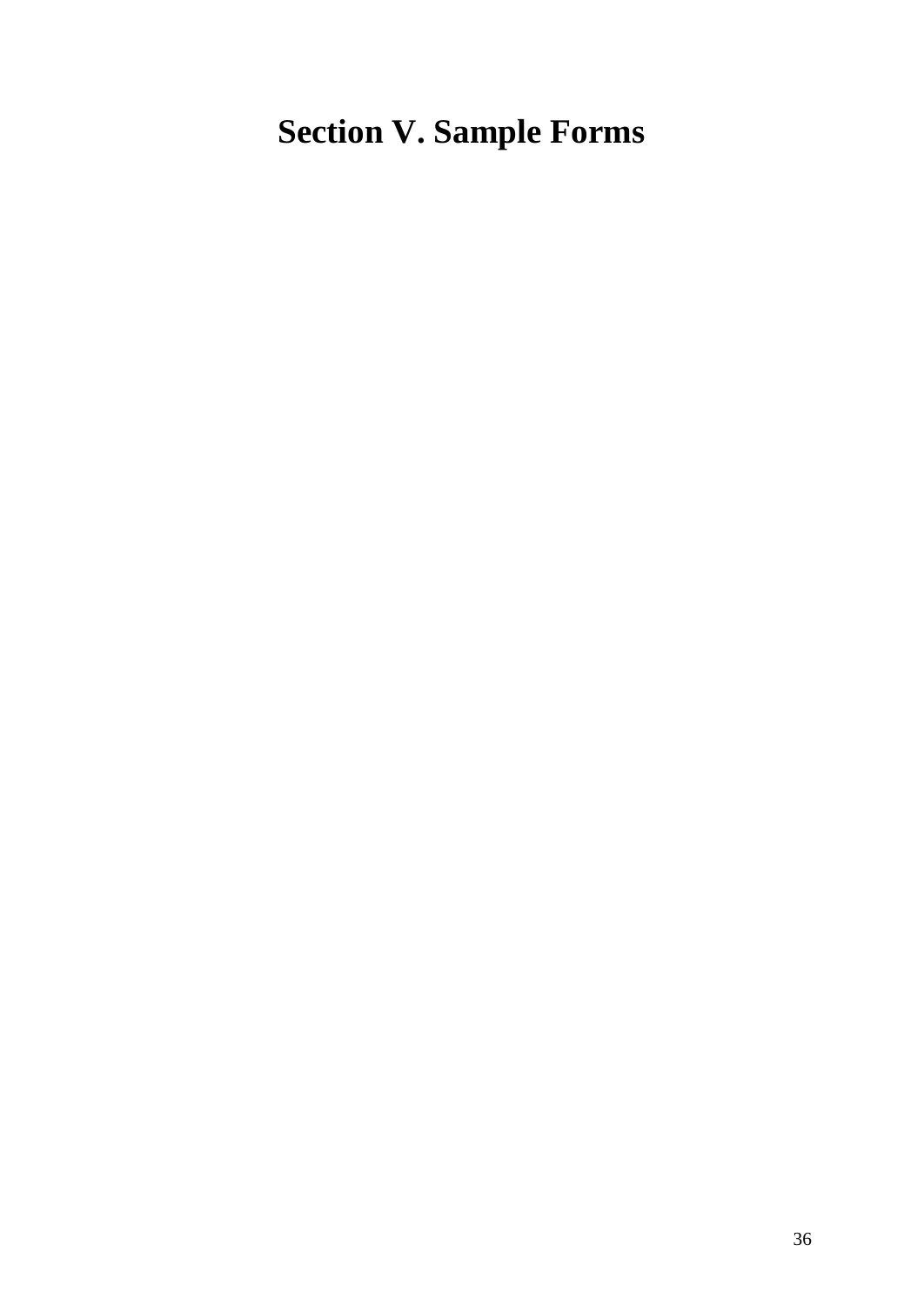# <span id="page-35-0"></span>**Section V. Sample Forms**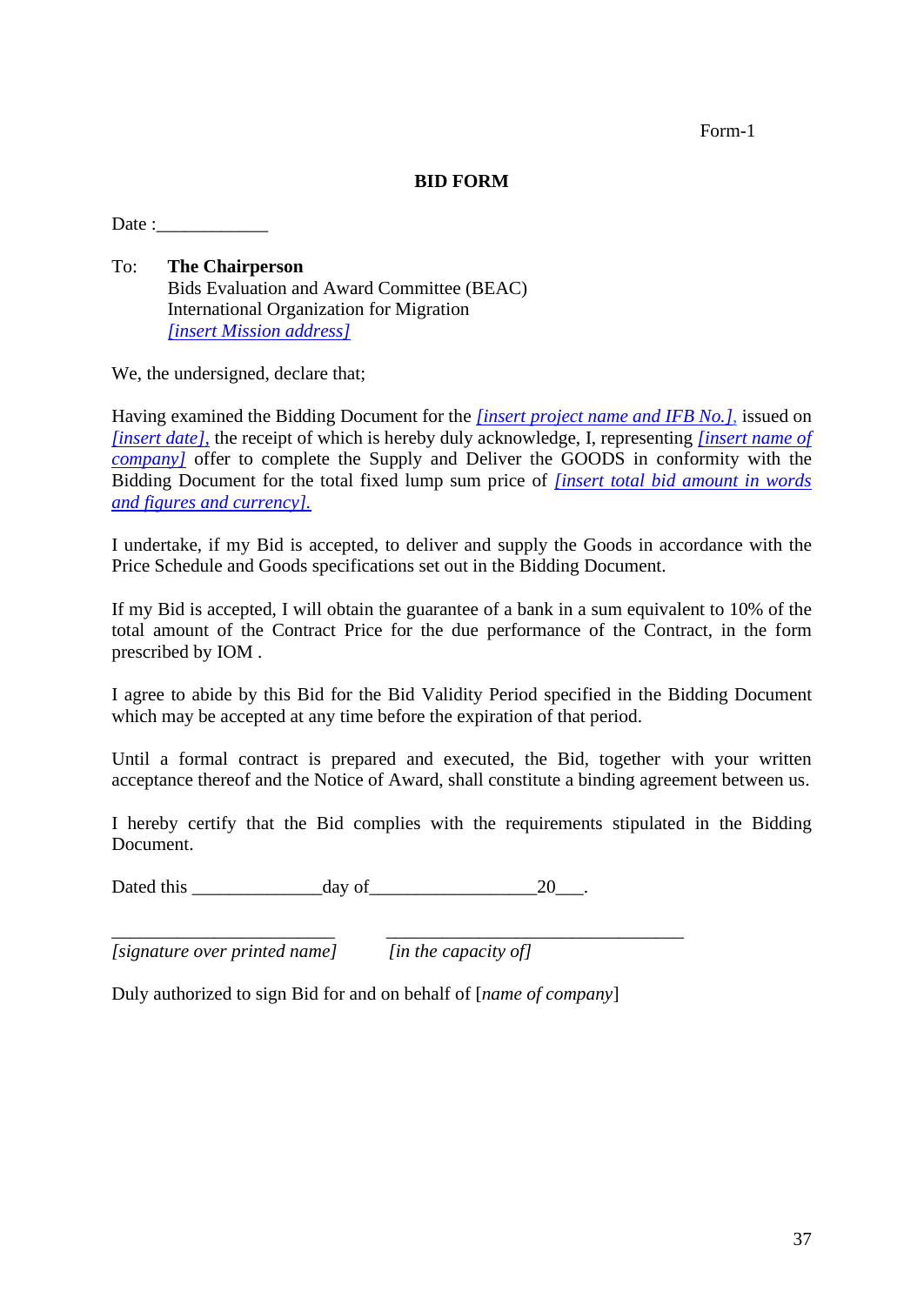Form-1

## **BID FORM**

 $Date:$ 

To: **The Chairperson** Bids Evaluation and Award Committee (BEAC) International Organization for Migration *[insert Mission address]* 

We, the undersigned, declare that;

Having examined the Bidding Document for the *[insert project name and IFB No.]*, issued on *[insert date],* the receipt of which is hereby duly acknowledge, I, representing *[insert name of company]* offer to complete the Supply and Deliver the GOODS in conformity with the Bidding Document for the total fixed lump sum price of *[insert total bid amount in words and figures and currency].*

I undertake, if my Bid is accepted, to deliver and supply the Goods in accordance with the Price Schedule and Goods specifications set out in the Bidding Document.

If my Bid is accepted, I will obtain the guarantee of a bank in a sum equivalent to 10% of the total amount of the Contract Price for the due performance of the Contract, in the form prescribed by IOM .

I agree to abide by this Bid for the Bid Validity Period specified in the Bidding Document which may be accepted at any time before the expiration of that period.

Until a formal contract is prepared and executed, the Bid, together with your written acceptance thereof and the Notice of Award, shall constitute a binding agreement between us.

I hereby certify that the Bid complies with the requirements stipulated in the Bidding Document.

Dated this  $\frac{day \text{ of } 20}{x}$ .

*[signature over printed name] [in the capacity of]*

Duly authorized to sign Bid for and on behalf of [*name of company*]

\_\_\_\_\_\_\_\_\_\_\_\_\_\_\_\_\_\_\_\_\_\_\_\_ \_\_\_\_\_\_\_\_\_\_\_\_\_\_\_\_\_\_\_\_\_\_\_\_\_\_\_\_\_\_\_\_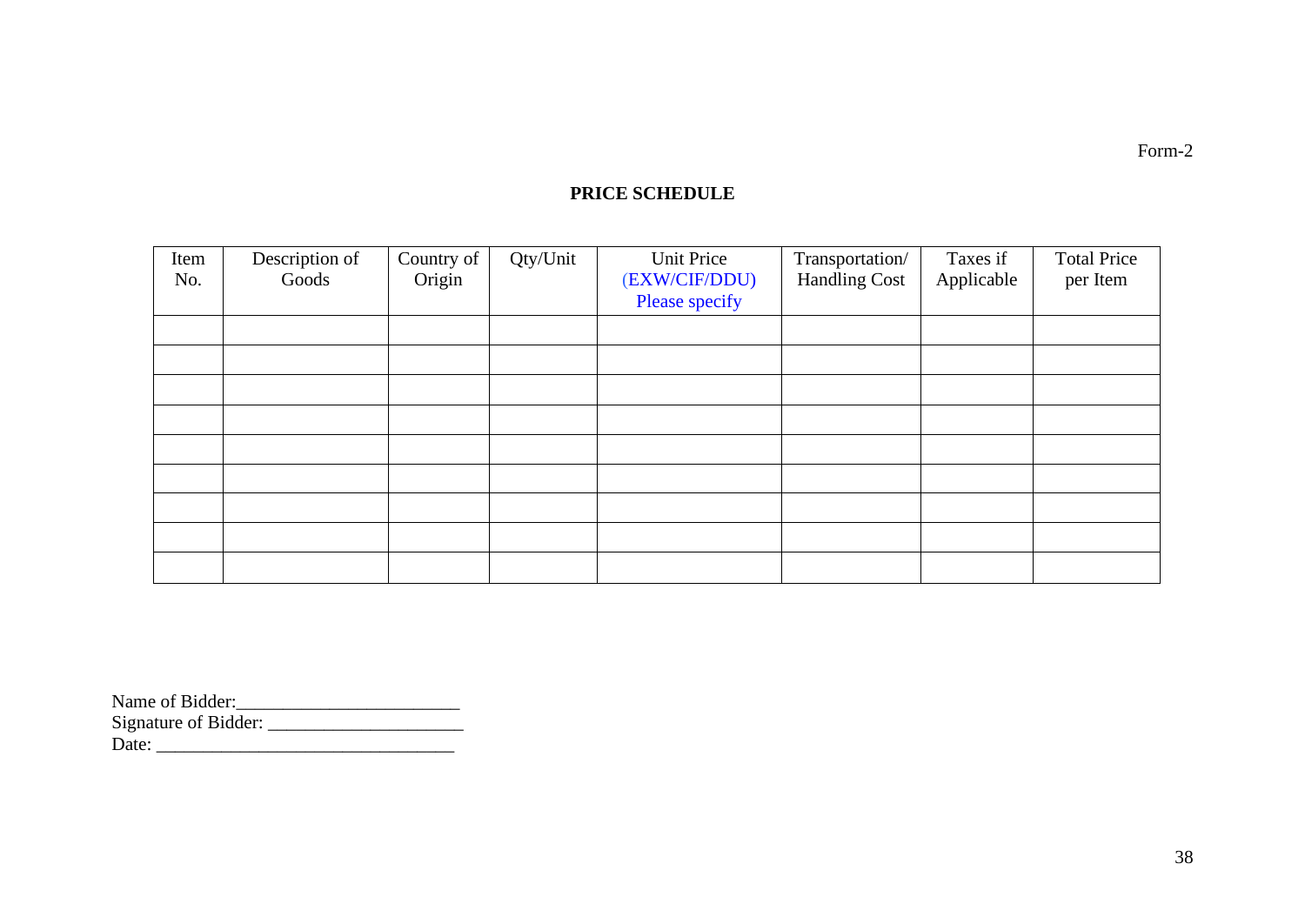# **PRICE SCHEDULE**

| Item | Description of | Country of | Qty/Unit | Unit Price     | Transportation/      | Taxes if   | <b>Total Price</b> |
|------|----------------|------------|----------|----------------|----------------------|------------|--------------------|
| No.  | Goods          | Origin     |          | (EXW/CIF/DDU)  | <b>Handling Cost</b> | Applicable | per Item           |
|      |                |            |          | Please specify |                      |            |                    |
|      |                |            |          |                |                      |            |                    |
|      |                |            |          |                |                      |            |                    |
|      |                |            |          |                |                      |            |                    |
|      |                |            |          |                |                      |            |                    |
|      |                |            |          |                |                      |            |                    |
|      |                |            |          |                |                      |            |                    |
|      |                |            |          |                |                      |            |                    |
|      |                |            |          |                |                      |            |                    |
|      |                |            |          |                |                      |            |                    |

| Name of Bidder:      |  |
|----------------------|--|
| Signature of Bidder: |  |
| Date:                |  |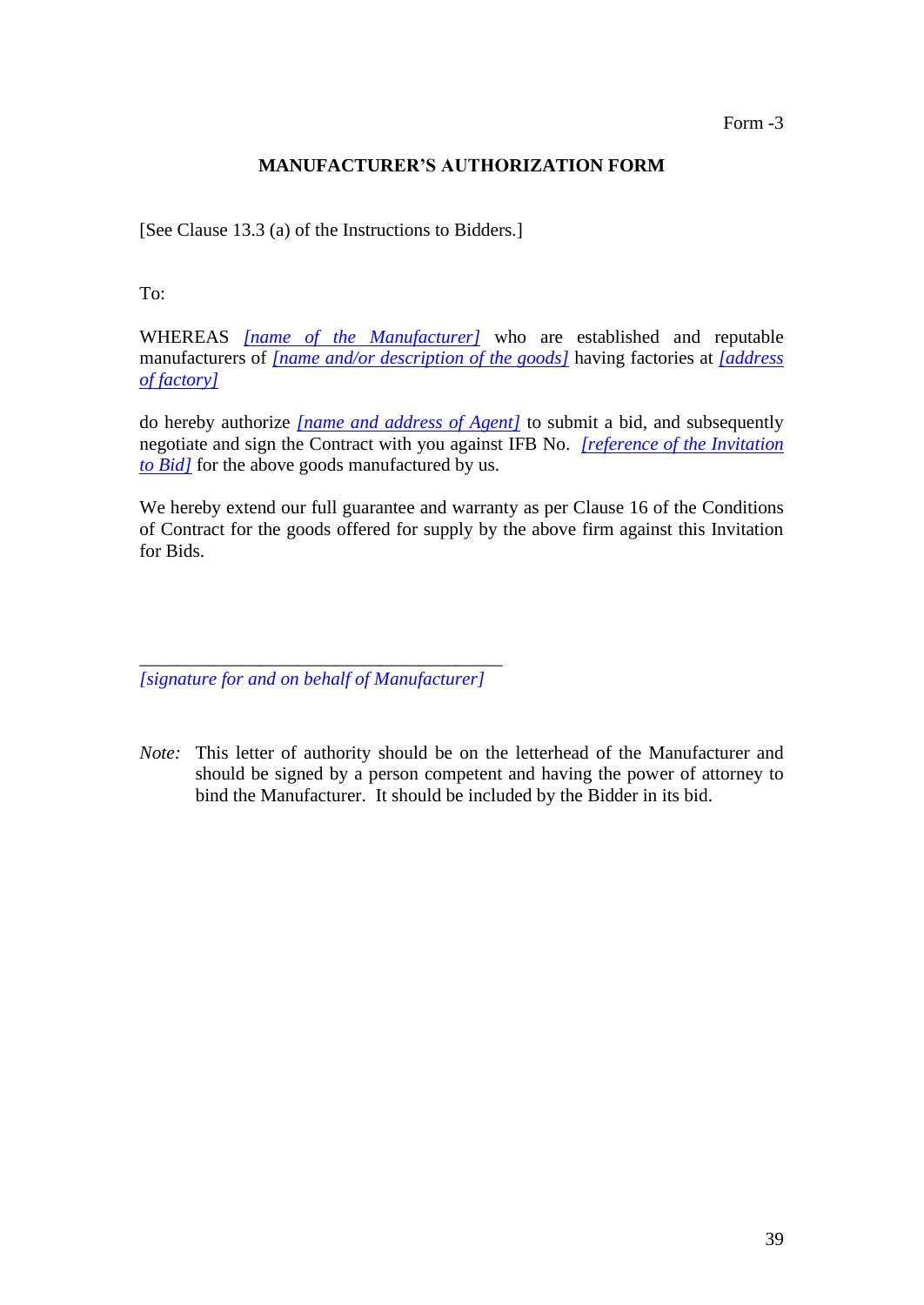Form -3

# **MANUFACTURER'S AUTHORIZATION FORM**

[See Clause 13.3 (a) of the Instructions to Bidders.]

To:

WHEREAS *[name of the Manufacturer]* who are established and reputable manufacturers of *[name and/or description of the goods]* having factories at *[address of factory]*

do hereby authorize *[name and address of Agent]* to submit a bid, and subsequently negotiate and sign the Contract with you against IFB No. *[reference of the Invitation to Bid]* for the above goods manufactured by us.

We hereby extend our full guarantee and warranty as per Clause 16 of the Conditions of Contract for the goods offered for supply by the above firm against this Invitation for Bids.

\_\_\_\_\_\_\_\_\_\_\_\_\_\_\_\_\_\_\_\_\_\_\_\_\_\_\_\_\_\_\_\_\_\_\_\_\_\_\_ *[signature for and on behalf of Manufacturer]*

*Note:* This letter of authority should be on the letterhead of the Manufacturer and should be signed by a person competent and having the power of attorney to bind the Manufacturer. It should be included by the Bidder in its bid.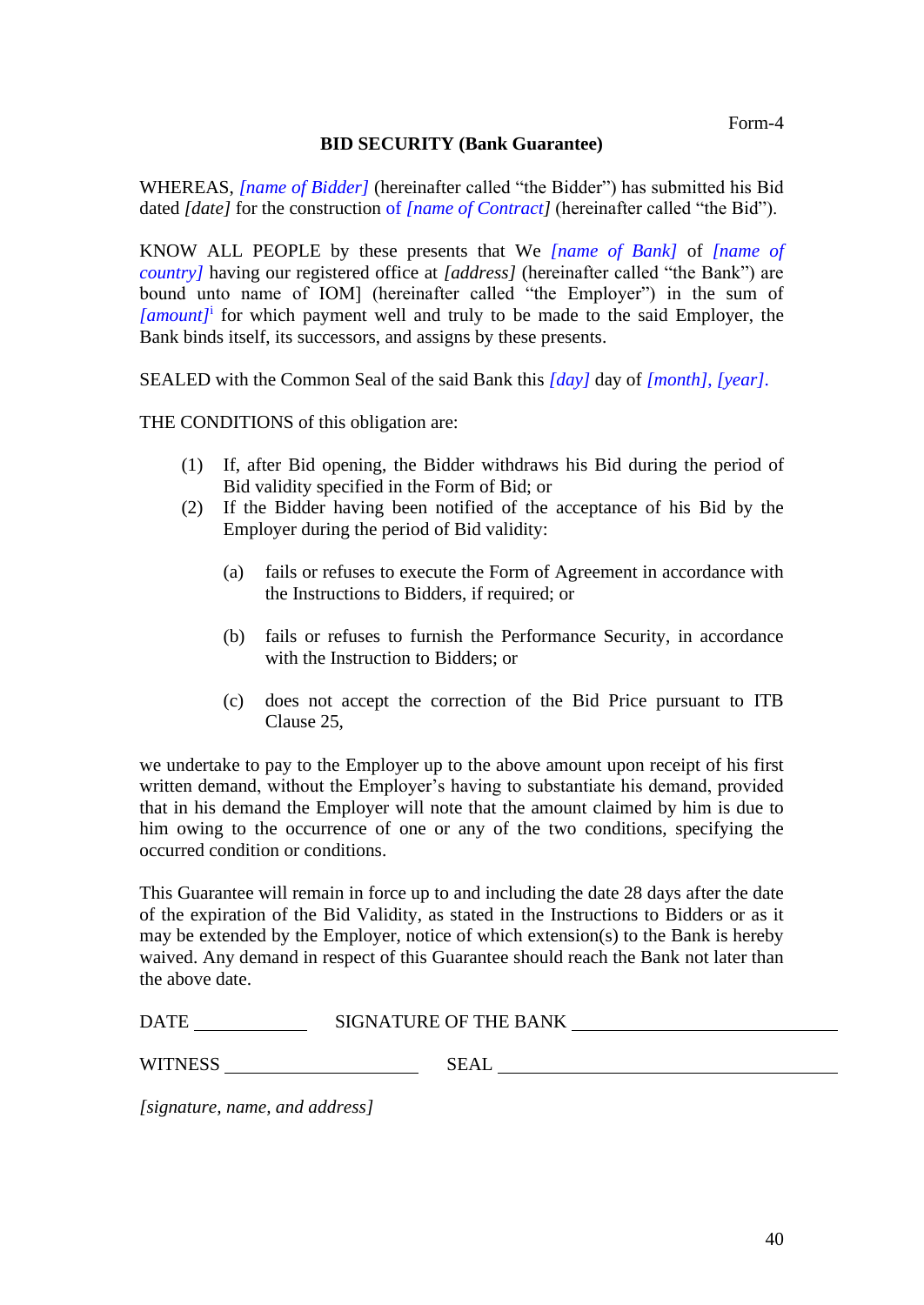## **BID SECURITY (Bank Guarantee)**

WHEREAS, *[name of Bidder]* (hereinafter called "the Bidder") has submitted his Bid dated *[date]* for the construction of *[name of Contract]* (hereinafter called "the Bid").

KNOW ALL PEOPLE by these presents that We *[name of Bank]* of *[name of country]* having our registered office at *[address]* (hereinafter called "the Bank") are bound unto name of IOM] (hereinafter called "the Employer") in the sum of *[amount]*<sup>i</sup> for which payment well and truly to be made to the said Employer, the Bank binds itself, its successors, and assigns by these presents.

SEALED with the Common Seal of the said Bank this *[day]* day of *[month]*, *[year]*.

THE CONDITIONS of this obligation are:

- (1) If, after Bid opening, the Bidder withdraws his Bid during the period of Bid validity specified in the Form of Bid; or
- (2) If the Bidder having been notified of the acceptance of his Bid by the Employer during the period of Bid validity:
	- (a) fails or refuses to execute the Form of Agreement in accordance with the Instructions to Bidders, if required; or
	- (b) fails or refuses to furnish the Performance Security, in accordance with the Instruction to Bidders; or
	- (c) does not accept the correction of the Bid Price pursuant to ITB Clause 25,

we undertake to pay to the Employer up to the above amount upon receipt of his first written demand, without the Employer's having to substantiate his demand, provided that in his demand the Employer will note that the amount claimed by him is due to him owing to the occurrence of one or any of the two conditions, specifying the occurred condition or conditions.

This Guarantee will remain in force up to and including the date 28 days after the date of the expiration of the Bid Validity, as stated in the Instructions to Bidders or as it may be extended by the Employer, notice of which extension(s) to the Bank is hereby waived. Any demand in respect of this Guarantee should reach the Bank not later than the above date.

WITNESS SEAL

| <b>DATE</b> | <b>SIGNATURE OF THE BANK</b> |  |
|-------------|------------------------------|--|
|             |                              |  |

*[signature, name, and address]*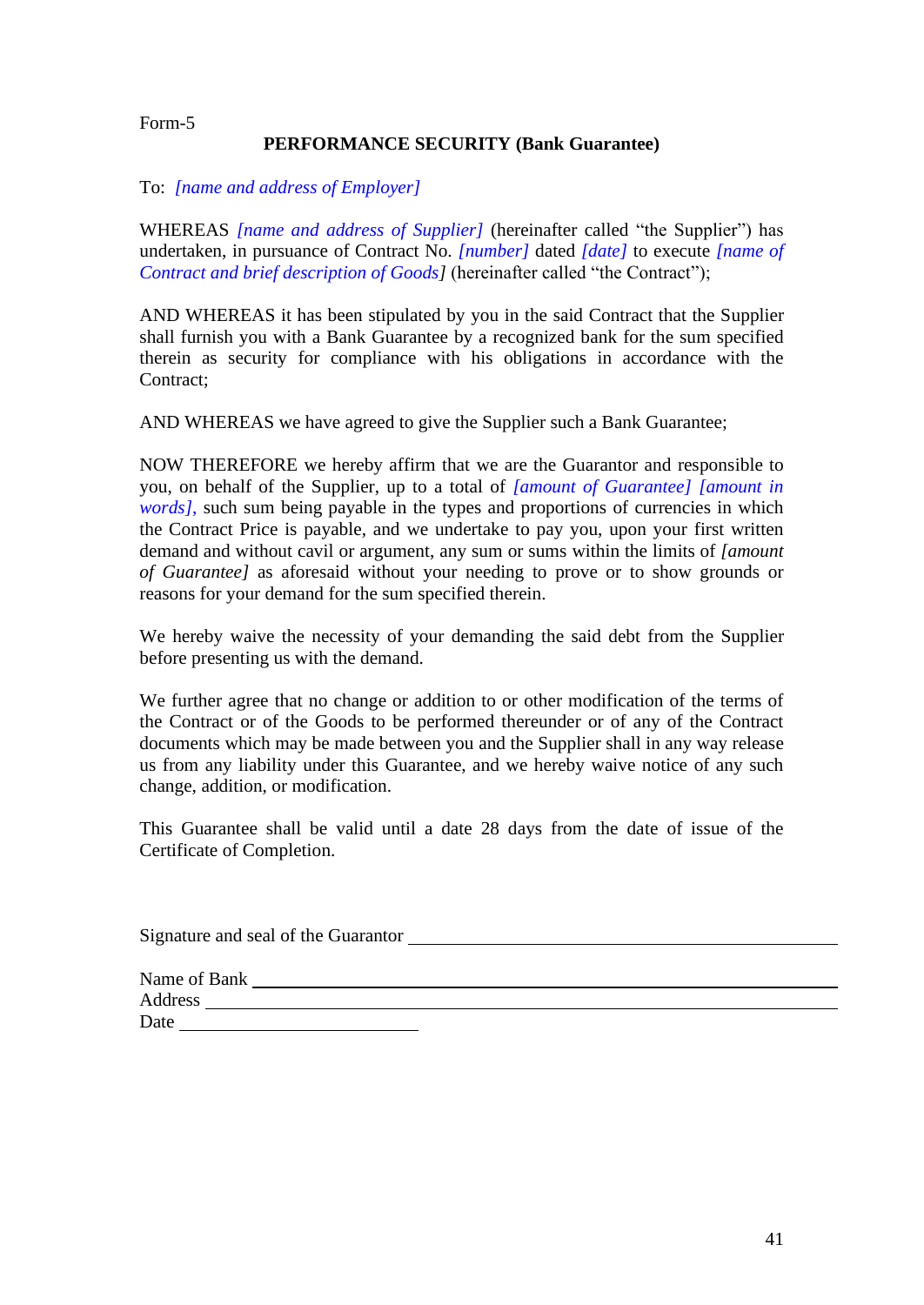#### Form-5

## **PERFORMANCE SECURITY (Bank Guarantee)**

#### To: *[name and address of Employer]*

WHEREAS *[name and address of Supplier]* (hereinafter called "the Supplier") has undertaken, in pursuance of Contract No. *[number]* dated *[date]* to execute *[name of Contract and brief description of Goods]* (hereinafter called "the Contract");

AND WHEREAS it has been stipulated by you in the said Contract that the Supplier shall furnish you with a Bank Guarantee by a recognized bank for the sum specified therein as security for compliance with his obligations in accordance with the Contract;

AND WHEREAS we have agreed to give the Supplier such a Bank Guarantee;

NOW THEREFORE we hereby affirm that we are the Guarantor and responsible to you, on behalf of the Supplier, up to a total of *[amount of Guarantee] [amount in words]*, such sum being payable in the types and proportions of currencies in which the Contract Price is payable, and we undertake to pay you, upon your first written demand and without cavil or argument, any sum or sums within the limits of *[amount of Guarantee]* as aforesaid without your needing to prove or to show grounds or reasons for your demand for the sum specified therein.

We hereby waive the necessity of your demanding the said debt from the Supplier before presenting us with the demand.

We further agree that no change or addition to or other modification of the terms of the Contract or of the Goods to be performed thereunder or of any of the Contract documents which may be made between you and the Supplier shall in any way release us from any liability under this Guarantee, and we hereby waive notice of any such change, addition, or modification.

This Guarantee shall be valid until a date 28 days from the date of issue of the Certificate of Completion.

| Signature and seal of the Guarantor |  |
|-------------------------------------|--|
|                                     |  |
| Name of Bank                        |  |
| Address                             |  |
| Date                                |  |